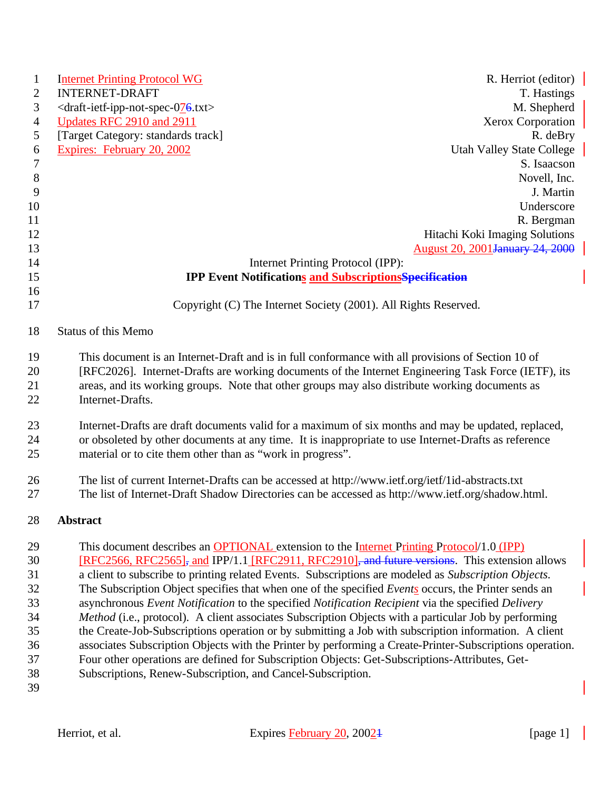| $\mathbf{1}$ | <b>Internet Printing Protocol WG</b>                                                                                                                               | R. Herriot (editor)                     |
|--------------|--------------------------------------------------------------------------------------------------------------------------------------------------------------------|-----------------------------------------|
| $\mathbf{2}$ | <b>INTERNET-DRAFT</b>                                                                                                                                              | T. Hastings                             |
| 3            | <draft-ietf-ipp-not-spec-076.txt></draft-ietf-ipp-not-spec-076.txt>                                                                                                | M. Shepherd                             |
| 4            | Updates RFC 2910 and 2911                                                                                                                                          | <b>Xerox Corporation</b>                |
| 5            | [Target Category: standards track]                                                                                                                                 | R. deBry                                |
| 6            | Expires: February 20, 2002                                                                                                                                         | <b>Utah Valley State College</b>        |
| 7            |                                                                                                                                                                    | S. Isaacson                             |
| $\,8\,$      |                                                                                                                                                                    | Novell, Inc.                            |
| 9            |                                                                                                                                                                    | J. Martin                               |
| 10           |                                                                                                                                                                    | Underscore                              |
| 11           |                                                                                                                                                                    | R. Bergman                              |
| 12           |                                                                                                                                                                    | Hitachi Koki Imaging Solutions          |
| 13           |                                                                                                                                                                    | <b>August 20, 2001 January 24, 2000</b> |
| 14           | Internet Printing Protocol (IPP):                                                                                                                                  |                                         |
| 15           | <b>IPP Event Notifications and Subscriptions Specification</b>                                                                                                     |                                         |
| 16           |                                                                                                                                                                    |                                         |
| 17           | Copyright (C) The Internet Society (2001). All Rights Reserved.                                                                                                    |                                         |
| 18           | <b>Status of this Memo</b>                                                                                                                                         |                                         |
| 19           | This document is an Internet-Draft and is in full conformance with all provisions of Section 10 of                                                                 |                                         |
| 20           | [RFC2026]. Internet-Drafts are working documents of the Internet Engineering Task Force (IETF), its                                                                |                                         |
| 21           | areas, and its working groups. Note that other groups may also distribute working documents as                                                                     |                                         |
| 22           | Internet-Drafts.                                                                                                                                                   |                                         |
|              |                                                                                                                                                                    |                                         |
| 23           | Internet-Drafts are draft documents valid for a maximum of six months and may be updated, replaced,                                                                |                                         |
| 24<br>25     | or obsoleted by other documents at any time. It is inappropriate to use Internet-Drafts as reference<br>material or to cite them other than as "work in progress". |                                         |
| 26           | The list of current Internet-Drafts can be accessed at http://www.ietf.org/ietf/1id-abstracts.txt                                                                  |                                         |
| 27           | The list of Internet-Draft Shadow Directories can be accessed as http://www.ietf.org/shadow.html.                                                                  |                                         |
| 28           | Abstract                                                                                                                                                           |                                         |
| 29           | This document describes an OPTIONAL extension to the Internet Printing Protocol/1.0 (IPP)                                                                          |                                         |
| 30           | [RFC2566, RFC2565], and IPP/1.1 [RFC2911, RFC2910], and future versions. This extension allows                                                                     |                                         |
| 31           | a client to subscribe to printing related Events. Subscriptions are modeled as Subscription Objects.                                                               |                                         |
| 32           | The Subscription Object specifies that when one of the specified Events occurs, the Printer sends an                                                               |                                         |
| 33           | asynchronous Event Notification to the specified Notification Recipient via the specified Delivery                                                                 |                                         |
| 34           | Method (i.e., protocol). A client associates Subscription Objects with a particular Job by performing                                                              |                                         |
| 35           | the Create-Job-Subscriptions operation or by submitting a Job with subscription information. A client                                                              |                                         |
| 36           | associates Subscription Objects with the Printer by performing a Create-Printer-Subscriptions operation.                                                           |                                         |
| 37           | Four other operations are defined for Subscription Objects: Get-Subscriptions-Attributes, Get-                                                                     |                                         |
| 38           | Subscriptions, Renew-Subscription, and Cancel-Subscription.                                                                                                        |                                         |
| 39           |                                                                                                                                                                    |                                         |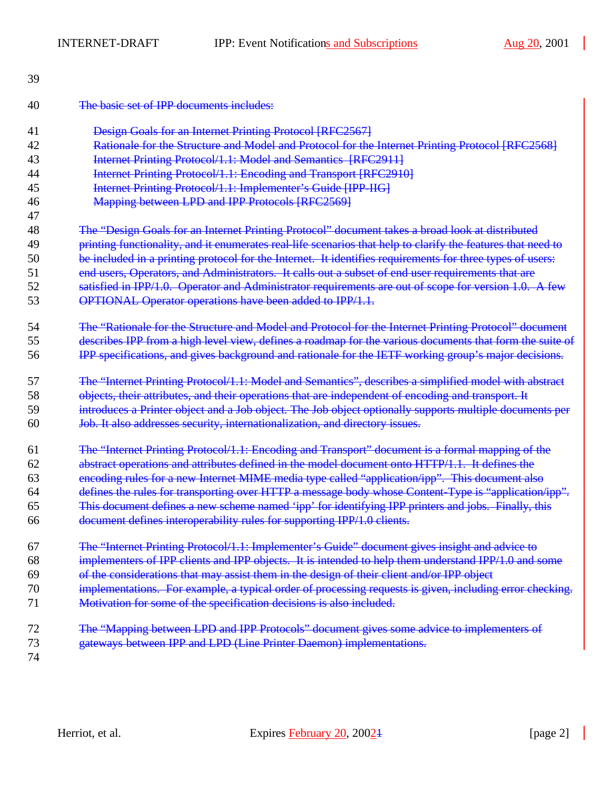$\overline{\phantom{a}}$ 

| 39 |                                                                                                              |
|----|--------------------------------------------------------------------------------------------------------------|
| 40 | The basic set of IPP documents includes:                                                                     |
| 41 | Design Goals for an Internet Printing Protocol [RFC2567]                                                     |
| 42 | Rationale for the Structure and Model and Protocol for the Internet Printing Protocol [RFC2568]              |
| 43 | <b>Internet Printing Protocol/1.1: Model and Semantics [RFC2911]</b>                                         |
| 44 | <b>Internet Printing Protocol/1.1: Encoding and Transport [RFC2910]</b>                                      |
| 45 | Internet Printing Protocol/1.1: Implementer's Guide [IPP-IIG]                                                |
| 46 | Mapping between LPD and IPP Protocols [RFC2569]                                                              |
| 47 |                                                                                                              |
| 48 | The "Design Goals for an Internet Printing Protocol" document takes a broad look at distributed              |
| 49 | printing functionality, and it enumerates real-life scenarios that help to clarify the features that need to |
| 50 | be included in a printing protocol for the Internet. It identifies requirements for three types of users:    |
| 51 | end users, Operators, and Administrators. It calls out a subset of end user requirements that are            |
| 52 | satisfied in IPP/1.0. Operator and Administrator requirements are out of scope for version 1.0. A few        |
| 53 | <b>OPTIONAL Operator operations have been added to IPP/1.1.</b>                                              |
| 54 | The "Rationale for the Structure and Model and Protocol for the Internet Printing Protocol" document         |
| 55 | describes IPP from a high level view, defines a roadmap for the various documents that form the suite of     |
| 56 | IPP specifications, and gives background and rationale for the IETF working group's major decisions.         |
| 57 | The "Internet Printing Protocol/1.1: Model and Semantics", describes a simplified model with abstract        |
| 58 | objects, their attributes, and their operations that are independent of encoding and transport. It           |
| 59 | introduces a Printer object and a Job object. The Job object optionally supports multiple documents per      |
| 60 | Job. It also addresses security, internationalization, and directory issues.                                 |
| 61 | The "Internet Printing Protocol/1.1: Encoding and Transport" document is a formal mapping of the             |
| 62 | abstract operations and attributes defined in the model document onto HTTP/1.1. It defines the               |
| 63 | encoding rules for a new Internet MIME media type called "application/ipp". This document also               |
| 64 | defines the rules for transporting over HTTP a message body whose Content-Type is "application/ipp".         |
| 65 | This document defines a new scheme named 'ipp' for identifying IPP printers and jobs. Finally, this          |
| 66 | document defines interoperability rules for supporting IPP/1.0 clients.                                      |
| 67 | The "Internet Printing Protocol/1.1: Implementer's Guide" document gives insight and advice to               |
| 68 | implementers of IPP clients and IPP objects. It is intended to help them understand IPP/1.0 and some         |
| 69 | of the considerations that may assist them in the design of their client and/or IPP object                   |
| 70 | implementations. For example, a typical order of processing requests is given, including error checking.     |
| 71 | Motivation for some of the specification decisions is also included.                                         |
| 72 | The "Mapping between LPD and IPP Protocols" document gives some advice to implementers of                    |
| 73 | gateways between IPP and LPD (Line Printer Daemon) implementations.                                          |
| 74 |                                                                                                              |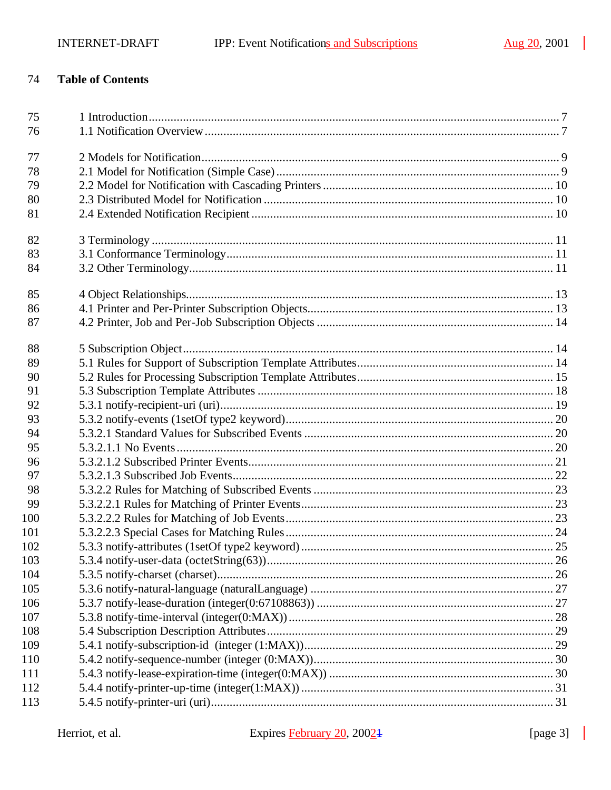#### 74 **Table of Contents**

| 75  |  |
|-----|--|
| 76  |  |
|     |  |
| 77  |  |
| 78  |  |
| 79  |  |
| 80  |  |
| 81  |  |
| 82  |  |
| 83  |  |
| 84  |  |
|     |  |
| 85  |  |
| 86  |  |
| 87  |  |
|     |  |
| 88  |  |
| 89  |  |
| 90  |  |
| 91  |  |
| 92  |  |
| 93  |  |
| 94  |  |
| 95  |  |
| 96  |  |
| 97  |  |
| 98  |  |
| 99  |  |
| 100 |  |
| 101 |  |
| 102 |  |
| 103 |  |
| 104 |  |
| 105 |  |
| 106 |  |
| 107 |  |
| 108 |  |
| 109 |  |
| 110 |  |
| 111 |  |
| 112 |  |
| 113 |  |

Herriot, et al.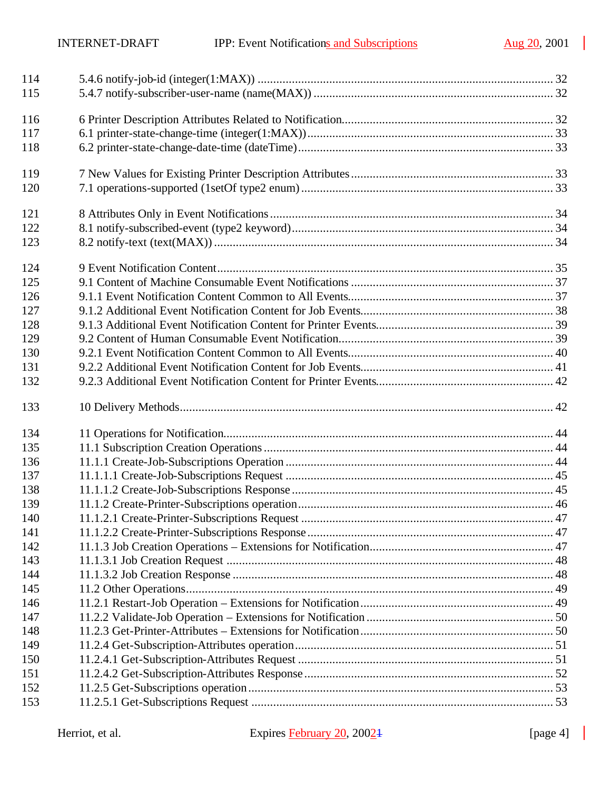$\mathbb{R}^2$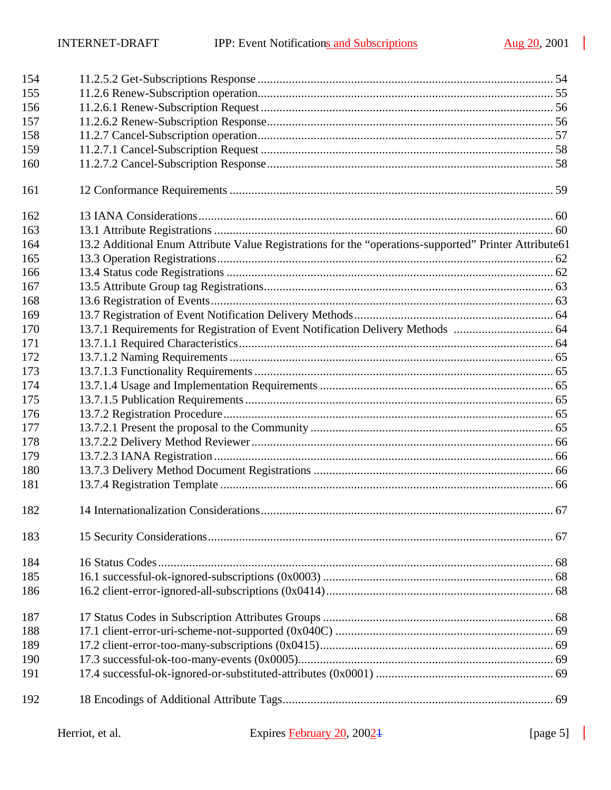$\mathbb{R}^2$ 

| 154 |                                                                                                       |  |
|-----|-------------------------------------------------------------------------------------------------------|--|
| 155 |                                                                                                       |  |
| 156 |                                                                                                       |  |
| 157 |                                                                                                       |  |
| 158 |                                                                                                       |  |
| 159 |                                                                                                       |  |
| 160 |                                                                                                       |  |
| 161 |                                                                                                       |  |
| 162 |                                                                                                       |  |
| 163 |                                                                                                       |  |
| 164 | 13.2 Additional Enum Attribute Value Registrations for the "operations-supported" Printer Attribute61 |  |
| 165 |                                                                                                       |  |
| 166 |                                                                                                       |  |
| 167 |                                                                                                       |  |
| 168 |                                                                                                       |  |
| 169 |                                                                                                       |  |
| 170 | 13.7.1 Requirements for Registration of Event Notification Delivery Methods  64                       |  |
| 171 |                                                                                                       |  |
| 172 |                                                                                                       |  |
| 173 |                                                                                                       |  |
| 174 |                                                                                                       |  |
| 175 |                                                                                                       |  |
| 176 |                                                                                                       |  |
| 177 |                                                                                                       |  |
| 178 |                                                                                                       |  |
| 179 |                                                                                                       |  |
| 180 |                                                                                                       |  |
| 181 |                                                                                                       |  |
| 182 |                                                                                                       |  |
| 183 |                                                                                                       |  |
| 184 |                                                                                                       |  |
| 185 |                                                                                                       |  |
| 186 |                                                                                                       |  |
| 187 |                                                                                                       |  |
| 188 |                                                                                                       |  |
| 189 |                                                                                                       |  |
| 190 |                                                                                                       |  |
| 191 |                                                                                                       |  |
| 192 |                                                                                                       |  |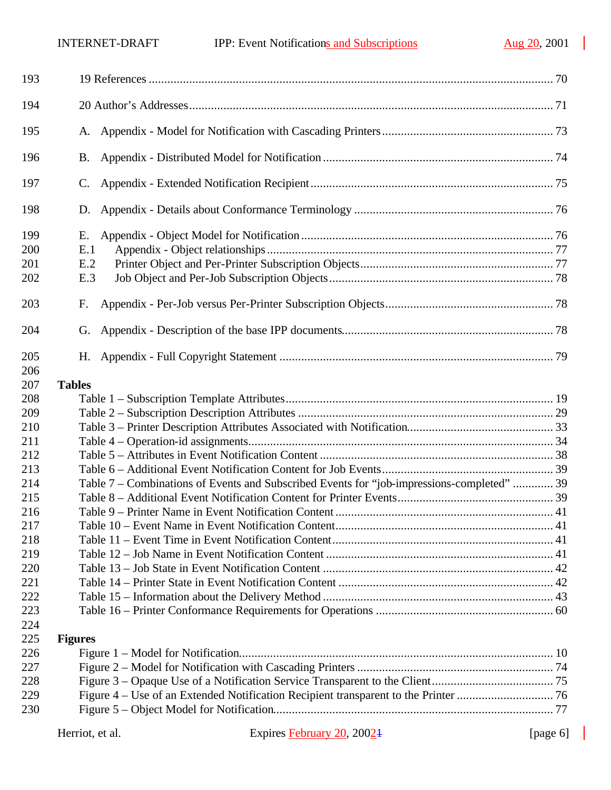$\mathbb{R}^2$ 

| 193                      |                                                                                            |  |
|--------------------------|--------------------------------------------------------------------------------------------|--|
| 194                      |                                                                                            |  |
| 195                      |                                                                                            |  |
| 196                      | <b>B.</b>                                                                                  |  |
| 197                      | C.                                                                                         |  |
| 198                      | D.                                                                                         |  |
| 199<br>200<br>201<br>202 | Е.<br>E.1<br>E.2<br>E.3                                                                    |  |
| 203                      | F.                                                                                         |  |
| 204                      | G.                                                                                         |  |
| 205<br>206               |                                                                                            |  |
| 207                      | <b>Tables</b>                                                                              |  |
| 208                      |                                                                                            |  |
| 209                      |                                                                                            |  |
| 210                      |                                                                                            |  |
| 211                      |                                                                                            |  |
| 212                      |                                                                                            |  |
| 213                      |                                                                                            |  |
| 214                      | Table 7 - Combinations of Events and Subscribed Events for "job-impressions-completed"  39 |  |
| 215                      |                                                                                            |  |
| 216                      |                                                                                            |  |
| 217                      |                                                                                            |  |
| 218                      |                                                                                            |  |
| 219                      |                                                                                            |  |
| 220                      |                                                                                            |  |
| 221                      |                                                                                            |  |
| 222                      |                                                                                            |  |
| 223                      |                                                                                            |  |
| 224                      |                                                                                            |  |
| 225                      | <b>Figures</b>                                                                             |  |
| 226                      |                                                                                            |  |
| 227                      |                                                                                            |  |
| 228                      |                                                                                            |  |
| 229                      |                                                                                            |  |
| 230                      |                                                                                            |  |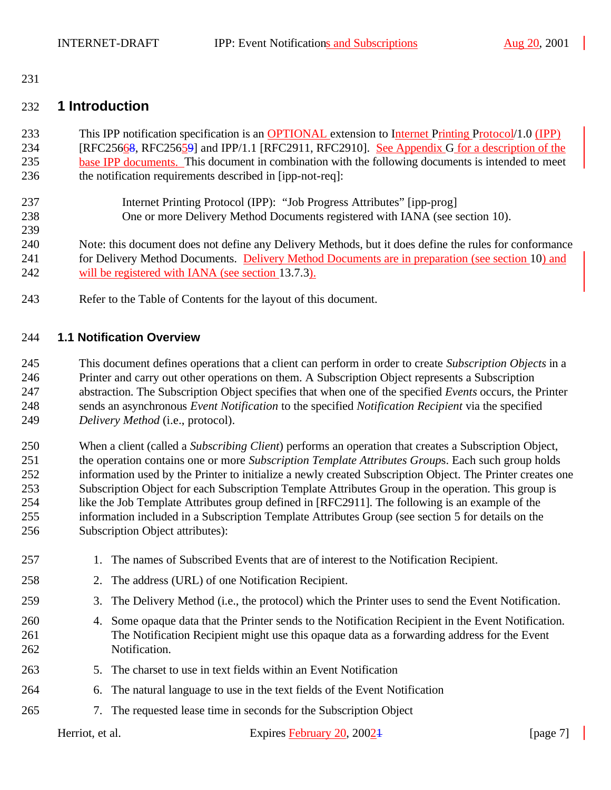#### 

### **1 Introduction**

- This IPP notification specification is an OPTIONAL extension to Internet Printing Protocol/1.0 (IPP) 234 [RFC25668, RFC25659] and IPP/1.1 [RFC2911, RFC2910]. See Appendix G for a description of the base IPP documents. This document in combination with the following documents is intended to meet the notification requirements described in [ipp-not-req]:
- Internet Printing Protocol (IPP): "Job Progress Attributes" [ipp-prog] One or more Delivery Method Documents registered with IANA (see section 10).
- 

Note: this document does not define any Delivery Methods, but it does define the rules for conformance

- 241 for Delivery Method Documents. Delivery Method Documents are in preparation (see section 10) and will be registered with IANA (see section 13.7.3).
- Refer to the Table of Contents for the layout of this document.

### **1.1 Notification Overview**

 This document defines operations that a client can perform in order to create *Subscription Objects* in a Printer and carry out other operations on them. A Subscription Object represents a Subscription abstraction. The Subscription Object specifies that when one of the specified *Events* occurs, the Printer sends an asynchronous *Event Notification* to the specified *Notification Recipient* via the specified *Delivery Method* (i.e., protocol).

 When a client (called a *Subscribing Client*) performs an operation that creates a Subscription Object, the operation contains one or more *Subscription Template Attributes Group*s. Each such group holds information used by the Printer to initialize a newly created Subscription Object. The Printer creates one Subscription Object for each Subscription Template Attributes Group in the operation. This group is like the Job Template Attributes group defined in [RFC2911]. The following is an example of the information included in a Subscription Template Attributes Group (see section 5 for details on the Subscription Object attributes):

 1. The names of Subscribed Events that are of interest to the Notification Recipient. 2. The address (URL) of one Notification Recipient. 3. The Delivery Method (i.e., the protocol) which the Printer uses to send the Event Notification. 4. Some opaque data that the Printer sends to the Notification Recipient in the Event Notification. The Notification Recipient might use this opaque data as a forwarding address for the Event Notification. 5. The charset to use in text fields within an Event Notification 6. The natural language to use in the text fields of the Event Notification 7. The requested lease time in seconds for the Subscription Object

Herriot, et al. Expires February 20, 2002<sup>1</sup> [page 7]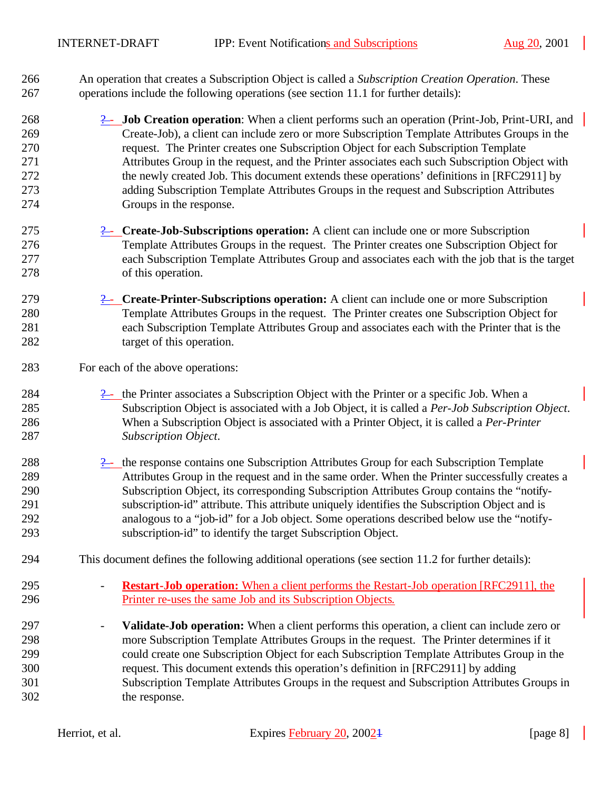An operation that creates a Subscription Object is called a *Subscription Creation Operation*. These operations include the following operations (see section 11.1 for further details):

- 268 2- **Job Creation operation**: When a client performs such an operation (Print-Job, Print-URI, and Create-Job), a client can include zero or more Subscription Template Attributes Groups in the request. The Printer creates one Subscription Object for each Subscription Template Attributes Group in the request, and the Printer associates each such Subscription Object with 272 the newly created Job. This document extends these operations' definitions in [RFC2911] by adding Subscription Template Attributes Groups in the request and Subscription Attributes Groups in the response.
- **2. Create-Job-Subscriptions operation:** A client can include one or more Subscription Template Attributes Groups in the request. The Printer creates one Subscription Object for each Subscription Template Attributes Group and associates each with the job that is the target of this operation.
- ? **Create-Printer-Subscriptions operation:** A client can include one or more Subscription Template Attributes Groups in the request. The Printer creates one Subscription Object for each Subscription Template Attributes Group and associates each with the Printer that is the 282 target of this operation.
- For each of the above operations:
- 284  $\frac{9}{2}$  the Printer associates a Subscription Object with the Printer or a specific Job. When a Subscription Object is associated with a Job Object, it is called a *Per-Job Subscription Object*. When a Subscription Object is associated with a Printer Object, it is called a *Per-Printer Subscription Object*.
- 288 288 2- the response contains one Subscription Attributes Group for each Subscription Template Attributes Group in the request and in the same order. When the Printer successfully creates a Subscription Object, its corresponding Subscription Attributes Group contains the "notify- subscription-id" attribute. This attribute uniquely identifies the Subscription Object and is analogous to a "job-id" for a Job object. Some operations described below use the "notify-subscription-id" to identify the target Subscription Object.
- This document defines the following additional operations (see section 11.2 for further details):
- **Restart-Job operation:** When a client performs the Restart-Job operation [RFC2911], the Printer re-uses the same Job and its Subscription Objects.
- **Validate-Job operation:** When a client performs this operation, a client can include zero or more Subscription Template Attributes Groups in the request. The Printer determines if it could create one Subscription Object for each Subscription Template Attributes Group in the request. This document extends this operation's definition in [RFC2911] by adding Subscription Template Attributes Groups in the request and Subscription Attributes Groups in the response.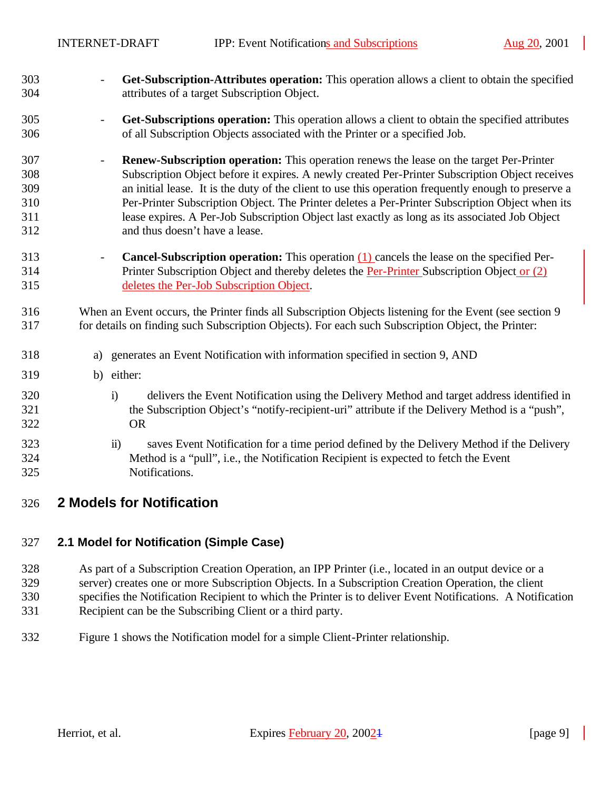- **Get-Subscription-Attributes operation:** This operation allows a client to obtain the specified attributes of a target Subscription Object.
- **Get-Subscriptions operation:** This operation allows a client to obtain the specified attributes of all Subscription Objects associated with the Printer or a specified Job.
- **Renew-Subscription operation:** This operation renews the lease on the target Per-Printer Subscription Object before it expires. A newly created Per-Printer Subscription Object receives an initial lease. It is the duty of the client to use this operation frequently enough to preserve a Per-Printer Subscription Object. The Printer deletes a Per-Printer Subscription Object when its lease expires. A Per-Job Subscription Object last exactly as long as its associated Job Object and thus doesn't have a lease.
- **Cancel-Subscription operation:** This operation (1) cancels the lease on the specified Per- Printer Subscription Object and thereby deletes the Per-Printer Subscription Object or (2) deletes the Per-Job Subscription Object.
- When an Event occurs, the Printer finds all Subscription Objects listening for the Event (see section 9 for details on finding such Subscription Objects). For each such Subscription Object, the Printer:
- a) generates an Event Notification with information specified in section 9, AND
- b) either:
- i) delivers the Event Notification using the Delivery Method and target address identified in the Subscription Object's "notify-recipient-uri" attribute if the Delivery Method is a "push", OR
- ii) saves Event Notification for a time period defined by the Delivery Method if the Delivery Method is a "pull", i.e., the Notification Recipient is expected to fetch the Event Notifications.
- **2 Models for Notification**

### **2.1 Model for Notification (Simple Case)**

 As part of a Subscription Creation Operation, an IPP Printer (i.e., located in an output device or a server) creates one or more Subscription Objects. In a Subscription Creation Operation, the client specifies the Notification Recipient to which the Printer is to deliver Event Notifications. A Notification Recipient can be the Subscribing Client or a third party.

Figure 1 shows the Notification model for a simple Client-Printer relationship.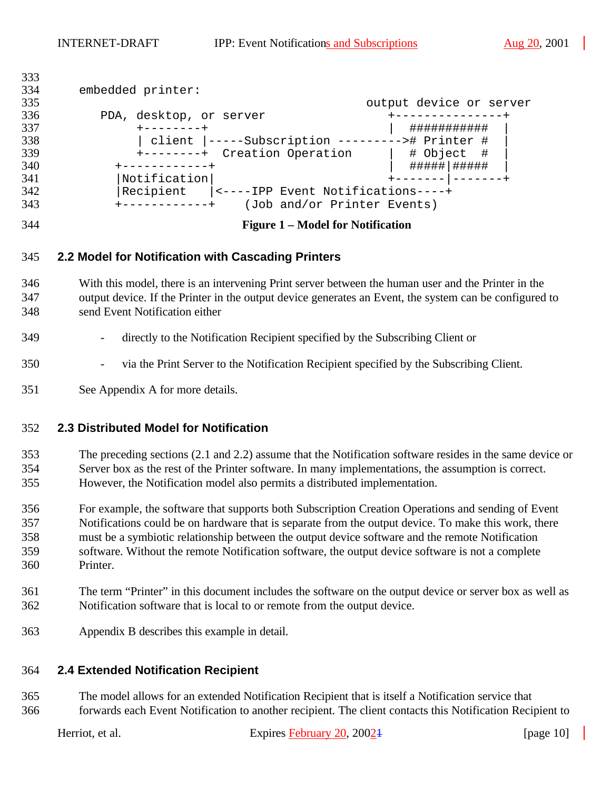| 333 |                                                          |                         |  |
|-----|----------------------------------------------------------|-------------------------|--|
| 334 | embedded printer:                                        |                         |  |
| 335 |                                                          | output device or server |  |
| 336 | PDA, desktop, or server                                  |                         |  |
| 337 |                                                          | ###########             |  |
| 338 | client  -----Subscription ---------># Printer #          |                         |  |
| 339 | +--------+ Creation Operation                            | # Object #              |  |
| 340 | ------------+                                            | #####   #####           |  |
| 341 | Notification                                             |                         |  |
| 342 | Recipient<br> <----IPP Event Notifications----+          |                         |  |
| 343 | (Job and/or Printer Events)<br>$+ - - - - - - - - - - +$ |                         |  |

#### **Figure 1 – Model for Notification**

#### **2.2 Model for Notification with Cascading Printers**

 With this model, there is an intervening Print server between the human user and the Printer in the output device. If the Printer in the output device generates an Event, the system can be configured to send Event Notification either

#### - directly to the Notification Recipient specified by the Subscribing Client or

#### - via the Print Server to the Notification Recipient specified by the Subscribing Client.

See Appendix A for more details.

### **2.3 Distributed Model for Notification**

 The preceding sections (2.1 and 2.2) assume that the Notification software resides in the same device or Server box as the rest of the Printer software. In many implementations, the assumption is correct. However, the Notification model also permits a distributed implementation.

 For example, the software that supports both Subscription Creation Operations and sending of Event Notifications could be on hardware that is separate from the output device. To make this work, there must be a symbiotic relationship between the output device software and the remote Notification software. Without the remote Notification software, the output device software is not a complete Printer.

- The term "Printer" in this document includes the software on the output device or server box as well as Notification software that is local to or remote from the output device.
- Appendix B describes this example in detail.

### **2.4 Extended Notification Recipient**

 The model allows for an extended Notification Recipient that is itself a Notification service that forwards each Event Notification to another recipient. The client contacts this Notification Recipient to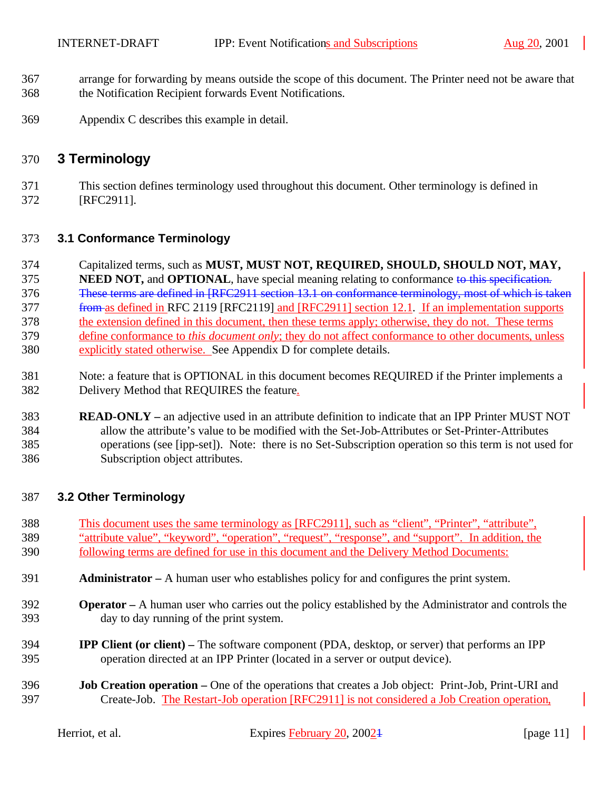- arrange for forwarding by means outside the scope of this document. The Printer need not be aware that the Notification Recipient forwards Event Notifications.
- Appendix C describes this example in detail.

### **3 Terminology**

 This section defines terminology used throughout this document. Other terminology is defined in [RFC2911].

### **3.1 Conformance Terminology**

- Capitalized terms, such as **MUST, MUST NOT, REQUIRED, SHOULD, SHOULD NOT, MAY,**
- **NEED NOT, and OPTIONAL**, have special meaning relating to conformance to this specification. These terms are defined in [RFC2911 section 13.1 on conformance terminology, most of which is taken 377 from as defined in RFC 2119 [RFC2119] and [RFC2911] section 12.1. If an implementation supports the extension defined in this document, then these terms apply; otherwise, they do not. These terms define conformance to *this document only*; they do not affect conformance to other documents, unless explicitly stated otherwise. See Appendix D for complete details.
- Note: a feature that is OPTIONAL in this document becomes REQUIRED if the Printer implements a Delivery Method that REQUIRES the feature.
- **READ-ONLY –** an adjective used in an attribute definition to indicate that an IPP Printer MUST NOT allow the attribute's value to be modified with the Set-Job-Attributes or Set-Printer-Attributes operations (see [ipp-set]). Note: there is no Set-Subscription operation so this term is not used for Subscription object attributes.

### **3.2 Other Terminology**

- This document uses the same terminology as [RFC2911], such as "client", "Printer", "attribute", "attribute value", "keyword", "operation", "request", "response", and "support". In addition, the following terms are defined for use in this document and the Delivery Method Documents:
- **Administrator –** A human user who establishes policy for and configures the print system.
- **Operator –** A human user who carries out the policy established by the Administrator and controls the day to day running of the print system.
- **IPP Client (or client) –** The software component (PDA, desktop, or server) that performs an IPP operation directed at an IPP Printer (located in a server or output device).
- **Job Creation operation –** One of the operations that creates a Job object: Print-Job, Print-URI and Create-Job. The Restart-Job operation [RFC2911] is not considered a Job Creation operation,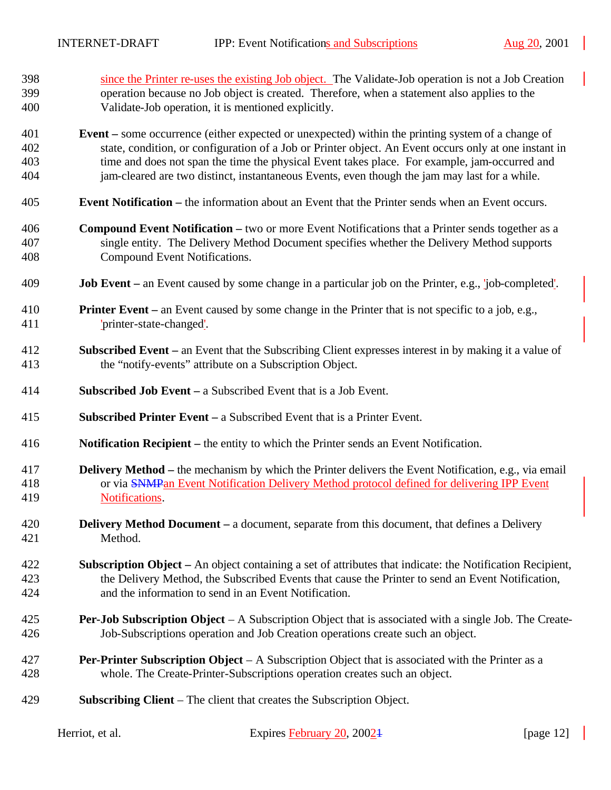| 398 | since the Printer re-uses the existing Job object. The Validate-Job operation is not a Job Creation                |  |  |  |
|-----|--------------------------------------------------------------------------------------------------------------------|--|--|--|
| 399 | operation because no Job object is created. Therefore, when a statement also applies to the                        |  |  |  |
| 400 | Validate-Job operation, it is mentioned explicitly.                                                                |  |  |  |
| 401 | <b>Event</b> – some occurrence (either expected or unexpected) within the printing system of a change of           |  |  |  |
| 402 | state, condition, or configuration of a Job or Printer object. An Event occurs only at one instant in              |  |  |  |
| 403 | time and does not span the time the physical Event takes place. For example, jam-occurred and                      |  |  |  |
| 404 | jam-cleared are two distinct, instantaneous Events, even though the jam may last for a while.                      |  |  |  |
| 405 | <b>Event Notification</b> – the information about an Event that the Printer sends when an Event occurs.            |  |  |  |
| 406 | <b>Compound Event Notification – two or more Event Notifications that a Printer sends together as a</b>            |  |  |  |
| 407 | single entity. The Delivery Method Document specifies whether the Delivery Method supports                         |  |  |  |
| 408 | Compound Event Notifications.                                                                                      |  |  |  |
| 409 | <b>Job Event</b> – an Event caused by some change in a particular job on the Printer, e.g., <i>job</i> -completed. |  |  |  |
| 410 | <b>Printer Event</b> – an Event caused by some change in the Printer that is not specific to a job, e.g.,          |  |  |  |
| 411 | 'printer-state-changed'.                                                                                           |  |  |  |
| 412 | <b>Subscribed Event</b> – an Event that the Subscribing Client expresses interest in by making it a value of       |  |  |  |
| 413 | the "notify-events" attribute on a Subscription Object.                                                            |  |  |  |
| 414 | <b>Subscribed Job Event</b> – a Subscribed Event that is a Job Event.                                              |  |  |  |
| 415 | <b>Subscribed Printer Event</b> – a Subscribed Event that is a Printer Event.                                      |  |  |  |
| 416 | <b>Notification Recipient</b> – the entity to which the Printer sends an Event Notification.                       |  |  |  |
| 417 | <b>Delivery Method</b> – the mechanism by which the Printer delivers the Event Notification, e.g., via email       |  |  |  |
| 418 | or via <b>SNMP</b> an Event Notification Delivery Method protocol defined for delivering IPP Event                 |  |  |  |
| 419 | Notifications.                                                                                                     |  |  |  |
| 420 | <b>Delivery Method Document – a document, separate from this document, that defines a Delivery</b>                 |  |  |  |
| 421 | Method.                                                                                                            |  |  |  |
| 422 | <b>Subscription Object</b> – An object containing a set of attributes that indicate: the Notification Recipient,   |  |  |  |
| 423 | the Delivery Method, the Subscribed Events that cause the Printer to send an Event Notification,                   |  |  |  |
| 424 | and the information to send in an Event Notification.                                                              |  |  |  |
| 425 | <b>Per-Job Subscription Object</b> $- A$ Subscription Object that is associated with a single Job. The Create-     |  |  |  |
| 426 | Job-Subscriptions operation and Job Creation operations create such an object.                                     |  |  |  |
| 427 | <b>Per-Printer Subscription Object</b> $- A$ Subscription Object that is associated with the Printer as a          |  |  |  |
| 428 | whole. The Create-Printer-Subscriptions operation creates such an object.                                          |  |  |  |
| 429 | <b>Subscribing Client</b> – The client that creates the Subscription Object.                                       |  |  |  |

| Herriot, et al. | Expires February 20, 20024 | [page $12$ ] |
|-----------------|----------------------------|--------------|
|                 |                            |              |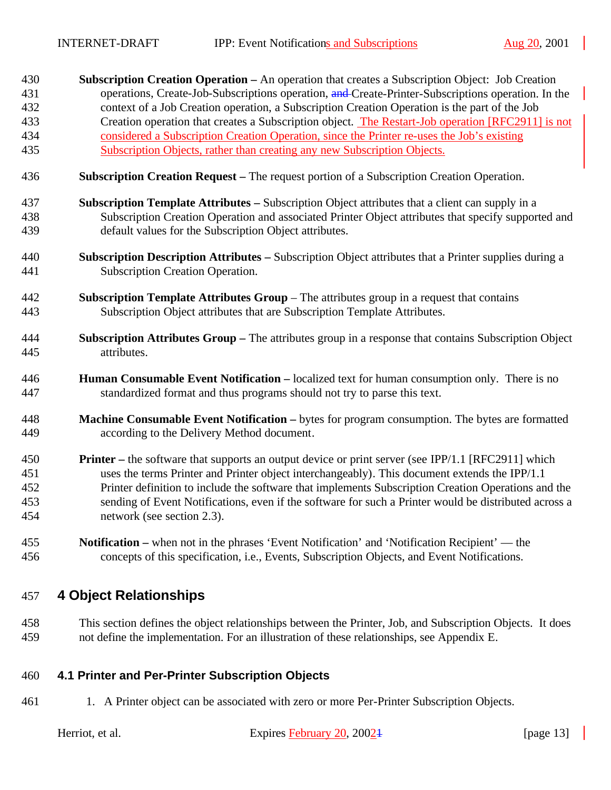| 430 | <b>Subscription Creation Operation – An operation that creates a Subscription Object:</b> Job Creation |
|-----|--------------------------------------------------------------------------------------------------------|
| 431 | operations, Create-Job-Subscriptions operation, and Create-Printer-Subscriptions operation. In the     |
| 432 | context of a Job Creation operation, a Subscription Creation Operation is the part of the Job          |
| 433 | Creation operation that creates a Subscription object. The Restart-Job operation [RFC2911] is not      |
| 434 | considered a Subscription Creation Operation, since the Printer re-uses the Job's existing             |
| 435 | Subscription Objects, rather than creating any new Subscription Objects.                               |

- **Subscription Creation Request –** The request portion of a Subscription Creation Operation.
- **Subscription Template Attributes –** Subscription Object attributes that a client can supply in a Subscription Creation Operation and associated Printer Object attributes that specify supported and default values for the Subscription Object attributes.
- **Subscription Description Attributes –** Subscription Object attributes that a Printer supplies during a Subscription Creation Operation.
- **Subscription Template Attributes Group**  The attributes group in a request that contains Subscription Object attributes that are Subscription Template Attributes.
- **Subscription Attributes Group –** The attributes group in a response that contains Subscription Object attributes.
- **Human Consumable Event Notification –** localized text for human consumption only. There is no standardized format and thus programs should not try to parse this text.
- **Machine Consumable Event Notification –** bytes for program consumption. The bytes are formatted according to the Delivery Method document.
- **Printer –** the software that supports an output device or print server (see IPP/1.1 [RFC2911] which uses the terms Printer and Printer object interchangeably). This document extends the IPP/1.1 Printer definition to include the software that implements Subscription Creation Operations and the sending of Event Notifications, even if the software for such a Printer would be distributed across a network (see section 2.3).
- **Notification –** when not in the phrases 'Event Notification' and 'Notification Recipient' the concepts of this specification, i.e., Events, Subscription Objects, and Event Notifications.

# **4 Object Relationships**

 This section defines the object relationships between the Printer, Job, and Subscription Objects. It does not define the implementation. For an illustration of these relationships, see Appendix E.

### **4.1 Printer and Per-Printer Subscription Objects**

461 1. A Printer object can be associated with zero or more Per-Printer Subscription Objects.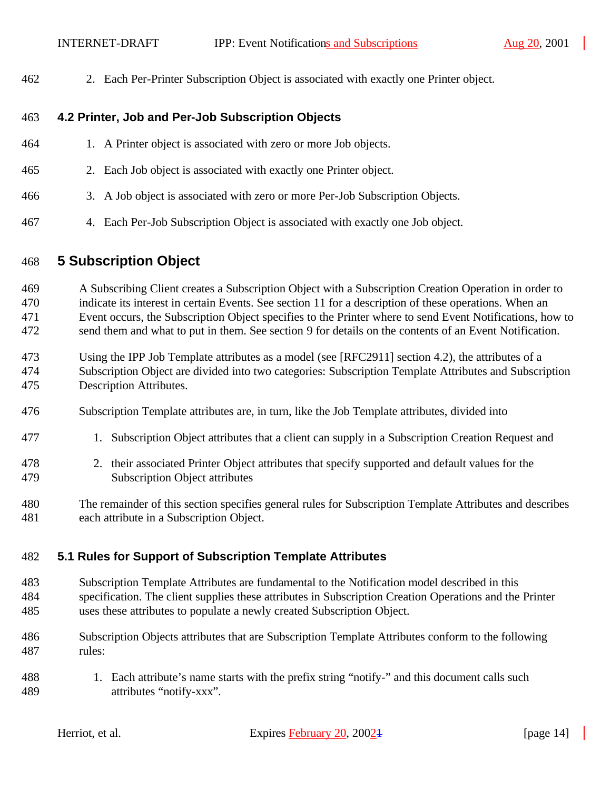2. Each Per-Printer Subscription Object is associated with exactly one Printer object.

### **4.2 Printer, Job and Per-Job Subscription Objects**

- 1. A Printer object is associated with zero or more Job objects.
- 2. Each Job object is associated with exactly one Printer object.
- 3. A Job object is associated with zero or more Per-Job Subscription Objects.
- 4. Each Per-Job Subscription Object is associated with exactly one Job object.

### **5 Subscription Object**

 A Subscribing Client creates a Subscription Object with a Subscription Creation Operation in order to indicate its interest in certain Events. See section 11 for a description of these operations. When an Event occurs, the Subscription Object specifies to the Printer where to send Event Notifications, how to send them and what to put in them. See section 9 for details on the contents of an Event Notification.

- Using the IPP Job Template attributes as a model (see [RFC2911] section 4.2), the attributes of a Subscription Object are divided into two categories: Subscription Template Attributes and Subscription Description Attributes.
- Subscription Template attributes are, in turn, like the Job Template attributes, divided into
- 1. Subscription Object attributes that a client can supply in a Subscription Creation Request and
- 2. their associated Printer Object attributes that specify supported and default values for the Subscription Object attributes
- The remainder of this section specifies general rules for Subscription Template Attributes and describes each attribute in a Subscription Object.

### **5.1 Rules for Support of Subscription Template Attributes**

- Subscription Template Attributes are fundamental to the Notification model described in this specification. The client supplies these attributes in Subscription Creation Operations and the Printer uses these attributes to populate a newly created Subscription Object.
- Subscription Objects attributes that are Subscription Template Attributes conform to the following rules:
- 1. Each attribute's name starts with the prefix string "notify-" and this document calls such attributes "notify-xxx".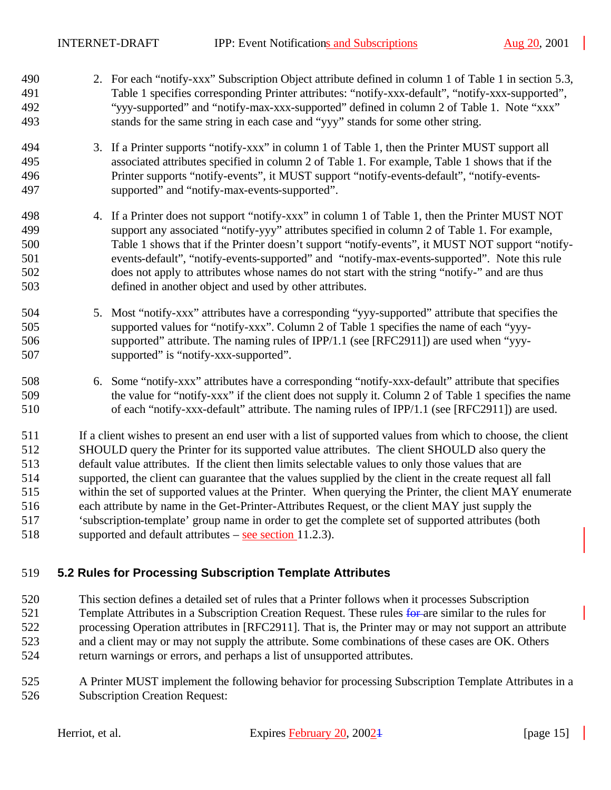- 2. For each "notify-xxx" Subscription Object attribute defined in column 1 of Table 1 in section 5.3, Table 1 specifies corresponding Printer attributes: "notify-xxx-default", "notify-xxx-supported", "yyy-supported" and "notify-max-xxx-supported" defined in column 2 of Table 1. Note "xxx" stands for the same string in each case and "yyy" stands for some other string.
- 3. If a Printer supports "notify-xxx" in column 1 of Table 1, then the Printer MUST support all associated attributes specified in column 2 of Table 1. For example, Table 1 shows that if the Printer supports "notify-events", it MUST support "notify-events-default", "notify-events-supported" and "notify-max-events-supported".
- 4. If a Printer does not support "notify-xxx" in column 1 of Table 1, then the Printer MUST NOT support any associated "notify-yyy" attributes specified in column 2 of Table 1. For example, Table 1 shows that if the Printer doesn't support "notify-events", it MUST NOT support "notify- events-default", "notify-events-supported" and "notify-max-events-supported". Note this rule does not apply to attributes whose names do not start with the string "notify-" and are thus defined in another object and used by other attributes.
- 5. Most "notify-xxx" attributes have a corresponding "yyy-supported" attribute that specifies the supported values for "notify-xxx". Column 2 of Table 1 specifies the name of each "yyy- supported" attribute. The naming rules of IPP/1.1 (see [RFC2911]) are used when "yyy-supported" is "notify-xxx-supported".
- 6. Some "notify-xxx" attributes have a corresponding "notify-xxx-default" attribute that specifies the value for "notify-xxx" if the client does not supply it. Column 2 of Table 1 specifies the name of each "notify-xxx-default" attribute. The naming rules of IPP/1.1 (see [RFC2911]) are used.

 If a client wishes to present an end user with a list of supported values from which to choose, the client SHOULD query the Printer for its supported value attributes. The client SHOULD also query the default value attributes. If the client then limits selectable values to only those values that are supported, the client can guarantee that the values supplied by the client in the create request all fall within the set of supported values at the Printer. When querying the Printer, the client MAY enumerate each attribute by name in the Get-Printer-Attributes Request, or the client MAY just supply the 'subscription-template' group name in order to get the complete set of supported attributes (both supported and default attributes – see section 11.2.3).

### **5.2 Rules for Processing Subscription Template Attributes**

 This section defines a detailed set of rules that a Printer follows when it processes Subscription 521 Template Attributes in a Subscription Creation Request. These rules for are similar to the rules for processing Operation attributes in [RFC2911]. That is, the Printer may or may not support an attribute and a client may or may not supply the attribute. Some combinations of these cases are OK. Others return warnings or errors, and perhaps a list of unsupported attributes.

 A Printer MUST implement the following behavior for processing Subscription Template Attributes in a Subscription Creation Request: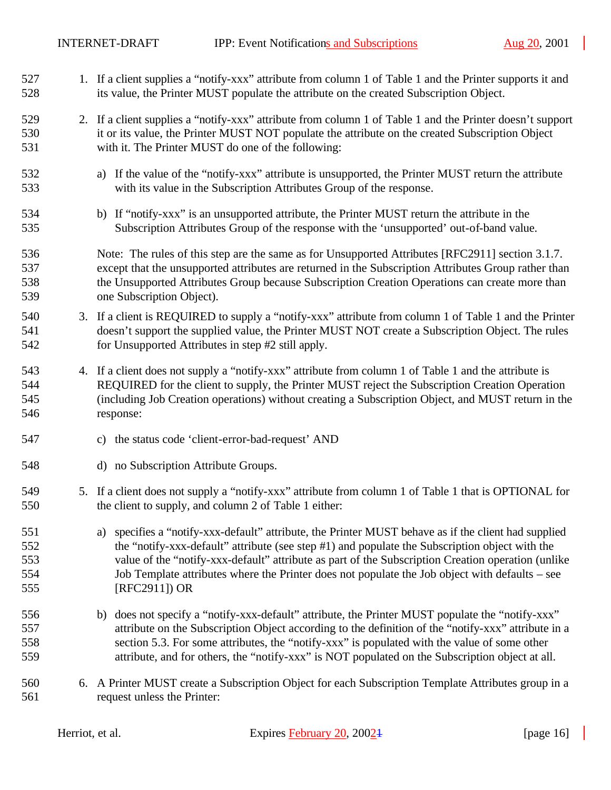- 1. If a client supplies a "notify-xxx" attribute from column 1 of Table 1 and the Printer supports it and its value, the Printer MUST populate the attribute on the created Subscription Object.
- 2. If a client supplies a "notify-xxx" attribute from column 1 of Table 1 and the Printer doesn't support it or its value, the Printer MUST NOT populate the attribute on the created Subscription Object with it. The Printer MUST do one of the following:
- a) If the value of the "notify-xxx" attribute is unsupported, the Printer MUST return the attribute with its value in the Subscription Attributes Group of the response.
- b) If "notify-xxx" is an unsupported attribute, the Printer MUST return the attribute in the Subscription Attributes Group of the response with the 'unsupported' out-of-band value.
- 536 Note: The rules of this step are the same as for Unsupported Attributes [RFC2911] section 3.1.7. except that the unsupported attributes are returned in the Subscription Attributes Group rather than the Unsupported Attributes Group because Subscription Creation Operations can create more than one Subscription Object).
- 3. If a client is REQUIRED to supply a "notify-xxx" attribute from column 1 of Table 1 and the Printer doesn't support the supplied value, the Printer MUST NOT create a Subscription Object. The rules for Unsupported Attributes in step #2 still apply.
- 4. If a client does not supply a "notify-xxx" attribute from column 1 of Table 1 and the attribute is REQUIRED for the client to supply, the Printer MUST reject the Subscription Creation Operation (including Job Creation operations) without creating a Subscription Object, and MUST return in the response:
- c) the status code 'client-error-bad-request' AND
- d) no Subscription Attribute Groups.
- 5. If a client does not supply a "notify-xxx" attribute from column 1 of Table 1 that is OPTIONAL for the client to supply, and column 2 of Table 1 either:
- a) specifies a "notify-xxx-default" attribute, the Printer MUST behave as if the client had supplied the "notify-xxx-default" attribute (see step #1) and populate the Subscription object with the value of the "notify-xxx-default" attribute as part of the Subscription Creation operation (unlike Job Template attributes where the Printer does not populate the Job object with defaults – see [RFC2911]) OR
- b) does not specify a "notify-xxx-default" attribute, the Printer MUST populate the "notify-xxx" attribute on the Subscription Object according to the definition of the "notify-xxx" attribute in a section 5.3. For some attributes, the "notify-xxx" is populated with the value of some other attribute, and for others, the "notify-xxx" is NOT populated on the Subscription object at all.
- 6. A Printer MUST create a Subscription Object for each Subscription Template Attributes group in a request unless the Printer:

| Herriot, et al. | Expires February 20, 2002 <sup>1</sup> | [page $16$ ] |
|-----------------|----------------------------------------|--------------|
|                 |                                        |              |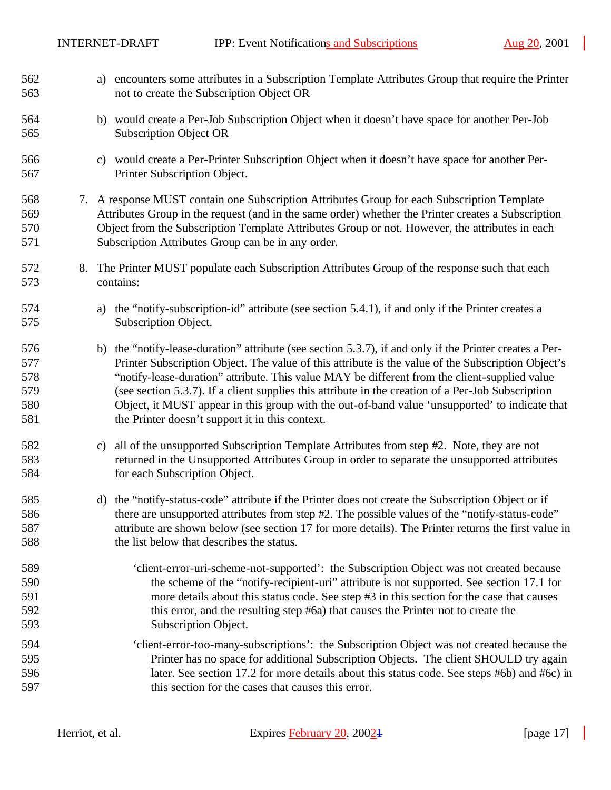| 562<br>563                             |    | a) encounters some attributes in a Subscription Template Attributes Group that require the Printer<br>not to create the Subscription Object OR                                                                                                                                                                                                                                                                                                                                                                                                                            |
|----------------------------------------|----|---------------------------------------------------------------------------------------------------------------------------------------------------------------------------------------------------------------------------------------------------------------------------------------------------------------------------------------------------------------------------------------------------------------------------------------------------------------------------------------------------------------------------------------------------------------------------|
| 564<br>565                             |    | b) would create a Per-Job Subscription Object when it doesn't have space for another Per-Job<br><b>Subscription Object OR</b>                                                                                                                                                                                                                                                                                                                                                                                                                                             |
| 566<br>567                             |    | c) would create a Per-Printer Subscription Object when it doesn't have space for another Per-<br>Printer Subscription Object.                                                                                                                                                                                                                                                                                                                                                                                                                                             |
| 568<br>569<br>570<br>571               |    | 7. A response MUST contain one Subscription Attributes Group for each Subscription Template<br>Attributes Group in the request (and in the same order) whether the Printer creates a Subscription<br>Object from the Subscription Template Attributes Group or not. However, the attributes in each<br>Subscription Attributes Group can be in any order.                                                                                                                                                                                                                 |
| 572<br>573                             | 8. | The Printer MUST populate each Subscription Attributes Group of the response such that each<br>contains:                                                                                                                                                                                                                                                                                                                                                                                                                                                                  |
| 574<br>575                             |    | the "notify-subscription-id" attribute (see section 5.4.1), if and only if the Printer creates a<br>a)<br>Subscription Object.                                                                                                                                                                                                                                                                                                                                                                                                                                            |
| 576<br>577<br>578<br>579<br>580<br>581 |    | b) the "notify-lease-duration" attribute (see section 5.3.7), if and only if the Printer creates a Per-<br>Printer Subscription Object. The value of this attribute is the value of the Subscription Object's<br>"notify-lease-duration" attribute. This value MAY be different from the client-supplied value<br>(see section 5.3.7). If a client supplies this attribute in the creation of a Per-Job Subscription<br>Object, it MUST appear in this group with the out-of-band value 'unsupported' to indicate that<br>the Printer doesn't support it in this context. |
| 582<br>583<br>584                      |    | all of the unsupported Subscription Template Attributes from step #2. Note, they are not<br>$\mathbf{c})$<br>returned in the Unsupported Attributes Group in order to separate the unsupported attributes<br>for each Subscription Object.                                                                                                                                                                                                                                                                                                                                |
| 585<br>586<br>587<br>588               |    | the "notify-status-code" attribute if the Printer does not create the Subscription Object or if<br>d)<br>there are unsupported attributes from step #2. The possible values of the "notify-status-code"<br>attribute are shown below (see section 17 for more details). The Printer returns the first value in<br>the list below that describes the status.                                                                                                                                                                                                               |
| 589<br>590<br>591<br>592<br>593        |    | 'client-error-uri-scheme-not-supported': the Subscription Object was not created because<br>the scheme of the "notify-recipient-uri" attribute is not supported. See section 17.1 for<br>more details about this status code. See step #3 in this section for the case that causes<br>this error, and the resulting step #6a) that causes the Printer not to create the<br>Subscription Object.                                                                                                                                                                           |
| 594<br>595<br>596<br>597               |    | 'client-error-too-many-subscriptions': the Subscription Object was not created because the<br>Printer has no space for additional Subscription Objects. The client SHOULD try again<br>later. See section 17.2 for more details about this status code. See steps #6b) and #6c) in<br>this section for the cases that causes this error.                                                                                                                                                                                                                                  |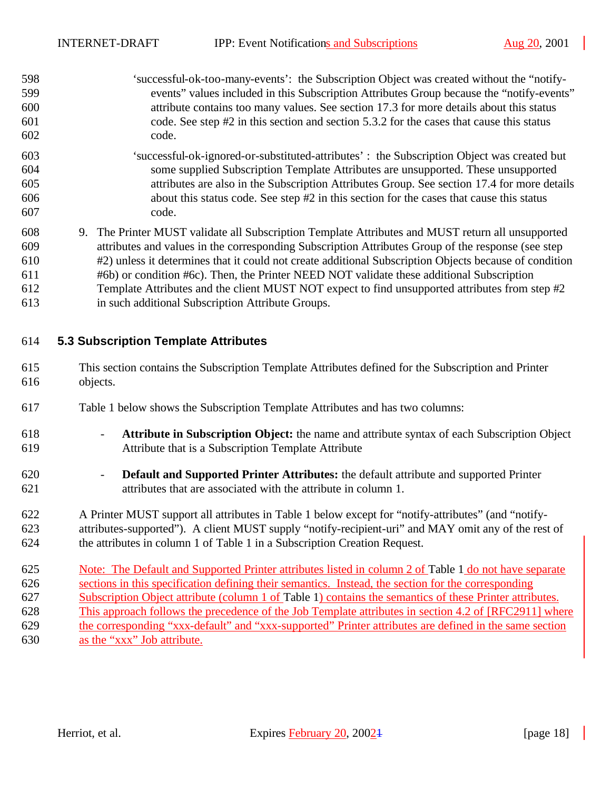- 'successful-ok-too-many-events': the Subscription Object was created without the "notify- events" values included in this Subscription Attributes Group because the "notify-events" attribute contains too many values. See section 17.3 for more details about this status code. See step #2 in this section and section 5.3.2 for the cases that cause this status code.
- 'successful-ok-ignored-or-substituted-attributes' : the Subscription Object was created but some supplied Subscription Template Attributes are unsupported. These unsupported attributes are also in the Subscription Attributes Group. See section 17.4 for more details about this status code. See step #2 in this section for the cases that cause this status code.
- 9. The Printer MUST validate all Subscription Template Attributes and MUST return all unsupported attributes and values in the corresponding Subscription Attributes Group of the response (see step #2) unless it determines that it could not create additional Subscription Objects because of condition #6b) or condition #6c). Then, the Printer NEED NOT validate these additional Subscription Template Attributes and the client MUST NOT expect to find unsupported attributes from step #2 in such additional Subscription Attribute Groups.
- 

### **5.3 Subscription Template Attributes**

- This section contains the Subscription Template Attributes defined for the Subscription and Printer objects.
- Table 1 below shows the Subscription Template Attributes and has two columns:
- **Attribute in Subscription Object:** the name and attribute syntax of each Subscription Object Attribute that is a Subscription Template Attribute
- **Default and Supported Printer Attributes:** the default attribute and supported Printer attributes that are associated with the attribute in column 1.
- A Printer MUST support all attributes in Table 1 below except for "notify-attributes" (and "notify- attributes-supported"). A client MUST supply "notify-recipient-uri" and MAY omit any of the rest of the attributes in column 1 of Table 1 in a Subscription Creation Request.
- 625 Note: The Default and Supported Printer attributes listed in column 2 of Table 1 do not have separate sections in this specification defining their semantics. Instead, the section for the corresponding Subscription Object attribute (column 1 of Table 1) contains the semantics of these Printer attributes. This approach follows the precedence of the Job Template attributes in section 4.2 of [RFC2911] where the corresponding "xxx-default" and "xxx-supported" Printer attributes are defined in the same section as the "xxx" Job attribute.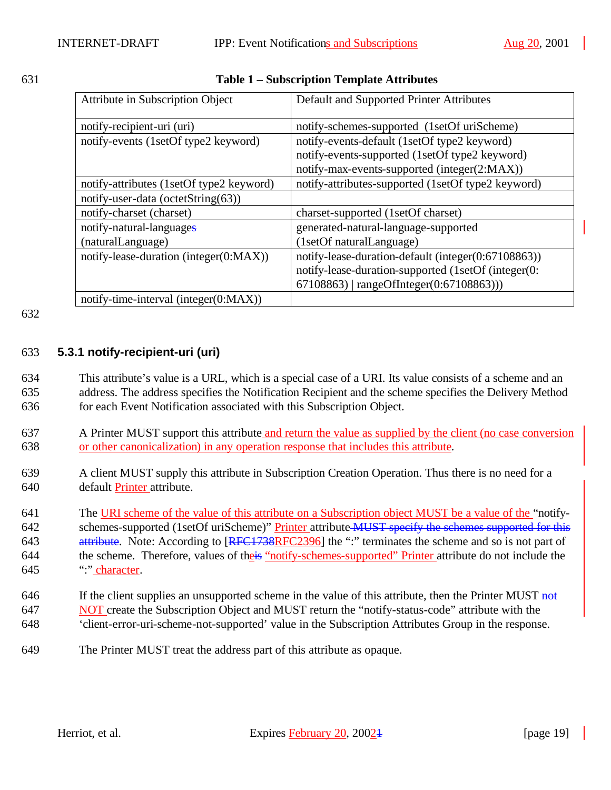#### 631 **Table 1 – Subscription Template Attributes**

| <b>Attribute in Subscription Object</b>  | Default and Supported Printer Attributes            |  |
|------------------------------------------|-----------------------------------------------------|--|
| notify-recipient-uri (uri)               | notify-schemes-supported (1setOf uriScheme)         |  |
| notify-events (1setOf type2 keyword)     | notify-events-default (1setOf type2 keyword)        |  |
|                                          | notify-events-supported (1setOf type2 keyword)      |  |
|                                          | notify-max-events-supported (integer(2:MAX))        |  |
| notify-attributes (1setOf type2 keyword) | notify-attributes-supported (1setOf type2 keyword)  |  |
| notify-user-data (octetString(63))       |                                                     |  |
| notify-charset (charset)                 | charset-supported (1setOf charset)                  |  |
| notify-natural-languages                 | generated-natural-language-supported                |  |
| (naturalLanguage)                        | (1setOf naturalLanguage)                            |  |
| notify-lease-duration (integer(0:MAX))   | notify-lease-duration-default (integer(0:67108863)) |  |
|                                          | notify-lease-duration-supported (1setOf (integer(0: |  |
|                                          | $67108863$   rangeOfInteger(0:67108863)))           |  |
| notify-time-interval (integer(0:MAX))    |                                                     |  |

#### 632

### 633 **5.3.1 notify-recipient-uri (uri)**

634 This attribute's value is a URL, which is a special case of a URI. Its value consists of a scheme and an 635 address. The address specifies the Notification Recipient and the scheme specifies the Delivery Method 636 for each Event Notification associated with this Subscription Object.

- 637 A Printer MUST support this attribute and return the value as supplied by the client (no case conversion 638 or other canonicalization) in any operation response that includes this attribute.
- 639 A client MUST supply this attribute in Subscription Creation Operation. Thus there is no need for a 640 default Printer attribute.

641 The URI scheme of the value of this attribute on a Subscription object MUST be a value of the "notify-642 schemes-supported (1setOf uriScheme)" Printer attribute MUST specify the schemes supported for this 643 attribute. Note: According to [RFC1738RFC2396] the ":" terminates the scheme and so is not part of 644 the scheme. Therefore, values of the is "notify-schemes-supported" Printer attribute do not include the 645 ":" character.

- 646 If the client supplies an unsupported scheme in the value of this attribute, then the Printer MUST not 647 NOT create the Subscription Object and MUST return the "notify-status-code" attribute with the 648 'client-error-uri-scheme-not-supported' value in the Subscription Attributes Group in the response.
- 649 The Printer MUST treat the address part of this attribute as opaque.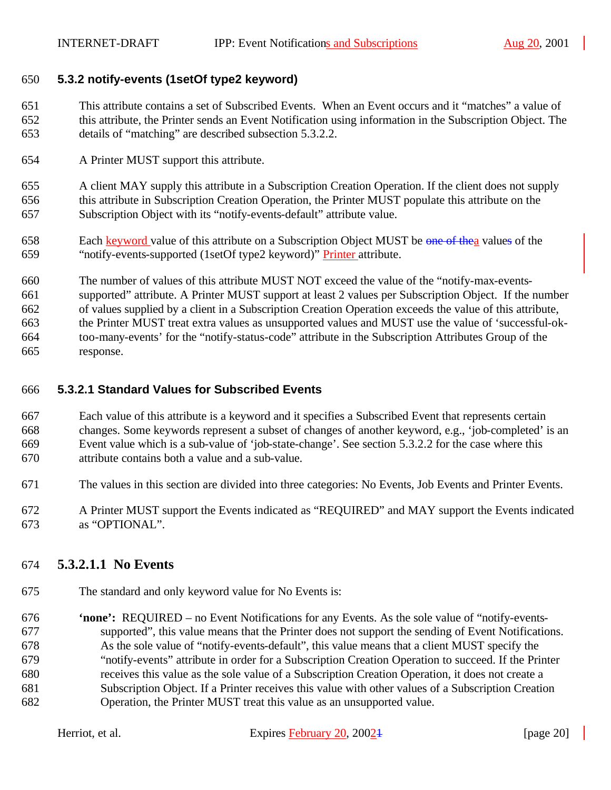### **5.3.2 notify-events (1setOf type2 keyword)**

 This attribute contains a set of Subscribed Events. When an Event occurs and it "matches" a value of this attribute, the Printer sends an Event Notification using information in the Subscription Object. The details of "matching" are described subsection 5.3.2.2.

A Printer MUST support this attribute.

 A client MAY supply this attribute in a Subscription Creation Operation. If the client does not supply this attribute in Subscription Creation Operation, the Printer MUST populate this attribute on the Subscription Object with its "notify-events-default" attribute value.

- 658 Each keyword value of this attribute on a Subscription Object MUST be one of the values of the "notify-events-supported (1setOf type2 keyword)" Printer attribute.
- The number of values of this attribute MUST NOT exceed the value of the "notify-max-events-

supported" attribute. A Printer MUST support at least 2 values per Subscription Object. If the number

of values supplied by a client in a Subscription Creation Operation exceeds the value of this attribute,

 the Printer MUST treat extra values as unsupported values and MUST use the value of 'successful-ok- too-many-events' for the "notify-status-code" attribute in the Subscription Attributes Group of the response.

### **5.3.2.1 Standard Values for Subscribed Events**

 Each value of this attribute is a keyword and it specifies a Subscribed Event that represents certain changes. Some keywords represent a subset of changes of another keyword, e.g., 'job-completed' is an Event value which is a sub-value of 'job-state-change'. See section 5.3.2.2 for the case where this attribute contains both a value and a sub-value.

- The values in this section are divided into three categories: No Events, Job Events and Printer Events.
- A Printer MUST support the Events indicated as "REQUIRED" and MAY support the Events indicated as "OPTIONAL".

# **5.3.2.1.1 No Events**

The standard and only keyword value for No Events is:

 **'none':** REQUIRED – no Event Notifications for any Events. As the sole value of "notify-events- supported", this value means that the Printer does not support the sending of Event Notifications. As the sole value of "notify-events-default", this value means that a client MUST specify the "notify-events" attribute in order for a Subscription Creation Operation to succeed. If the Printer receives this value as the sole value of a Subscription Creation Operation, it does not create a Subscription Object. If a Printer receives this value with other values of a Subscription Creation Operation, the Printer MUST treat this value as an unsupported value.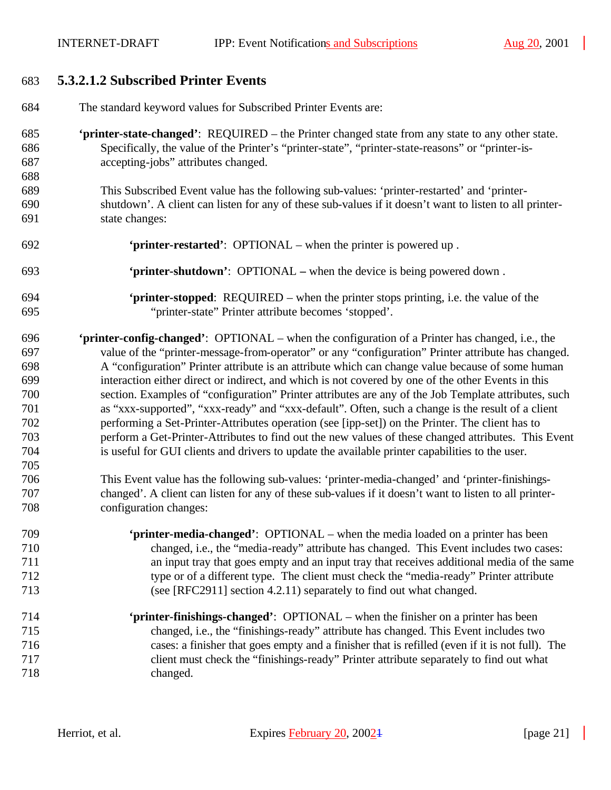# **5.3.2.1.2 Subscribed Printer Events**

| 684 | The standard keyword values for Subscribed Printer Events are:                                          |
|-----|---------------------------------------------------------------------------------------------------------|
| 685 | <b>'printer-state-changed':</b> REQUIRED – the Printer changed state from any state to any other state. |
| 686 | Specifically, the value of the Printer's "printer-state", "printer-state-reasons" or "printer-is-       |
| 687 | accepting-jobs" attributes changed.                                                                     |
| 688 |                                                                                                         |
| 689 | This Subscribed Event value has the following sub-values: 'printer-restarted' and 'printer-             |
| 690 | shutdown'. A client can listen for any of these sub-values if it doesn't want to listen to all printer- |
| 691 | state changes:                                                                                          |
| 692 | 'printer-restarted': OPTIONAL – when the printer is powered up.                                         |
| 693 | 'printer-shutdown': OPTIONAL – when the device is being powered down.                                   |
| 694 | 'printer-stopped: REQUIRED – when the printer stops printing, i.e. the value of the                     |
| 695 | "printer-state" Printer attribute becomes 'stopped'.                                                    |
| 696 | 'printer-config-changed': OPTIONAL – when the configuration of a Printer has changed, i.e., the         |
| 697 | value of the "printer-message-from-operator" or any "configuration" Printer attribute has changed.      |
| 698 | A "configuration" Printer attribute is an attribute which can change value because of some human        |
| 699 | interaction either direct or indirect, and which is not covered by one of the other Events in this      |
| 700 | section. Examples of "configuration" Printer attributes are any of the Job Template attributes, such    |
| 701 | as "xxx-supported", "xxx-ready" and "xxx-default". Often, such a change is the result of a client       |
| 702 | performing a Set-Printer-Attributes operation (see [ipp-set]) on the Printer. The client has to         |
| 703 | perform a Get-Printer-Attributes to find out the new values of these changed attributes. This Event     |
| 704 | is useful for GUI clients and drivers to update the available printer capabilities to the user.         |
| 705 |                                                                                                         |
| 706 | This Event value has the following sub-values: 'printer-media-changed' and 'printer-finishings-         |
| 707 | changed'. A client can listen for any of these sub-values if it doesn't want to listen to all printer-  |
| 708 | configuration changes:                                                                                  |
| 709 | <b>'printer-media-changed':</b> OPTIONAL – when the media loaded on a printer has been                  |
| 710 | changed, i.e., the "media-ready" attribute has changed. This Event includes two cases:                  |
| 711 | an input tray that goes empty and an input tray that receives additional media of the same              |
| 712 | type or of a different type. The client must check the "media-ready" Printer attribute                  |
| 713 | (see [RFC2911] section 4.2.11) separately to find out what changed.                                     |
| 714 | 'printer-finishings-changed': OPTIONAL – when the finisher on a printer has been                        |
| 715 | changed, i.e., the "finishings-ready" attribute has changed. This Event includes two                    |
| 716 | cases: a finisher that goes empty and a finisher that is refilled (even if it is not full). The         |
| 717 | client must check the "finishings-ready" Printer attribute separately to find out what                  |
| 718 | changed.                                                                                                |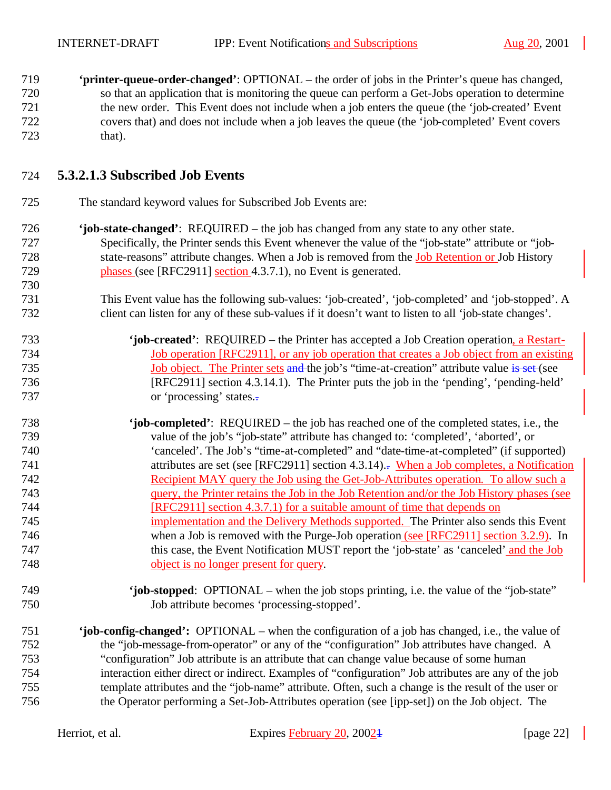**'printer-queue-order-changed'**: OPTIONAL – the order of jobs in the Printer's queue has changed, so that an application that is monitoring the queue can perform a Get-Jobs operation to determine the new order. This Event does not include when a job enters the queue (the 'job-created' Event covers that) and does not include when a job leaves the queue (the 'job-completed' Event covers that).

### **5.3.2.1.3 Subscribed Job Events**

- The standard keyword values for Subscribed Job Events are:
- **'job-state-changed'**: REQUIRED the job has changed from any state to any other state. Specifically, the Printer sends this Event whenever the value of the "job-state" attribute or "job- state-reasons" attribute changes. When a Job is removed from the Job Retention or Job History **phases (see [RFC2911] section 4.3.7.1)**, no Event is generated.
- This Event value has the following sub-values: 'job-created', 'job-completed' and 'job-stopped'. A client can listen for any of these sub-values if it doesn't want to listen to all 'job-state changes'.
- **'job-created'**: REQUIRED the Printer has accepted a Job Creation operation, a Restart- Job operation [RFC2911], or any job operation that creates a Job object from an existing 735 Job object. The Printer sets and the job's "time-at-creation" attribute value is set (see [RFC2911] section 4.3.14.1). The Printer puts the job in the 'pending', 'pending-held' 737 or 'processing' states...
- **'job-completed'**: REQUIRED the job has reached one of the completed states, i.e., the value of the job's "job-state" attribute has changed to: 'completed', 'aborted', or 'canceled'. The Job's "time-at-completed" and "date-time-at-completed" (if supported) 741 attributes are set (see [RFC2911] section 4.3.14)... When a Job completes, a Notification Recipient MAY query the Job using the Get-Job-Attributes operation. To allow such a query, the Printer retains the Job in the Job Retention and/or the Job History phases (see [RFC2911] section 4.3.7.1) for a suitable amount of time that depends on implementation and the Delivery Methods supported. The Printer also sends this Event when a Job is removed with the Purge-Job operation (see [RFC2911] section 3.2.9). In this case, the Event Notification MUST report the 'job-state' as 'canceled' and the Job object is no longer present for query.
- **'job-stopped**: OPTIONAL when the job stops printing, i.e. the value of the "job-state" Job attribute becomes 'processing-stopped'.
- **'job-config-changed':** OPTIONAL when the configuration of a job has changed, i.e., the value of the "job-message-from-operator" or any of the "configuration" Job attributes have changed. A "configuration" Job attribute is an attribute that can change value because of some human interaction either direct or indirect. Examples of "configuration" Job attributes are any of the job template attributes and the "job-name" attribute. Often, such a change is the result of the user or the Operator performing a Set-Job-Attributes operation (see [ipp-set]) on the Job object. The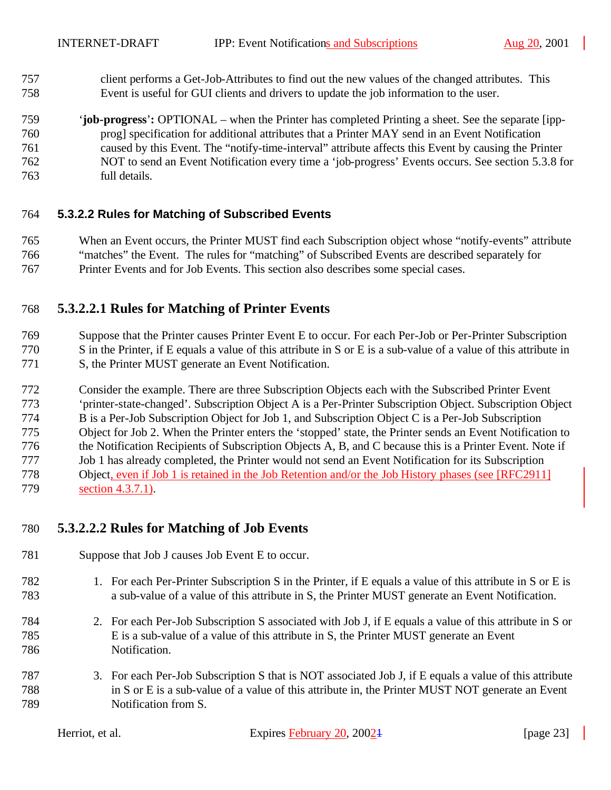- client performs a Get-Job-Attributes to find out the new values of the changed attributes. This Event is useful for GUI clients and drivers to update the job information to the user.
- '**job-progress**'**:** OPTIONAL when the Printer has completed Printing a sheet. See the separate [ipp- prog] specification for additional attributes that a Printer MAY send in an Event Notification caused by this Event. The "notify-time-interval" attribute affects this Event by causing the Printer NOT to send an Event Notification every time a 'job-progress' Events occurs. See section 5.3.8 for full details.

### **5.3.2.2 Rules for Matching of Subscribed Events**

 When an Event occurs, the Printer MUST find each Subscription object whose "notify-events" attribute "matches" the Event. The rules for "matching" of Subscribed Events are described separately for Printer Events and for Job Events. This section also describes some special cases.

# **5.3.2.2.1 Rules for Matching of Printer Events**

 Suppose that the Printer causes Printer Event E to occur. For each Per-Job or Per-Printer Subscription S in the Printer, if E equals a value of this attribute in S or E is a sub-value of a value of this attribute in 771 S, the Printer MUST generate an Event Notification.

 Consider the example. There are three Subscription Objects each with the Subscribed Printer Event 'printer-state-changed'. Subscription Object A is a Per-Printer Subscription Object. Subscription Object B is a Per-Job Subscription Object for Job 1, and Subscription Object C is a Per-Job Subscription Object for Job 2. When the Printer enters the 'stopped' state, the Printer sends an Event Notification to the Notification Recipients of Subscription Objects A, B, and C because this is a Printer Event. Note if Job 1 has already completed, the Printer would not send an Event Notification for its Subscription Object, even if Job 1 is retained in the Job Retention and/or the Job History phases (see [RFC2911] section 4.3.7.1).

# **5.3.2.2.2 Rules for Matching of Job Events**

- Suppose that Job J causes Job Event E to occur.
- 1. For each Per-Printer Subscription S in the Printer, if E equals a value of this attribute in S or E is a sub-value of a value of this attribute in S, the Printer MUST generate an Event Notification.
- 2. For each Per-Job Subscription S associated with Job J, if E equals a value of this attribute in S or E is a sub-value of a value of this attribute in S, the Printer MUST generate an Event Notification.
- 3. For each Per-Job Subscription S that is NOT associated Job J, if E equals a value of this attribute in S or E is a sub-value of a value of this attribute in, the Printer MUST NOT generate an Event Notification from S.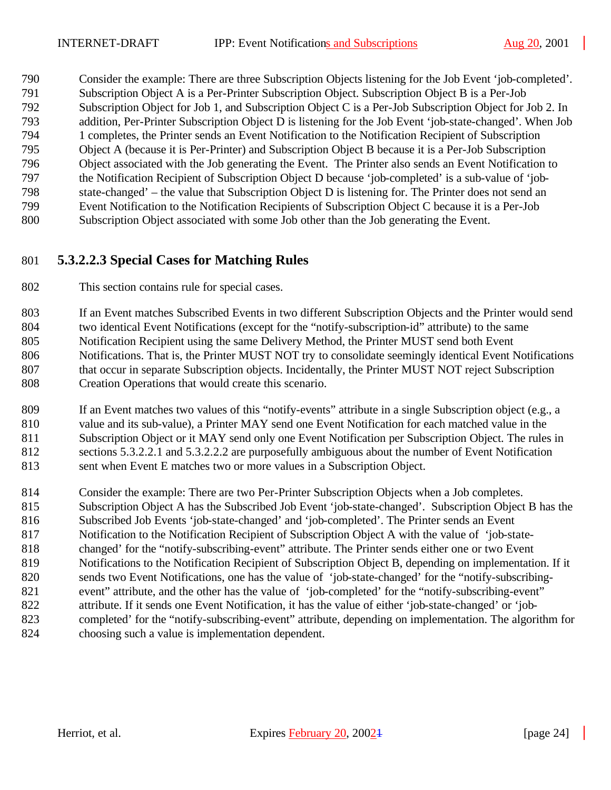Consider the example: There are three Subscription Objects listening for the Job Event 'job-completed'. Subscription Object A is a Per-Printer Subscription Object. Subscription Object B is a Per-Job Subscription Object for Job 1, and Subscription Object C is a Per-Job Subscription Object for Job 2. In addition, Per-Printer Subscription Object D is listening for the Job Event 'job-state-changed'. When Job 1 completes, the Printer sends an Event Notification to the Notification Recipient of Subscription Object A (because it is Per-Printer) and Subscription Object B because it is a Per-Job Subscription Object associated with the Job generating the Event. The Printer also sends an Event Notification to the Notification Recipient of Subscription Object D because 'job-completed' is a sub-value of 'job- state-changed' – the value that Subscription Object D is listening for. The Printer does not send an Event Notification to the Notification Recipients of Subscription Object C because it is a Per-Job Subscription Object associated with some Job other than the Job generating the Event.

### **5.3.2.2.3 Special Cases for Matching Rules**

This section contains rule for special cases.

 If an Event matches Subscribed Events in two different Subscription Objects and the Printer would send two identical Event Notifications (except for the "notify-subscription-id" attribute) to the same Notification Recipient using the same Delivery Method, the Printer MUST send both Event Notifications. That is, the Printer MUST NOT try to consolidate seemingly identical Event Notifications 807 that occur in separate Subscription objects. Incidentally, the Printer MUST NOT reject Subscription Creation Operations that would create this scenario.

 If an Event matches two values of this "notify-events" attribute in a single Subscription object (e.g., a value and its sub-value), a Printer MAY send one Event Notification for each matched value in the Subscription Object or it MAY send only one Event Notification per Subscription Object. The rules in sections 5.3.2.2.1 and 5.3.2.2.2 are purposefully ambiguous about the number of Event Notification sent when Event E matches two or more values in a Subscription Object.

 Consider the example: There are two Per-Printer Subscription Objects when a Job completes. Subscription Object A has the Subscribed Job Event 'job-state-changed'. Subscription Object B has the Subscribed Job Events 'job-state-changed' and 'job-completed'. The Printer sends an Event Notification to the Notification Recipient of Subscription Object A with the value of 'job-state- changed' for the "notify-subscribing-event" attribute. The Printer sends either one or two Event Notifications to the Notification Recipient of Subscription Object B, depending on implementation. If it sends two Event Notifications, one has the value of 'job-state-changed' for the "notify-subscribing- event" attribute, and the other has the value of 'job-completed' for the "notify-subscribing-event" attribute. If it sends one Event Notification, it has the value of either 'job-state-changed' or 'job- completed' for the "notify-subscribing-event" attribute, depending on implementation. The algorithm for choosing such a value is implementation dependent.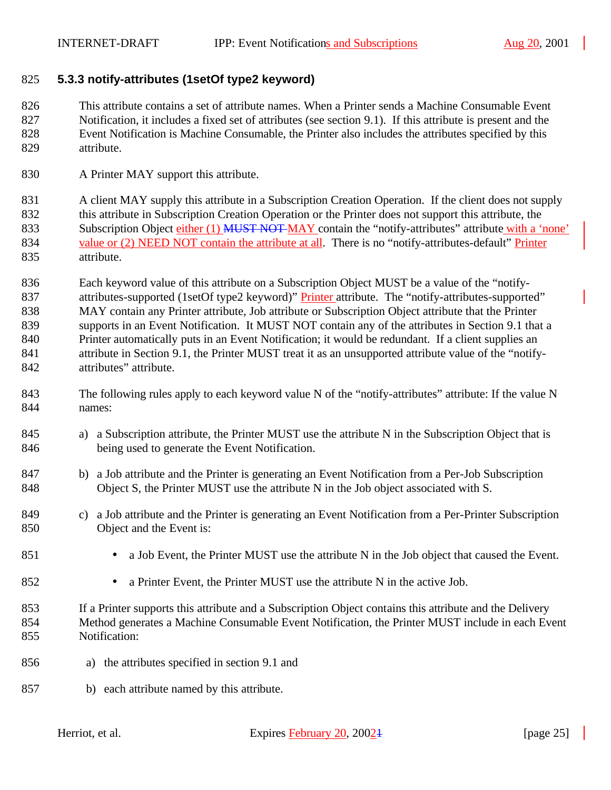#### **5.3.3 notify-attributes (1setOf type2 keyword)**

 This attribute contains a set of attribute names. When a Printer sends a Machine Consumable Event Notification, it includes a fixed set of attributes (see section 9.1). If this attribute is present and the Event Notification is Machine Consumable, the Printer also includes the attributes specified by this attribute.

830 A Printer MAY support this attribute.

831 A client MAY supply this attribute in a Subscription Creation Operation. If the client does not supply this attribute in Subscription Creation Operation or the Printer does not support this attribute, the 833 Subscription Object either (1) MUST NOT MAY contain the "notify-attributes" attribute with a 'none' 834 value or (2) NEED NOT contain the attribute at all. There is no "notify-attributes-default" Printer attribute.

 Each keyword value of this attribute on a Subscription Object MUST be a value of the "notify-837 attributes-supported (1setOf type2 keyword)" Printer attribute. The "notify-attributes-supported" MAY contain any Printer attribute, Job attribute or Subscription Object attribute that the Printer supports in an Event Notification. It MUST NOT contain any of the attributes in Section 9.1 that a Printer automatically puts in an Event Notification; it would be redundant. If a client supplies an attribute in Section 9.1, the Printer MUST treat it as an unsupported attribute value of the "notify-attributes" attribute.

- 843 The following rules apply to each keyword value N of the "notify-attributes" attribute: If the value N names:
- a) a Subscription attribute, the Printer MUST use the attribute N in the Subscription Object that is being used to generate the Event Notification.
- b) a Job attribute and the Printer is generating an Event Notification from a Per-Job Subscription Object S, the Printer MUST use the attribute N in the Job object associated with S.
- c) a Job attribute and the Printer is generating an Event Notification from a Per-Printer Subscription Object and the Event is:
- 851 a Job Event, the Printer MUST use the attribute N in the Job object that caused the Event.
- a Printer Event, the Printer MUST use the attribute N in the active Job.
- If a Printer supports this attribute and a Subscription Object contains this attribute and the Delivery Method generates a Machine Consumable Event Notification, the Printer MUST include in each Event Notification:
- a) the attributes specified in section 9.1 and
- b) each attribute named by this attribute.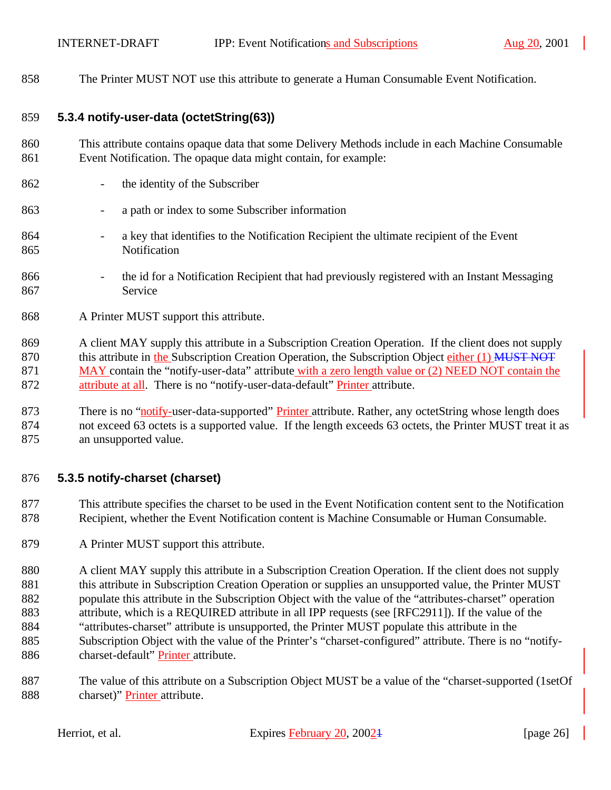The Printer MUST NOT use this attribute to generate a Human Consumable Event Notification.

### **5.3.4 notify-user-data (octetString(63))**

- This attribute contains opaque data that some Delivery Methods include in each Machine Consumable Event Notification. The opaque data might contain, for example:
- the identity of the Subscriber
- a path or index to some Subscriber information
- a key that identifies to the Notification Recipient the ultimate recipient of the Event Notification
- 866 the id for a Notification Recipient that had previously registered with an Instant Messaging Service
- A Printer MUST support this attribute.
- A client MAY supply this attribute in a Subscription Creation Operation. If the client does not supply 870 this attribute in the Subscription Creation Operation, the Subscription Object either (1) MUST NOT 871 MAY contain the "notify-user-data" attribute with a zero length value or (2) NEED NOT contain the attribute at all. There is no "notify-user-data-default" Printer attribute.
- 873 There is no "notify-user-data-supported" Printer attribute. Rather, any octetString whose length does not exceed 63 octets is a supported value. If the length exceeds 63 octets, the Printer MUST treat it as an unsupported value.

### **5.3.5 notify-charset (charset)**

- This attribute specifies the charset to be used in the Event Notification content sent to the Notification Recipient, whether the Event Notification content is Machine Consumable or Human Consumable.
- A Printer MUST support this attribute.
- 880 A client MAY supply this attribute in a Subscription Creation Operation. If the client does not supply 881 this attribute in Subscription Creation Operation or supplies an unsupported value, the Printer MUST populate this attribute in the Subscription Object with the value of the "attributes-charset" operation attribute, which is a REQUIRED attribute in all IPP requests (see [RFC2911]). If the value of the "attributes-charset" attribute is unsupported, the Printer MUST populate this attribute in the Subscription Object with the value of the Printer's "charset-configured" attribute. There is no "notify-charset-default" Printer attribute.
- The value of this attribute on a Subscription Object MUST be a value of the "charset-supported (1setOf 888 charset)" **Printer** attribute.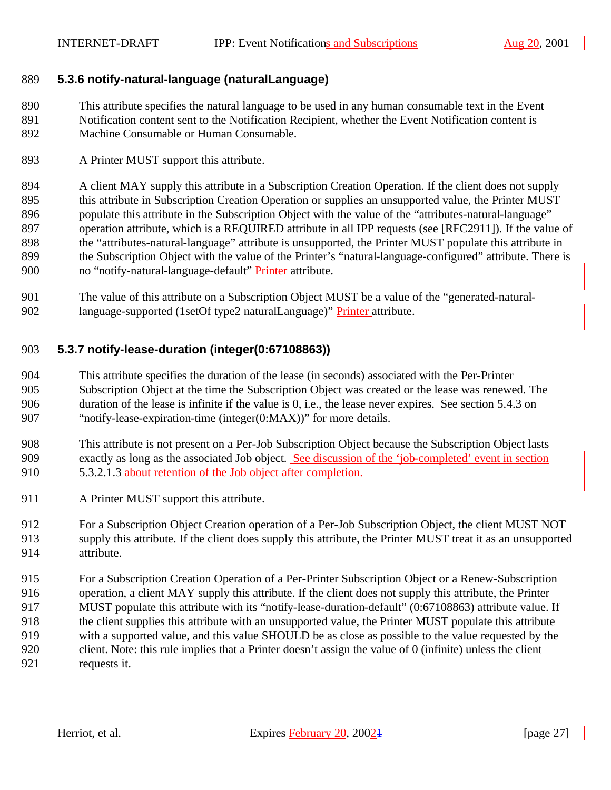### **5.3.6 notify-natural-language (naturalLanguage)**

 This attribute specifies the natural language to be used in any human consumable text in the Event Notification content sent to the Notification Recipient, whether the Event Notification content is Machine Consumable or Human Consumable.

A Printer MUST support this attribute.

894 A client MAY supply this attribute in a Subscription Creation Operation. If the client does not supply 895 this attribute in Subscription Creation Operation or supplies an unsupported value, the Printer MUST populate this attribute in the Subscription Object with the value of the "attributes-natural-language" operation attribute, which is a REQUIRED attribute in all IPP requests (see [RFC2911]). If the value of the "attributes-natural-language" attribute is unsupported, the Printer MUST populate this attribute in the Subscription Object with the value of the Printer's "natural-language-configured" attribute. There is no "notify-natural-language-default" Printer attribute.

 The value of this attribute on a Subscription Object MUST be a value of the "generated-natural-language-supported (1setOf type2 naturalLanguage)" Printer attribute.

### **5.3.7 notify-lease-duration (integer(0:67108863))**

 This attribute specifies the duration of the lease (in seconds) associated with the Per-Printer Subscription Object at the time the Subscription Object was created or the lease was renewed. The duration of the lease is infinite if the value is 0, i.e., the lease never expires. See section 5.4.3 on "notify-lease-expiration-time (integer(0:MAX))" for more details.

 This attribute is not present on a Per-Job Subscription Object because the Subscription Object lasts exactly as long as the associated Job object. See discussion of the 'job-completed' event in section 5.3.2.1.3 about retention of the Job object after completion.

- 911 A Printer MUST support this attribute.
- For a Subscription Object Creation operation of a Per-Job Subscription Object, the client MUST NOT supply this attribute. If the client does supply this attribute, the Printer MUST treat it as an unsupported attribute.
- For a Subscription Creation Operation of a Per-Printer Subscription Object or a Renew-Subscription operation, a client MAY supply this attribute. If the client does not supply this attribute, the Printer MUST populate this attribute with its "notify-lease-duration-default" (0:67108863) attribute value. If the client supplies this attribute with an unsupported value, the Printer MUST populate this attribute with a supported value, and this value SHOULD be as close as possible to the value requested by the client. Note: this rule implies that a Printer doesn't assign the value of 0 (infinite) unless the client requests it.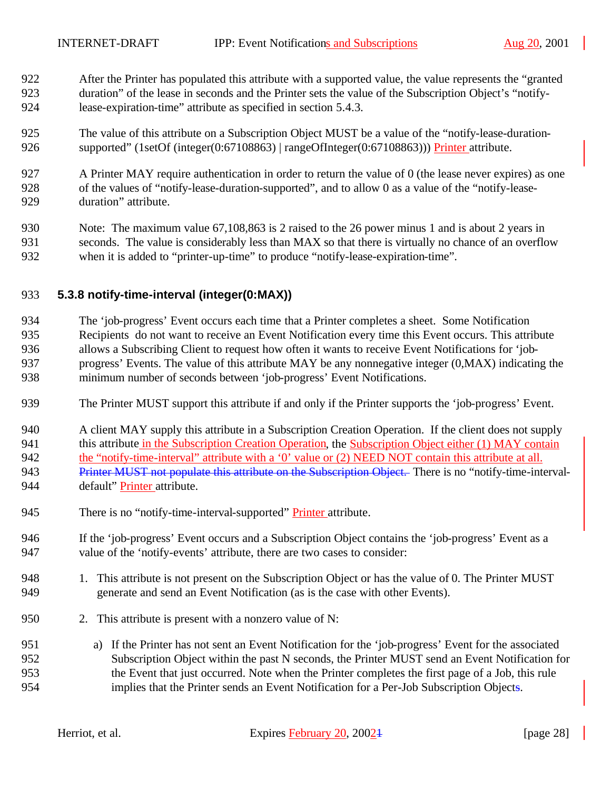- After the Printer has populated this attribute with a supported value, the value represents the "granted duration" of the lease in seconds and the Printer sets the value of the Subscription Object's "notify-lease-expiration-time" attribute as specified in section 5.4.3.
- The value of this attribute on a Subscription Object MUST be a value of the "notify-lease-duration-926 supported" (1setOf (integer(0:67108863) | rangeOfInteger(0:67108863))) Printer attribute.
- A Printer MAY require authentication in order to return the value of 0 (the lease never expires) as one of the values of "notify-lease-duration-supported", and to allow 0 as a value of the "notify-lease-duration" attribute.
- Note: The maximum value 67,108,863 is 2 raised to the 26 power minus 1 and is about 2 years in seconds. The value is considerably less than MAX so that there is virtually no chance of an overflow when it is added to "printer-up-time" to produce "notify-lease-expiration-time".

### **5.3.8 notify-time-interval (integer(0:MAX))**

- The 'job-progress' Event occurs each time that a Printer completes a sheet. Some Notification Recipients do not want to receive an Event Notification every time this Event occurs. This attribute allows a Subscribing Client to request how often it wants to receive Event Notifications for 'job- progress' Events. The value of this attribute MAY be any nonnegative integer (0,MAX) indicating the minimum number of seconds between 'job-progress' Event Notifications.
- The Printer MUST support this attribute if and only if the Printer supports the 'job-progress' Event.
- A client MAY supply this attribute in a Subscription Creation Operation. If the client does not supply 941 this attribute in the Subscription Creation Operation, the Subscription Object either (1) MAY contain the "notify-time-interval" attribute with a '0' value or (2) NEED NOT contain this attribute at all. 943 Printer MUST not populate this attribute on the Subscription Object. There is no "notify-time-interval-944 default" Printer attribute.
- 945 There is no "notify-time-interval-supported" Printer attribute.
- If the 'job-progress' Event occurs and a Subscription Object contains the 'job-progress' Event as a value of the 'notify-events' attribute, there are two cases to consider:
- 1. This attribute is not present on the Subscription Object or has the value of 0. The Printer MUST generate and send an Event Notification (as is the case with other Events).
- 2. This attribute is present with a nonzero value of N:
- a) If the Printer has not sent an Event Notification for the 'job-progress' Event for the associated Subscription Object within the past N seconds, the Printer MUST send an Event Notification for the Event that just occurred. Note when the Printer completes the first page of a Job, this rule implies that the Printer sends an Event Notification for a Per-Job Subscription Objects.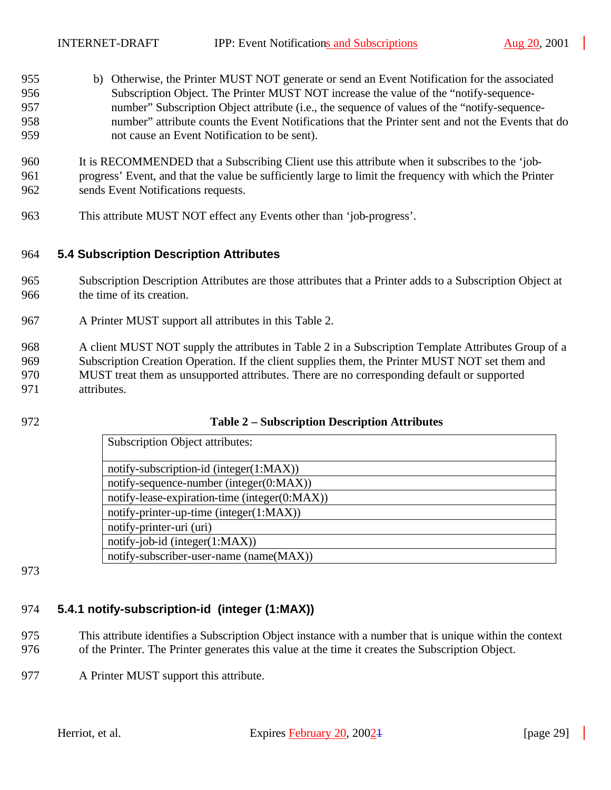b) Otherwise, the Printer MUST NOT generate or send an Event Notification for the associated Subscription Object. The Printer MUST NOT increase the value of the "notify-sequence- number" Subscription Object attribute (i.e., the sequence of values of the "notify-sequence- number" attribute counts the Event Notifications that the Printer sent and not the Events that do not cause an Event Notification to be sent).

 It is RECOMMENDED that a Subscribing Client use this attribute when it subscribes to the 'job- progress' Event, and that the value be sufficiently large to limit the frequency with which the Printer sends Event Notifications requests.

This attribute MUST NOT effect any Events other than 'job-progress'.

### **5.4 Subscription Description Attributes**

- Subscription Description Attributes are those attributes that a Printer adds to a Subscription Object at the time of its creation.
- A Printer MUST support all attributes in this Table 2.
- A client MUST NOT supply the attributes in Table 2 in a Subscription Template Attributes Group of a Subscription Creation Operation. If the client supplies them, the Printer MUST NOT set them and MUST treat them as unsupported attributes. There are no corresponding default or supported attributes.
- 

#### **Table 2 – Subscription Description Attributes**

| <b>Subscription Object attributes:</b>        |
|-----------------------------------------------|
| notify-subscription-id (integer(1:MAX))       |
| notify-sequence-number (integer(0:MAX))       |
| notify-lease-expiration-time (integer(0:MAX)) |
| notify-printer-up-time (integer $(1:MAX)$ )   |
| notify-printer-uri (uri)                      |
| $notify-job-id (integer(1:MAX))$              |
| notify-subscriber-user-name (name(MAX))       |

# **5.4.1 notify-subscription-id (integer (1:MAX))**

- This attribute identifies a Subscription Object instance with a number that is unique within the context of the Printer. The Printer generates this value at the time it creates the Subscription Object.
- A Printer MUST support this attribute.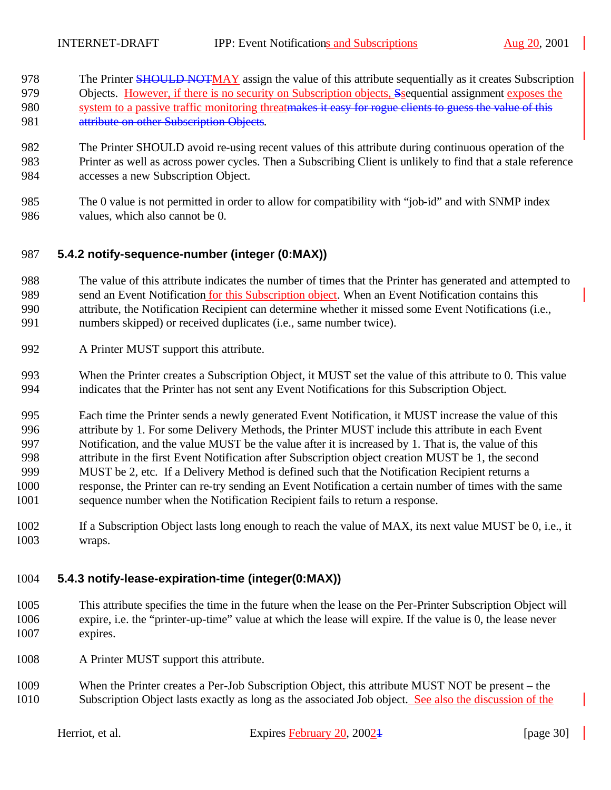- 978 The Printer SHOULD NOTMAY assign the value of this attribute sequentially as it creates Subscription 979 Objects. However, if there is no security on Subscription objects, Ssequential assignment exposes the 980 system to a passive traffic monitoring threatmakes it easy for rogue clients to guess the value of this 981 attribute on other Subscription Objects.
- The Printer SHOULD avoid re-using recent values of this attribute during continuous operation of the Printer as well as across power cycles. Then a Subscribing Client is unlikely to find that a stale reference accesses a new Subscription Object.
- The 0 value is not permitted in order to allow for compatibility with "job-id" and with SNMP index values, which also cannot be 0.

### **5.4.2 notify-sequence-number (integer (0:MAX))**

- The value of this attribute indicates the number of times that the Printer has generated and attempted to
- send an Event Notification for this Subscription object. When an Event Notification contains this
- attribute, the Notification Recipient can determine whether it missed some Event Notifications (i.e.,
- numbers skipped) or received duplicates (i.e., same number twice).
- A Printer MUST support this attribute.
- When the Printer creates a Subscription Object, it MUST set the value of this attribute to 0. This value indicates that the Printer has not sent any Event Notifications for this Subscription Object.
- Each time the Printer sends a newly generated Event Notification, it MUST increase the value of this attribute by 1. For some Delivery Methods, the Printer MUST include this attribute in each Event Notification, and the value MUST be the value after it is increased by 1. That is, the value of this attribute in the first Event Notification after Subscription object creation MUST be 1, the second MUST be 2, etc. If a Delivery Method is defined such that the Notification Recipient returns a response, the Printer can re-try sending an Event Notification a certain number of times with the same sequence number when the Notification Recipient fails to return a response.
- If a Subscription Object lasts long enough to reach the value of MAX, its next value MUST be 0, i.e., it wraps.

### **5.4.3 notify-lease-expiration-time (integer(0:MAX))**

- This attribute specifies the time in the future when the lease on the Per-Printer Subscription Object will expire, i.e. the "printer-up-time" value at which the lease will expire. If the value is 0, the lease never expires.
- A Printer MUST support this attribute.
- When the Printer creates a Per-Job Subscription Object, this attribute MUST NOT be present the Subscription Object lasts exactly as long as the associated Job object. See also the discussion of the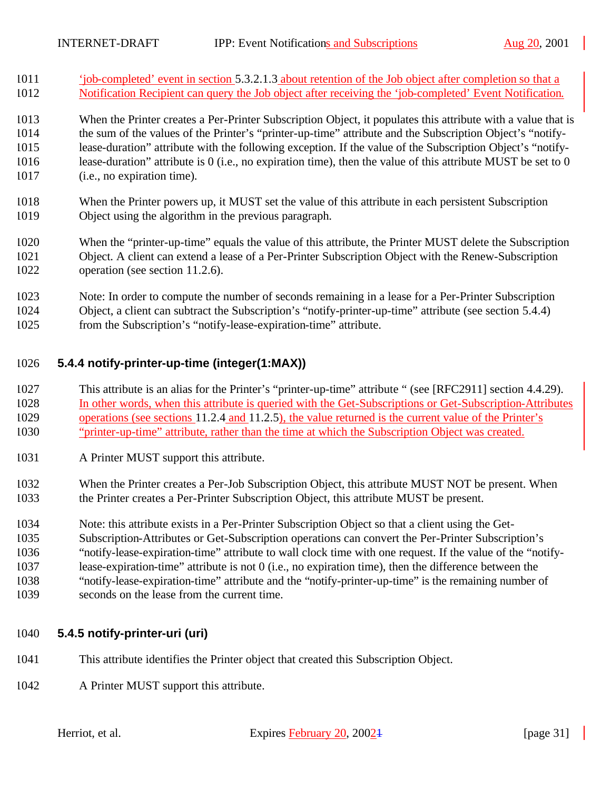'job-completed' event in section 5.3.2.1.3 about retention of the Job object after completion so that a Notification Recipient can query the Job object after receiving the 'job-completed' Event Notification.

 When the Printer creates a Per-Printer Subscription Object, it populates this attribute with a value that is the sum of the values of the Printer's "printer-up-time" attribute and the Subscription Object's "notify- lease-duration" attribute with the following exception. If the value of the Subscription Object's "notify- lease-duration" attribute is 0 (i.e., no expiration time), then the value of this attribute MUST be set to 0 (i.e., no expiration time).

- When the Printer powers up, it MUST set the value of this attribute in each persistent Subscription Object using the algorithm in the previous paragraph.
- When the "printer-up-time" equals the value of this attribute, the Printer MUST delete the Subscription Object. A client can extend a lease of a Per-Printer Subscription Object with the Renew-Subscription operation (see section 11.2.6).
- Note: In order to compute the number of seconds remaining in a lease for a Per-Printer Subscription Object, a client can subtract the Subscription's "notify-printer-up-time" attribute (see section 5.4.4)
- from the Subscription's "notify-lease-expiration-time" attribute.

### **5.4.4 notify-printer-up-time (integer(1:MAX))**

- This attribute is an alias for the Printer's "printer-up-time" attribute " (see [RFC2911] section 4.4.29). In other words, when this attribute is queried with the Get-Subscriptions or Get-Subscription-Attributes operations (see sections 11.2.4 and 11.2.5), the value returned is the current value of the Printer's "printer-up-time" attribute, rather than the time at which the Subscription Object was created.
- A Printer MUST support this attribute.
- When the Printer creates a Per-Job Subscription Object, this attribute MUST NOT be present. When the Printer creates a Per-Printer Subscription Object, this attribute MUST be present.
- Note: this attribute exists in a Per-Printer Subscription Object so that a client using the Get-
- Subscription-Attributes or Get-Subscription operations can convert the Per-Printer Subscription's
- "notify-lease-expiration-time" attribute to wall clock time with one request. If the value of the "notify-
- lease-expiration-time" attribute is not 0 (i.e., no expiration time), then the difference between the
- "notify-lease-expiration-time" attribute and the "notify-printer-up-time" is the remaining number of
- seconds on the lease from the current time.

### **5.4.5 notify-printer-uri (uri)**

- This attribute identifies the Printer object that created this Subscription Object.
- A Printer MUST support this attribute.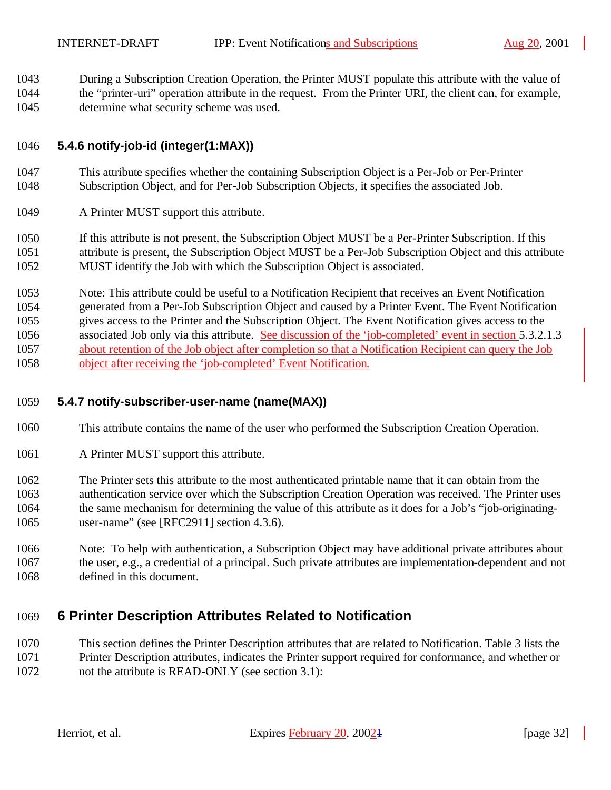During a Subscription Creation Operation, the Printer MUST populate this attribute with the value of the "printer-uri" operation attribute in the request. From the Printer URI, the client can, for example,

determine what security scheme was used.

### **5.4.6 notify-job-id (integer(1:MAX))**

- This attribute specifies whether the containing Subscription Object is a Per-Job or Per-Printer Subscription Object, and for Per-Job Subscription Objects, it specifies the associated Job.
- A Printer MUST support this attribute.

 If this attribute is not present, the Subscription Object MUST be a Per-Printer Subscription. If this attribute is present, the Subscription Object MUST be a Per-Job Subscription Object and this attribute MUST identify the Job with which the Subscription Object is associated.

 Note: This attribute could be useful to a Notification Recipient that receives an Event Notification generated from a Per-Job Subscription Object and caused by a Printer Event. The Event Notification gives access to the Printer and the Subscription Object. The Event Notification gives access to the associated Job only via this attribute. See discussion of the 'job-completed' event in section 5.3.2.1.3 about retention of the Job object after completion so that a Notification Recipient can query the Job object after receiving the 'job-completed' Event Notification.

### **5.4.7 notify-subscriber-user-name (name(MAX))**

- This attribute contains the name of the user who performed the Subscription Creation Operation.
- A Printer MUST support this attribute.

 The Printer sets this attribute to the most authenticated printable name that it can obtain from the authentication service over which the Subscription Creation Operation was received. The Printer uses the same mechanism for determining the value of this attribute as it does for a Job's "job-originating-user-name" (see [RFC2911] section 4.3.6).

 Note: To help with authentication, a Subscription Object may have additional private attributes about the user, e.g., a credential of a principal. Such private attributes are implementation-dependent and not defined in this document.

# **6 Printer Description Attributes Related to Notification**

 This section defines the Printer Description attributes that are related to Notification. Table 3 lists the Printer Description attributes, indicates the Printer support required for conformance, and whether or not the attribute is READ-ONLY (see section 3.1):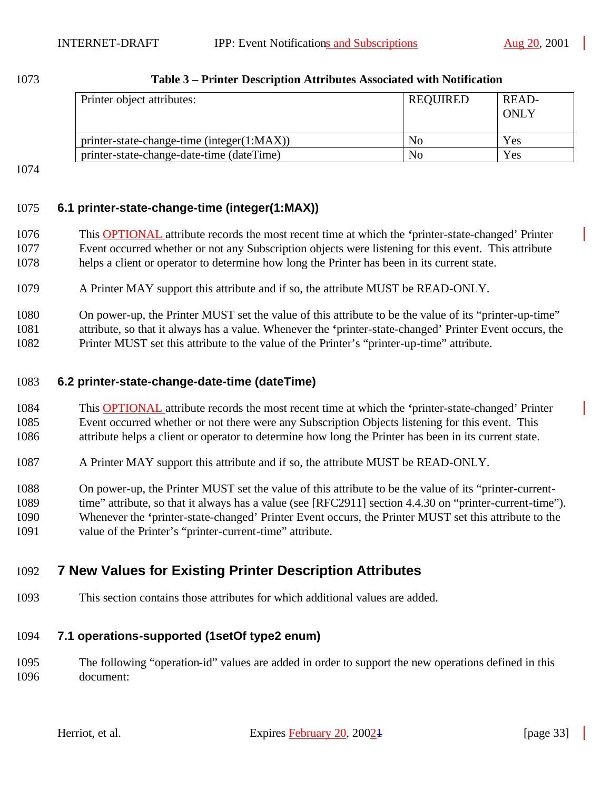| Printer object attributes:                 | REQUIRED | READ-<br><b>ONLY</b> |
|--------------------------------------------|----------|----------------------|
| printer-state-change-time (integer(1:MAX)) | No       | Yes                  |
| printer-state-change-date-time (dateTime)  | No       | Yes                  |

#### **Table 3 – Printer Description Attributes Associated with Notification**

### **6.1 printer-state-change-time (integer(1:MAX))**

- This OPTIONAL attribute records the most recent time at which the **'**printer-state-changed' Printer Event occurred whether or not any Subscription objects were listening for this event. This attribute helps a client or operator to determine how long the Printer has been in its current state.
- A Printer MAY support this attribute and if so, the attribute MUST be READ-ONLY.
- On power-up, the Printer MUST set the value of this attribute to be the value of its "printer-up-time" attribute, so that it always has a value. Whenever the **'**printer-state-changed' Printer Event occurs, the Printer MUST set this attribute to the value of the Printer's "printer-up-time" attribute.

### **6.2 printer-state-change-date-time (dateTime)**

- This OPTIONAL attribute records the most recent time at which the **'**printer-state-changed' Printer Event occurred whether or not there were any Subscription Objects listening for this event. This attribute helps a client or operator to determine how long the Printer has been in its current state.
- A Printer MAY support this attribute and if so, the attribute MUST be READ-ONLY.
- On power-up, the Printer MUST set the value of this attribute to be the value of its "printer-current-1089 time" attribute, so that it always has a value (see [RFC2911] section 4.4.30 on "printer-current-time").
- Whenever the **'**printer-state-changed' Printer Event occurs, the Printer MUST set this attribute to the
- value of the Printer's "printer-current-time" attribute.

# **7 New Values for Existing Printer Description Attributes**

This section contains those attributes for which additional values are added.

### **7.1 operations-supported (1setOf type2 enum)**

 The following "operation-id" values are added in order to support the new operations defined in this document: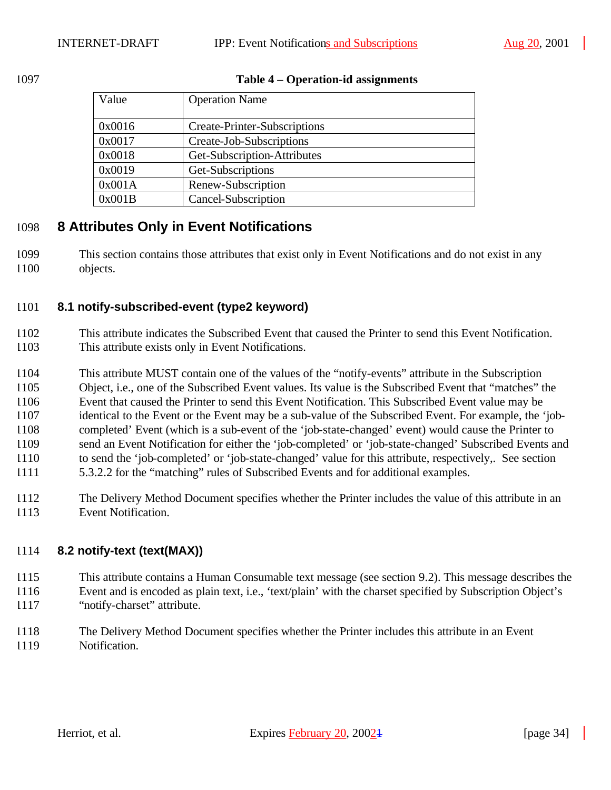#### **Table 4 – Operation-id assignments**

| Value  | <b>Operation Name</b>               |
|--------|-------------------------------------|
| 0x0016 | <b>Create-Printer-Subscriptions</b> |
| 0x0017 | Create-Job-Subscriptions            |
| 0x0018 | Get-Subscription-Attributes         |
| 0x0019 | Get-Subscriptions                   |
| 0x001A | Renew-Subscription                  |
| 0x001B | Cancel-Subscription                 |

# **8 Attributes Only in Event Notifications**

 This section contains those attributes that exist only in Event Notifications and do not exist in any objects.

### **8.1 notify-subscribed-event (type2 keyword)**

- This attribute indicates the Subscribed Event that caused the Printer to send this Event Notification. This attribute exists only in Event Notifications.
- This attribute MUST contain one of the values of the "notify-events" attribute in the Subscription Object, i.e., one of the Subscribed Event values. Its value is the Subscribed Event that "matches" the Event that caused the Printer to send this Event Notification. This Subscribed Event value may be identical to the Event or the Event may be a sub-value of the Subscribed Event. For example, the 'job- completed' Event (which is a sub-event of the 'job-state-changed' event) would cause the Printer to send an Event Notification for either the 'job-completed' or 'job-state-changed' Subscribed Events and to send the 'job-completed' or 'job-state-changed' value for this attribute, respectively,. See section
- 5.3.2.2 for the "matching" rules of Subscribed Events and for additional examples.
- The Delivery Method Document specifies whether the Printer includes the value of this attribute in an Event Notification.

### **8.2 notify-text (text(MAX))**

- This attribute contains a Human Consumable text message (see section 9.2). This message describes the Event and is encoded as plain text, i.e., 'text/plain' with the charset specified by Subscription Object's
- "notify-charset" attribute.
- The Delivery Method Document specifies whether the Printer includes this attribute in an Event Notification.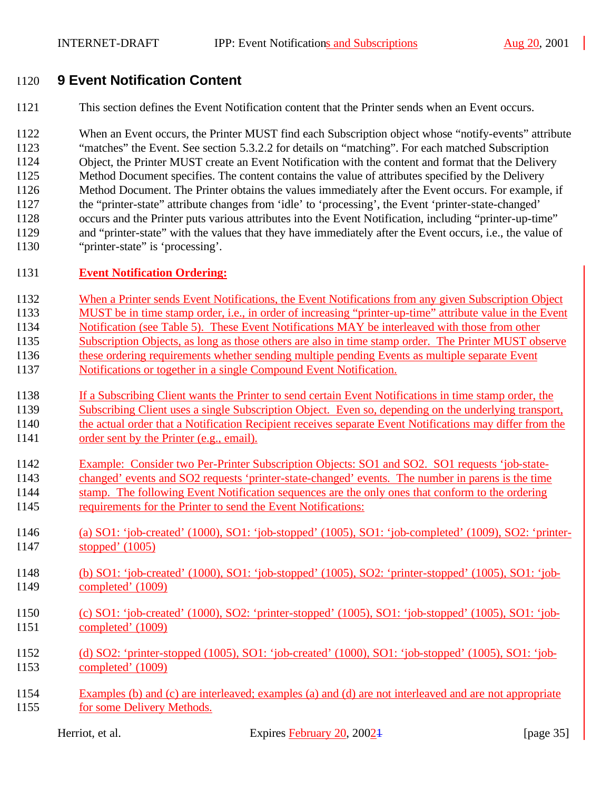# **9 Event Notification Content**

This section defines the Event Notification content that the Printer sends when an Event occurs.

 When an Event occurs, the Printer MUST find each Subscription object whose "notify-events" attribute "matches" the Event. See section 5.3.2.2 for details on "matching". For each matched Subscription Object, the Printer MUST create an Event Notification with the content and format that the Delivery Method Document specifies. The content contains the value of attributes specified by the Delivery Method Document. The Printer obtains the values immediately after the Event occurs. For example, if the "printer-state" attribute changes from 'idle' to 'processing', the Event 'printer-state-changed' occurs and the Printer puts various attributes into the Event Notification, including "printer-up-time" and "printer-state" with the values that they have immediately after the Event occurs, i.e., the value of "printer-state" is 'processing'.

#### **Event Notification Ordering:**

- When a Printer sends Event Notifications, the Event Notifications from any given Subscription Object
- MUST be in time stamp order, i.e., in order of increasing "printer-up-time" attribute value in the Event
- Notification (see Table 5). These Event Notifications MAY be interleaved with those from other
- Subscription Objects, as long as those others are also in time stamp order. The Printer MUST observe
- these ordering requirements whether sending multiple pending Events as multiple separate Event
- Notifications or together in a single Compound Event Notification.
- If a Subscribing Client wants the Printer to send certain Event Notifications in time stamp order, the Subscribing Client uses a single Subscription Object. Even so, depending on the underlying transport, 1140 the actual order that a Notification Recipient receives separate Event Notifications may differ from the
- order sent by the Printer (e.g., email).
- Example: Consider two Per-Printer Subscription Objects: SO1 and SO2. SO1 requests 'job-state-
- changed' events and SO2 requests 'printer-state-changed' events. The number in parens is the time stamp. The following Event Notification sequences are the only ones that conform to the ordering
- requirements for the Printer to send the Event Notifications:
- (a) SO1: 'job-created' (1000), SO1: 'job-stopped' (1005), SO1: 'job-completed' (1009), SO2: 'printer-stopped' (1005)
- (b) SO1: 'job-created' (1000), SO1: 'job-stopped' (1005), SO2: 'printer-stopped' (1005), SO1: 'job-completed' (1009)
- (c) SO1: 'job-created' (1000), SO2: 'printer-stopped' (1005), SO1: 'job-stopped' (1005), SO1: 'job-completed' (1009)
- (d) SO2: 'printer-stopped (1005), SO1: 'job-created' (1000), SO1: 'job-stopped' (1005), SO1: 'job-completed' (1009)
- Examples (b) and (c) are interleaved; examples (a) and (d) are not interleaved and are not appropriate for some Delivery Methods.

Herriot, et al. Expires February 20, 2002<sup>1</sup> [page 35]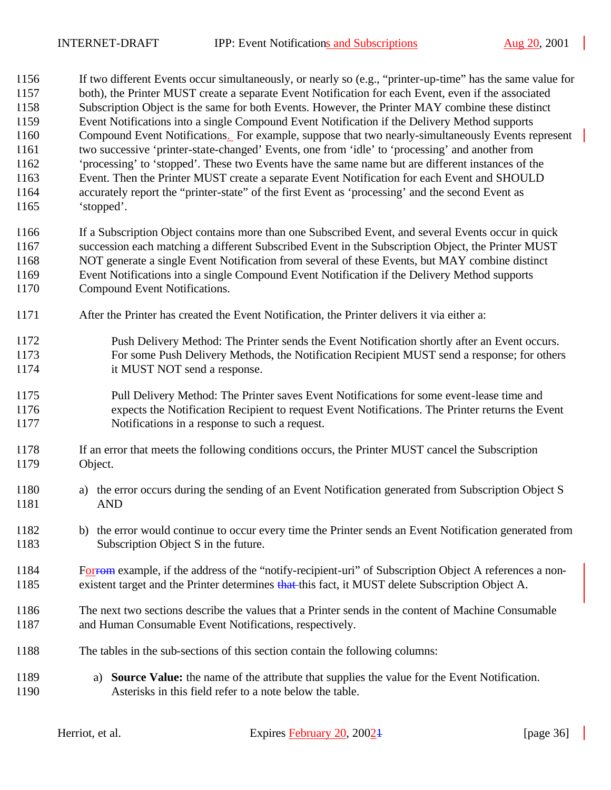If two different Events occur simultaneously, or nearly so (e.g., "printer-up-time" has the same value for

| 1157<br>1158<br>1159<br>1160<br>1161<br>1162<br>1163<br>1164<br>1165 | 'stopped'.                    | both), the Printer MUST create a separate Event Notification for each Event, even if the associated<br>Subscription Object is the same for both Events. However, the Printer MAY combine these distinct<br>Event Notifications into a single Compound Event Notification if the Delivery Method supports<br>Compound Event Notifications. For example, suppose that two nearly-simultaneously Events represent<br>two successive 'printer-state-changed' Events, one from 'idle' to 'processing' and another from<br>'processing' to 'stopped'. These two Events have the same name but are different instances of the<br>Event. Then the Printer MUST create a separate Event Notification for each Event and SHOULD<br>accurately report the "printer-state" of the first Event as 'processing' and the second Event as |              |
|----------------------------------------------------------------------|-------------------------------|---------------------------------------------------------------------------------------------------------------------------------------------------------------------------------------------------------------------------------------------------------------------------------------------------------------------------------------------------------------------------------------------------------------------------------------------------------------------------------------------------------------------------------------------------------------------------------------------------------------------------------------------------------------------------------------------------------------------------------------------------------------------------------------------------------------------------|--------------|
| 1166<br>1167<br>1168<br>1169<br>1170                                 | Compound Event Notifications. | If a Subscription Object contains more than one Subscribed Event, and several Events occur in quick<br>succession each matching a different Subscribed Event in the Subscription Object, the Printer MUST<br>NOT generate a single Event Notification from several of these Events, but MAY combine distinct<br>Event Notifications into a single Compound Event Notification if the Delivery Method supports                                                                                                                                                                                                                                                                                                                                                                                                             |              |
| 1171                                                                 |                               | After the Printer has created the Event Notification, the Printer delivers it via either a:                                                                                                                                                                                                                                                                                                                                                                                                                                                                                                                                                                                                                                                                                                                               |              |
| 1172<br>1173<br>1174                                                 |                               | Push Delivery Method: The Printer sends the Event Notification shortly after an Event occurs.<br>For some Push Delivery Methods, the Notification Recipient MUST send a response; for others<br>it MUST NOT send a response.                                                                                                                                                                                                                                                                                                                                                                                                                                                                                                                                                                                              |              |
| 1175<br>1176<br>1177                                                 |                               | Pull Delivery Method: The Printer saves Event Notifications for some event-lease time and<br>expects the Notification Recipient to request Event Notifications. The Printer returns the Event<br>Notifications in a response to such a request.                                                                                                                                                                                                                                                                                                                                                                                                                                                                                                                                                                           |              |
| 1178<br>1179                                                         | Object.                       | If an error that meets the following conditions occurs, the Printer MUST cancel the Subscription                                                                                                                                                                                                                                                                                                                                                                                                                                                                                                                                                                                                                                                                                                                          |              |
| 1180<br>1181                                                         | a)<br><b>AND</b>              | the error occurs during the sending of an Event Notification generated from Subscription Object S                                                                                                                                                                                                                                                                                                                                                                                                                                                                                                                                                                                                                                                                                                                         |              |
| 1182<br>1183                                                         |                               | b) the error would continue to occur every time the Printer sends an Event Notification generated from<br>Subscription Object S in the future.                                                                                                                                                                                                                                                                                                                                                                                                                                                                                                                                                                                                                                                                            |              |
| 1184<br>1185                                                         |                               | For example, if the address of the "notify-recipient-uri" of Subscription Object A references a non-<br>existent target and the Printer determines that this fact, it MUST delete Subscription Object A.                                                                                                                                                                                                                                                                                                                                                                                                                                                                                                                                                                                                                  |              |
| 1186<br>1187                                                         |                               | The next two sections describe the values that a Printer sends in the content of Machine Consumable<br>and Human Consumable Event Notifications, respectively.                                                                                                                                                                                                                                                                                                                                                                                                                                                                                                                                                                                                                                                            |              |
| 1188                                                                 |                               | The tables in the sub-sections of this section contain the following columns:                                                                                                                                                                                                                                                                                                                                                                                                                                                                                                                                                                                                                                                                                                                                             |              |
| 1189<br>1190                                                         | a)                            | <b>Source Value:</b> the name of the attribute that supplies the value for the Event Notification.<br>Asterisks in this field refer to a note below the table.                                                                                                                                                                                                                                                                                                                                                                                                                                                                                                                                                                                                                                                            |              |
|                                                                      | Herriot, et al.               | Expires February 20, 20024                                                                                                                                                                                                                                                                                                                                                                                                                                                                                                                                                                                                                                                                                                                                                                                                | [page $36$ ] |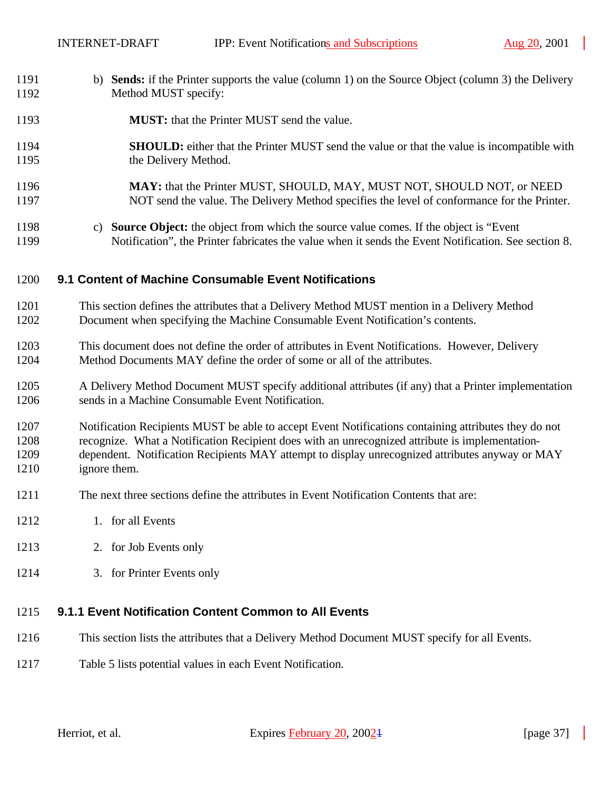- b) **Sends:** if the Printer supports the value (column 1) on the Source Object (column 3) the Delivery Method MUST specify:
- **MUST:** that the Printer MUST send the value.
- **SHOULD:** either that the Printer MUST send the value or that the value is incompatible with the Delivery Method.
- **MAY:** that the Printer MUST, SHOULD, MAY, MUST NOT, SHOULD NOT, or NEED NOT send the value. The Delivery Method specifies the level of conformance for the Printer.
- c) **Source Object:** the object from which the source value comes. If the object is "Event Notification", the Printer fabricates the value when it sends the Event Notification. See section 8.

#### **9.1 Content of Machine Consumable Event Notifications**

- This section defines the attributes that a Delivery Method MUST mention in a Delivery Method Document when specifying the Machine Consumable Event Notification's contents.
- This document does not define the order of attributes in Event Notifications. However, Delivery Method Documents MAY define the order of some or all of the attributes.
- A Delivery Method Document MUST specify additional attributes (if any) that a Printer implementation sends in a Machine Consumable Event Notification.

 Notification Recipients MUST be able to accept Event Notifications containing attributes they do not recognize. What a Notification Recipient does with an unrecognized attribute is implementation- dependent. Notification Recipients MAY attempt to display unrecognized attributes anyway or MAY ignore them.

- The next three sections define the attributes in Event Notification Contents that are:
- 1. for all Events
- 2. for Job Events only
- 3. for Printer Events only

#### **9.1.1 Event Notification Content Common to All Events**

- This section lists the attributes that a Delivery Method Document MUST specify for all Events.
- Table 5 lists potential values in each Event Notification.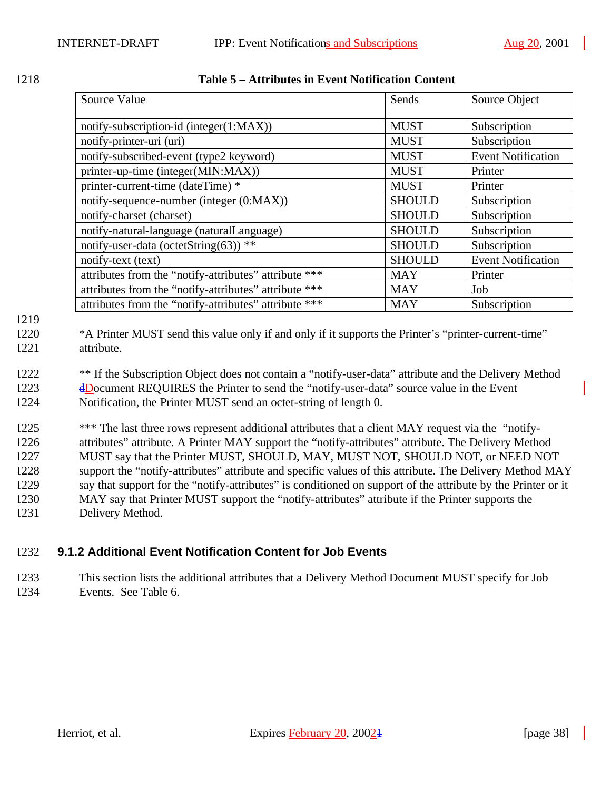| Source Value                                          | Sends         | Source Object             |
|-------------------------------------------------------|---------------|---------------------------|
| notify-subscription-id (integer(1:MAX))               | <b>MUST</b>   | Subscription              |
| notify-printer-uri (uri)                              | <b>MUST</b>   | Subscription              |
| notify-subscribed-event (type2 keyword)               | <b>MUST</b>   | <b>Event Notification</b> |
| printer-up-time (integer(MIN:MAX))                    | <b>MUST</b>   | Printer                   |
| printer-current-time (dateTime) *                     | <b>MUST</b>   | Printer                   |
| notify-sequence-number (integer (0:MAX))              | <b>SHOULD</b> | Subscription              |
| notify-charset (charset)                              | <b>SHOULD</b> | Subscription              |
| notify-natural-language (naturalLanguage)             | <b>SHOULD</b> | Subscription              |
| notify-user-data (octetString(63)) **                 | <b>SHOULD</b> | Subscription              |
| notify-text (text)                                    | <b>SHOULD</b> | <b>Event Notification</b> |
| attributes from the "notify-attributes" attribute *** | <b>MAY</b>    | Printer                   |
| attributes from the "notify-attributes" attribute *** | <b>MAY</b>    | Job                       |
| attributes from the "notify-attributes" attribute *** | <b>MAY</b>    | Subscription              |

1219

1220 \*A Printer MUST send this value only if and only if it supports the Printer's "printer-current-time" 1221 attribute.

<sup>\*\*</sup> If the Subscription Object does not contain a "notify-user-data" attribute and the Delivery Method 1223 dDocument REQUIRES the Printer to send the "notify-user-data" source value in the Event 1224 Notification, the Printer MUST send an octet-string of length 0.

 \*\*\* The last three rows represent additional attributes that a client MAY request via the "notify- attributes" attribute. A Printer MAY support the "notify-attributes" attribute. The Delivery Method MUST say that the Printer MUST, SHOULD, MAY, MUST NOT, SHOULD NOT, or NEED NOT support the "notify-attributes" attribute and specific values of this attribute. The Delivery Method MAY say that support for the "notify-attributes" is conditioned on support of the attribute by the Printer or it MAY say that Printer MUST support the "notify-attributes" attribute if the Printer supports the Delivery Method.

## 1232 **9.1.2 Additional Event Notification Content for Job Events**

1233 This section lists the additional attributes that a Delivery Method Document MUST specify for Job 1234 Events. See Table 6.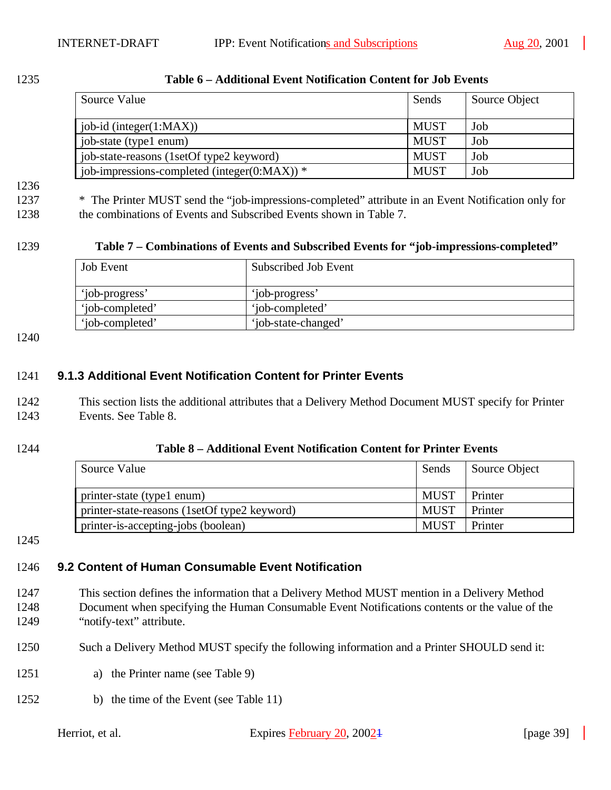| Source Value                                     | Sends       | Source Object |
|--------------------------------------------------|-------------|---------------|
| job-id (integer $(1:MAX)$ )                      | <b>MUST</b> | Job           |
| job-state (type1 enum)                           | <b>MUST</b> | Job           |
| job-state-reasons (1setOf type2 keyword)         | <b>MUST</b> | Job           |
| job-impressions-completed (integer( $0:MAX$ )) * | <b>MUST</b> | Job           |

#### 1235 **Table 6 – Additional Event Notification Content for Job Events**

# 1236

1237 \* The Printer MUST send the "job-impressions-completed" attribute in an Event Notification only for 1238 the combinations of Events and Subscribed Events shown in Table 7.

#### 1239 **Table 7 – Combinations of Events and Subscribed Events for "job-impressions-completed"**

| <b>Job Event</b> | Subscribed Job Event |
|------------------|----------------------|
| 'iob-progress'   | 'job-progress'       |
| 'iob-completed'  | 'iob-completed'      |
| 'iob-completed'  | 'job-state-changed'  |

1240

#### 1241 **9.1.3 Additional Event Notification Content for Printer Events**

1242 This section lists the additional attributes that a Delivery Method Document MUST specify for Printer 1243 Events. See Table 8.

#### 1244 **Table 8 – Additional Event Notification Content for Printer Events**

| Source Value                                 | Sends       | Source Object |
|----------------------------------------------|-------------|---------------|
| printer-state (type1 enum)                   | <b>MUST</b> | Printer       |
| printer-state-reasons (1setOf type2 keyword) | <b>MUST</b> | Printer       |
| printer-is-accepting-jobs (boolean)          | <b>MUST</b> | Printer       |

1245

## 1246 **9.2 Content of Human Consumable Event Notification**

- 1247 This section defines the information that a Delivery Method MUST mention in a Delivery Method 1248 Document when specifying the Human Consumable Event Notifications contents or the value of the 1249 "notify-text" attribute.
- 1250 Such a Delivery Method MUST specify the following information and a Printer SHOULD send it:
- 1251 a) the Printer name (see Table 9)
- 1252 b) the time of the Event (see Table 11)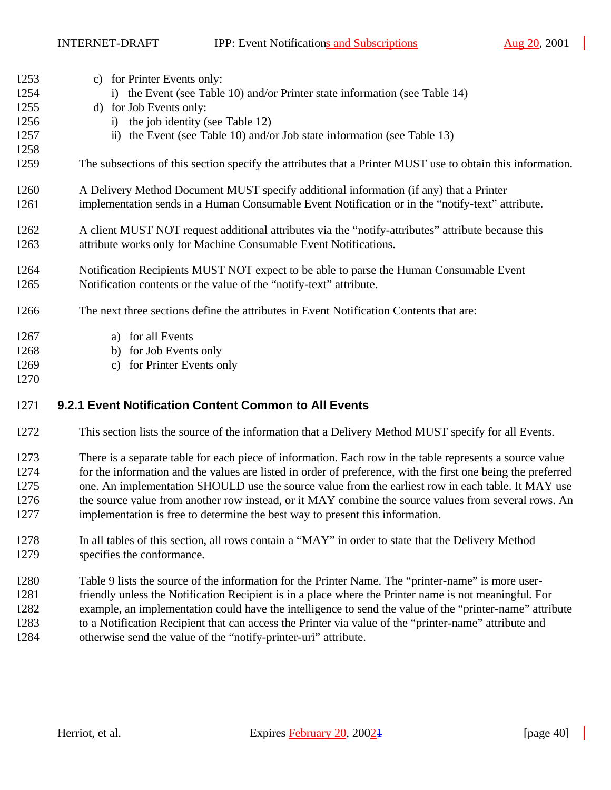| 1253 | c) for Printer Events only:                                                                                  |
|------|--------------------------------------------------------------------------------------------------------------|
| 1254 | i) the Event (see Table 10) and/or Printer state information (see Table 14)                                  |
| 1255 | d) for Job Events only:                                                                                      |
| 1256 | i) the job identity (see Table 12)                                                                           |
| 1257 | ii) the Event (see Table 10) and/or Job state information (see Table 13)                                     |
| 1258 |                                                                                                              |
| 1259 | The subsections of this section specify the attributes that a Printer MUST use to obtain this information.   |
| 1260 | A Delivery Method Document MUST specify additional information (if any) that a Printer                       |
| 1261 | implementation sends in a Human Consumable Event Notification or in the "notify-text" attribute.             |
| 1262 | A client MUST NOT request additional attributes via the "notify-attributes" attribute because this           |
| 1263 | attribute works only for Machine Consumable Event Notifications.                                             |
| 1264 | Notification Recipients MUST NOT expect to be able to parse the Human Consumable Event                       |
| 1265 | Notification contents or the value of the "notify-text" attribute.                                           |
| 1266 | The next three sections define the attributes in Event Notification Contents that are:                       |
| 1267 | a) for all Events                                                                                            |
| 1268 | b) for Job Events only                                                                                       |
| 1269 | for Printer Events only<br>$\mathbf{c})$                                                                     |
| 1270 |                                                                                                              |
| 1271 | 9.2.1 Event Notification Content Common to All Events                                                        |
| 1272 | This section lists the source of the information that a Delivery Method MUST specify for all Events.         |
| 1273 | There is a separate table for each piece of information. Each row in the table represents a source value     |
| 1274 | for the information and the values are listed in order of preference, with the first one being the preferred |
| 1275 | one. An implementation SHOULD use the source value from the earliest row in each table. It MAY use           |
| 1276 | the source value from another row instead, or it MAY combine the source values from several rows. An         |
| 1277 | implementation is free to determine the best way to present this information.                                |
| 1278 | In all tables of this section, all rows contain a "MAY" in order to state that the Delivery Method           |
| 1279 | specifies the conformance.                                                                                   |

- Table 9 lists the source of the information for the Printer Name. The "printer-name" is more user- friendly unless the Notification Recipient is in a place where the Printer name is not meaningful. For example, an implementation could have the intelligence to send the value of the "printer-name" attribute
- to a Notification Recipient that can access the Printer via value of the "printer-name" attribute and otherwise send the value of the "notify-printer-uri" attribute.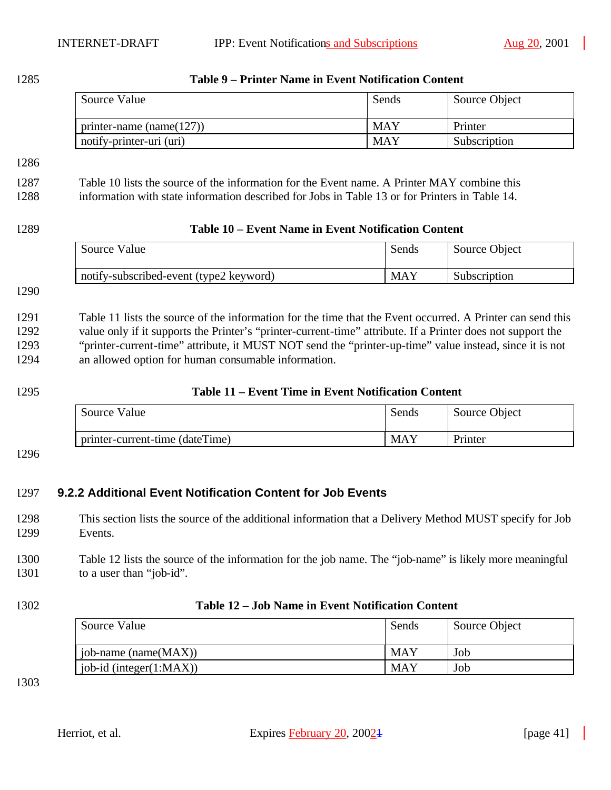$\mathbb{R}^2$ 

| 1285 | Table 9 – Printer Name in Event Notification Content                                                        |            |               |  |
|------|-------------------------------------------------------------------------------------------------------------|------------|---------------|--|
|      | Source Value                                                                                                | Sends      | Source Object |  |
|      | printer-name (name(127))                                                                                    | <b>MAY</b> | Printer       |  |
|      | notify-printer-uri (uri)                                                                                    | <b>MAY</b> | Subscription  |  |
| 1286 |                                                                                                             |            |               |  |
| 1287 | Table 10 lists the source of the information for the Event name. A Printer MAY combine this                 |            |               |  |
| 1288 | information with state information described for Jobs in Table 13 or for Printers in Table 14.              |            |               |  |
| 1289 | Table 10 – Event Name in Event Notification Content                                                         |            |               |  |
|      | Source Value                                                                                                | Sends      | Source Object |  |
|      | notify-subscribed-event (type2 keyword)                                                                     | <b>MAY</b> | Subscription  |  |
| 1290 |                                                                                                             |            |               |  |
|      |                                                                                                             |            |               |  |
| 1291 | Table 11 lists the source of the information for the time that the Event occurred. A Printer can send this  |            |               |  |
| 1292 | value only if it supports the Printer's "printer-current-time" attribute. If a Printer does not support the |            |               |  |
| 1293 | "printer-current-time" attribute, it MUST NOT send the "printer-up-time" value instead, since it is not     |            |               |  |
| 1294 | an allowed option for human consumable information.                                                         |            |               |  |
| 1295 | Table 11 – Event Time in Event Notification Content                                                         |            |               |  |
|      | Source Value                                                                                                | Sends      | Source Object |  |
|      | printer-current-time (dateTime)                                                                             | <b>MAY</b> | Printer       |  |
| 1296 |                                                                                                             |            |               |  |
|      |                                                                                                             |            |               |  |
| 1297 | 9.2.2 Additional Event Notification Content for Job Events                                                  |            |               |  |
| 1298 | This section lists the source of the additional information that a Delivery Method MUST specify for Job     |            |               |  |
| 1299 | Events.                                                                                                     |            |               |  |
| 1300 | Table 12 lists the source of the information for the job name. The "job-name" is likely more meaningful     |            |               |  |
| 1301 | to a user than "job-id".                                                                                    |            |               |  |
| 1302 | Table 12 - Job Name in Event Notification Content                                                           |            |               |  |
|      | Source Value                                                                                                | Sends      | Source Object |  |
|      | job-name (name(MAX))                                                                                        | <b>MAY</b> | Job           |  |
|      | job-id (integer(1:MAX))                                                                                     | <b>MAY</b> | Job           |  |
| 1303 |                                                                                                             |            |               |  |
|      |                                                                                                             |            |               |  |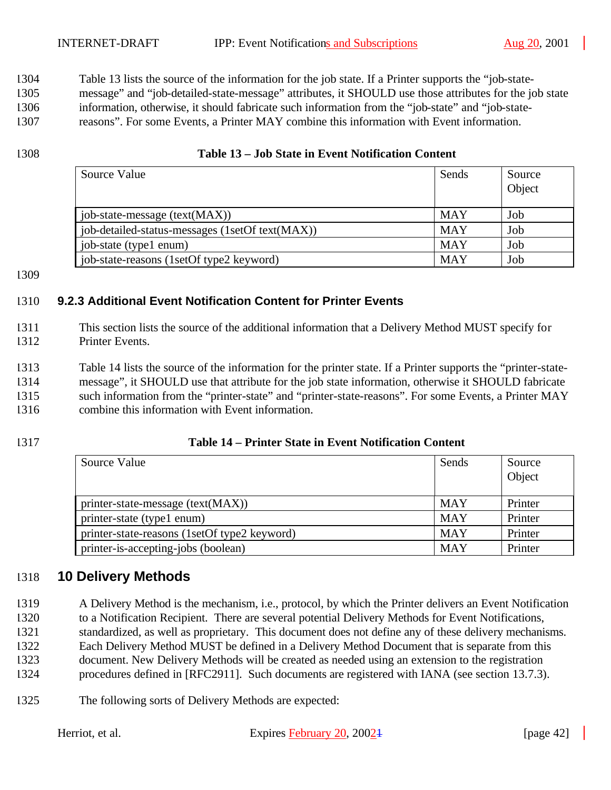Table 13 lists the source of the information for the job state. If a Printer supports the "job-state-

 message" and "job-detailed-state-message" attributes, it SHOULD use those attributes for the job state information, otherwise, it should fabricate such information from the "job-state" and "job-state-

reasons". For some Events, a Printer MAY combine this information with Event information.

### **Table 13 – Job State in Event Notification Content**

| Source Value                                    | Sends      | Source<br>Object |
|-------------------------------------------------|------------|------------------|
| job-state-message (text(MAX))                   | <b>MAY</b> | Job              |
| job-detailed-status-messages (1setOf text(MAX)) | <b>MAY</b> | Job              |
| job-state (type1 enum)                          | <b>MAY</b> | Job              |
| job-state-reasons (1setOf type2 keyword)        | <b>MAY</b> | Job              |

## **9.2.3 Additional Event Notification Content for Printer Events**

- This section lists the source of the additional information that a Delivery Method MUST specify for Printer Events.
- Table 14 lists the source of the information for the printer state. If a Printer supports the "printer-state- message", it SHOULD use that attribute for the job state information, otherwise it SHOULD fabricate such information from the "printer-state" and "printer-state-reasons". For some Events, a Printer MAY combine this information with Event information.

## **Table 14 – Printer State in Event Notification Content**

| Source Value                                 | Sends      | Source<br>Object |
|----------------------------------------------|------------|------------------|
| printer-state-message (text(MAX))            | <b>MAY</b> | Printer          |
| printer-state (type1 enum)                   | <b>MAY</b> | Printer          |
| printer-state-reasons (1setOf type2 keyword) | <b>MAY</b> | Printer          |
| printer-is-accepting-jobs (boolean)          | <b>MAY</b> | Printer          |

# **10 Delivery Methods**

- A Delivery Method is the mechanism, i.e., protocol, by which the Printer delivers an Event Notification to a Notification Recipient. There are several potential Delivery Methods for Event Notifications, standardized, as well as proprietary. This document does not define any of these delivery mechanisms. Each Delivery Method MUST be defined in a Delivery Method Document that is separate from this document. New Delivery Methods will be created as needed using an extension to the registration procedures defined in [RFC2911]. Such documents are registered with IANA (see section 13.7.3).
- The following sorts of Delivery Methods are expected: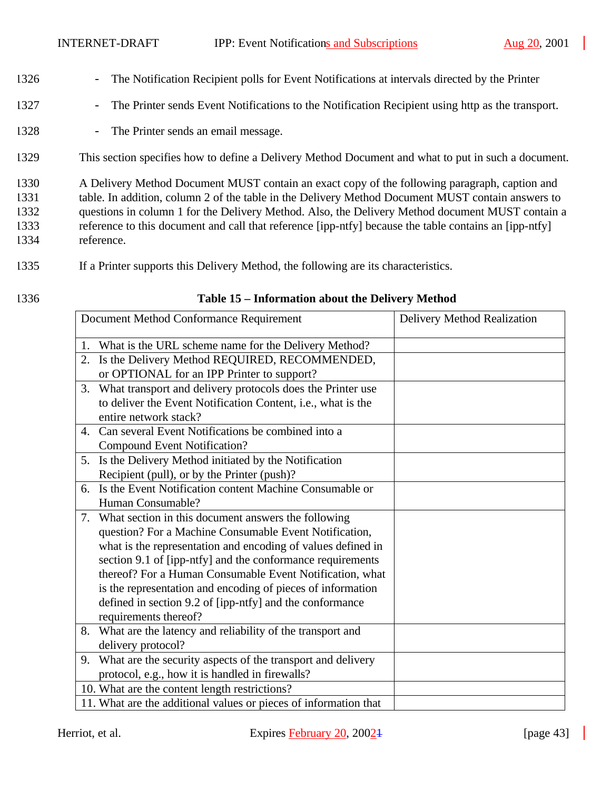- 1326 The Notification Recipient polls for Event Notifications at intervals directed by the Printer
- 1327 The Printer sends Event Notifications to the Notification Recipient using http as the transport.
- 1328 The Printer sends an email message.
- 1329 This section specifies how to define a Delivery Method Document and what to put in such a document.
- 1330 A Delivery Method Document MUST contain an exact copy of the following paragraph, caption and 1331 table. In addition, column 2 of the table in the Delivery Method Document MUST contain answers to 1332 questions in column 1 for the Delivery Method. Also, the Delivery Method document MUST contain a 1333 reference to this document and call that reference [ipp-ntfy] because the table contains an [ipp-ntfy] 1334 reference.
- 1335 If a Printer supports this Delivery Method, the following are its characteristics.
- 

#### 1336 **Table 15 – Information about the Delivery Method**

| Document Method Conformance Requirement                          | Delivery Method Realization |
|------------------------------------------------------------------|-----------------------------|
| What is the URL scheme name for the Delivery Method?<br>1.       |                             |
| Is the Delivery Method REQUIRED, RECOMMENDED,<br>2.              |                             |
| or OPTIONAL for an IPP Printer to support?                       |                             |
| What transport and delivery protocols does the Printer use<br>3. |                             |
| to deliver the Event Notification Content, i.e., what is the     |                             |
| entire network stack?                                            |                             |
| Can several Event Notifications be combined into a<br>4.         |                             |
| Compound Event Notification?                                     |                             |
| 5. Is the Delivery Method initiated by the Notification          |                             |
| Recipient (pull), or by the Printer (push)?                      |                             |
| Is the Event Notification content Machine Consumable or<br>6.    |                             |
| Human Consumable?                                                |                             |
| What section in this document answers the following<br>7.        |                             |
| question? For a Machine Consumable Event Notification,           |                             |
| what is the representation and encoding of values defined in     |                             |
| section 9.1 of [ipp-ntfy] and the conformance requirements       |                             |
| thereof? For a Human Consumable Event Notification, what         |                             |
| is the representation and encoding of pieces of information      |                             |
| defined in section 9.2 of [ipp-ntfy] and the conformance         |                             |
| requirements thereof?                                            |                             |
| What are the latency and reliability of the transport and<br>8.  |                             |
| delivery protocol?                                               |                             |
| 9. What are the security aspects of the transport and delivery   |                             |
| protocol, e.g., how it is handled in firewalls?                  |                             |
| 10. What are the content length restrictions?                    |                             |
| 11. What are the additional values or pieces of information that |                             |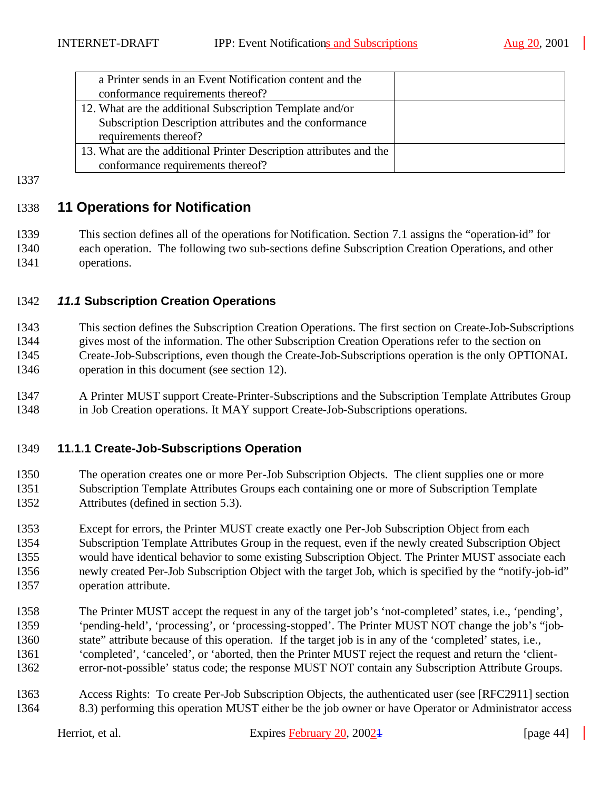| a Printer sends in an Event Notification content and the           |  |
|--------------------------------------------------------------------|--|
| conformance requirements thereof?                                  |  |
| 12. What are the additional Subscription Template and/or           |  |
| Subscription Description attributes and the conformance            |  |
| requirements thereof?                                              |  |
| 13. What are the additional Printer Description attributes and the |  |
| conformance requirements thereof?                                  |  |

#### 

## **11 Operations for Notification**

 This section defines all of the operations for Notification. Section 7.1 assigns the "operation-id" for each operation. The following two sub-sections define Subscription Creation Operations, and other operations.

#### *11.1* **Subscription Creation Operations**

 This section defines the Subscription Creation Operations. The first section on Create-Job-Subscriptions gives most of the information. The other Subscription Creation Operations refer to the section on Create-Job-Subscriptions, even though the Create-Job-Subscriptions operation is the only OPTIONAL operation in this document (see section 12).

 A Printer MUST support Create-Printer-Subscriptions and the Subscription Template Attributes Group in Job Creation operations. It MAY support Create-Job-Subscriptions operations.

#### **11.1.1 Create-Job-Subscriptions Operation**

 The operation creates one or more Per-Job Subscription Objects. The client supplies one or more Subscription Template Attributes Groups each containing one or more of Subscription Template Attributes (defined in section 5.3).

 Except for errors, the Printer MUST create exactly one Per-Job Subscription Object from each Subscription Template Attributes Group in the request, even if the newly created Subscription Object would have identical behavior to some existing Subscription Object. The Printer MUST associate each newly created Per-Job Subscription Object with the target Job, which is specified by the "notify-job-id" operation attribute.

- The Printer MUST accept the request in any of the target job's 'not-completed' states, i.e., 'pending', 'pending-held', 'processing', or 'processing-stopped'. The Printer MUST NOT change the job's "job- state" attribute because of this operation. If the target job is in any of the 'completed' states, i.e., 'completed', 'canceled', or 'aborted, then the Printer MUST reject the request and return the 'client-error-not-possible' status code; the response MUST NOT contain any Subscription Attribute Groups.
- Access Rights: To create Per-Job Subscription Objects, the authenticated user (see [RFC2911] section 8.3) performing this operation MUST either be the job owner or have Operator or Administrator access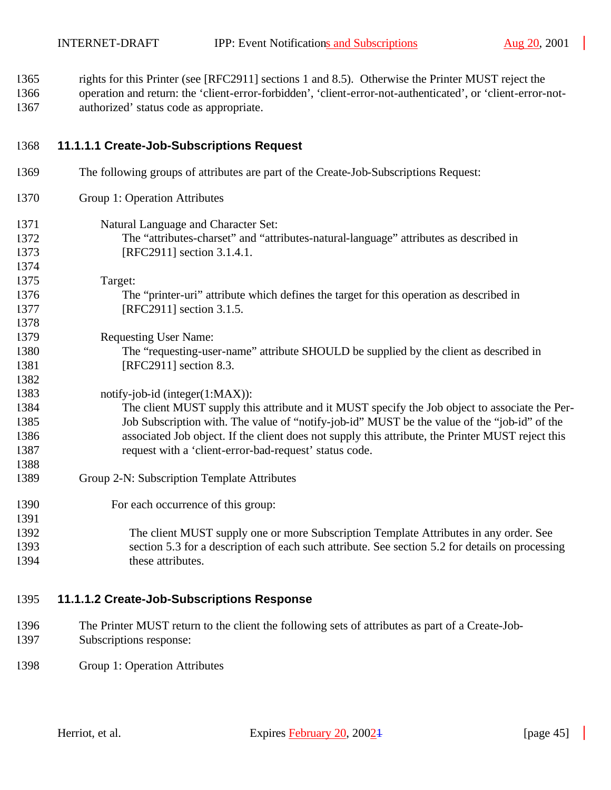rights for this Printer (see [RFC2911] sections 1 and 8.5). Otherwise the Printer MUST reject the operation and return: the 'client-error-forbidden', 'client-error-not-authenticated', or 'client-error-not-authorized' status code as appropriate.

### **11.1.1.1 Create-Job-Subscriptions Request**

 The following groups of attributes are part of the Create-Job-Subscriptions Request: Group 1: Operation Attributes Natural Language and Character Set: The "attributes-charset" and "attributes-natural-language" attributes as described in [RFC2911] section 3.1.4.1. Target: The "printer-uri" attribute which defines the target for this operation as described in 1377 [RFC2911] section 3.1.5. Requesting User Name: The "requesting-user-name" attribute SHOULD be supplied by the client as described in 1381 [RFC2911] section 8.3. 1383 notify-job-id (integer(1:MAX)): The client MUST supply this attribute and it MUST specify the Job object to associate the Per- Job Subscription with. The value of "notify-job-id" MUST be the value of the "job-id" of the associated Job object. If the client does not supply this attribute, the Printer MUST reject this request with a 'client-error-bad-request' status code. Group 2-N: Subscription Template Attributes For each occurrence of this group: The client MUST supply one or more Subscription Template Attributes in any order. See section 5.3 for a description of each such attribute. See section 5.2 for details on processing 1394 these attributes.

## **11.1.1.2 Create-Job-Subscriptions Response**

- The Printer MUST return to the client the following sets of attributes as part of a Create-Job-Subscriptions response:
- Group 1: Operation Attributes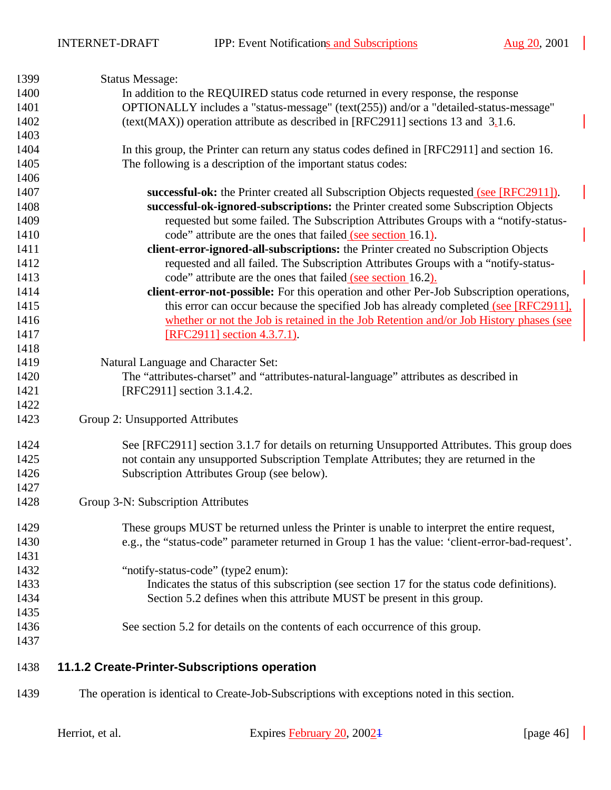| 1399 | <b>Status Message:</b>                                                                           |
|------|--------------------------------------------------------------------------------------------------|
| 1400 | In addition to the REQUIRED status code returned in every response, the response                 |
| 1401 | OPTIONALLY includes a "status-message" (text(255)) and/or a "detailed-status-message"            |
| 1402 | (text(MAX)) operation attribute as described in [RFC2911] sections 13 and $3.1.6$ .              |
| 1403 |                                                                                                  |
| 1404 | In this group, the Printer can return any status codes defined in [RFC2911] and section 16.      |
| 1405 | The following is a description of the important status codes:                                    |
| 1406 |                                                                                                  |
| 1407 | successful-ok: the Printer created all Subscription Objects requested (see [RFC2911]).           |
| 1408 | successful-ok-ignored-subscriptions: the Printer created some Subscription Objects               |
| 1409 | requested but some failed. The Subscription Attributes Groups with a "notify-status-             |
| 1410 | code" attribute are the ones that failed (see section 16.1).                                     |
| 1411 | client-error-ignored-all-subscriptions: the Printer created no Subscription Objects              |
| 1412 | requested and all failed. The Subscription Attributes Groups with a "notify-status-              |
| 1413 | code" attribute are the ones that failed (see section 16.2).                                     |
| 1414 | client-error-not-possible: For this operation and other Per-Job Subscription operations,         |
| 1415 | this error can occur because the specified Job has already completed (see [RFC2911],             |
| 1416 | whether or not the Job is retained in the Job Retention and/or Job History phases (see           |
| 1417 | $[RFC2911]$ section 4.3.7.1).                                                                    |
| 1418 |                                                                                                  |
| 1419 | Natural Language and Character Set:                                                              |
| 1420 | The "attributes-charset" and "attributes-natural-language" attributes as described in            |
| 1421 | [RFC2911] section 3.1.4.2.                                                                       |
| 1422 |                                                                                                  |
| 1423 | Group 2: Unsupported Attributes                                                                  |
| 1424 | See [RFC2911] section 3.1.7 for details on returning Unsupported Attributes. This group does     |
| 1425 | not contain any unsupported Subscription Template Attributes; they are returned in the           |
| 1426 | Subscription Attributes Group (see below).                                                       |
| 1427 |                                                                                                  |
| 1428 | Group 3-N: Subscription Attributes                                                               |
| 1429 | These groups MUST be returned unless the Printer is unable to interpret the entire request,      |
| 1430 | e.g., the "status-code" parameter returned in Group 1 has the value: 'client-error-bad-request'. |
| 1431 |                                                                                                  |
| 1432 | "notify-status-code" (type2 enum):                                                               |
| 1433 | Indicates the status of this subscription (see section 17 for the status code definitions).      |
| 1434 | Section 5.2 defines when this attribute MUST be present in this group.                           |
| 1435 |                                                                                                  |
| 1436 | See section 5.2 for details on the contents of each occurrence of this group.                    |
| 1437 |                                                                                                  |
| 1438 | 11.1.2 Create-Printer-Subscriptions operation                                                    |
| 1439 | The operation is identical to Create-Job-Subscriptions with exceptions noted in this section.    |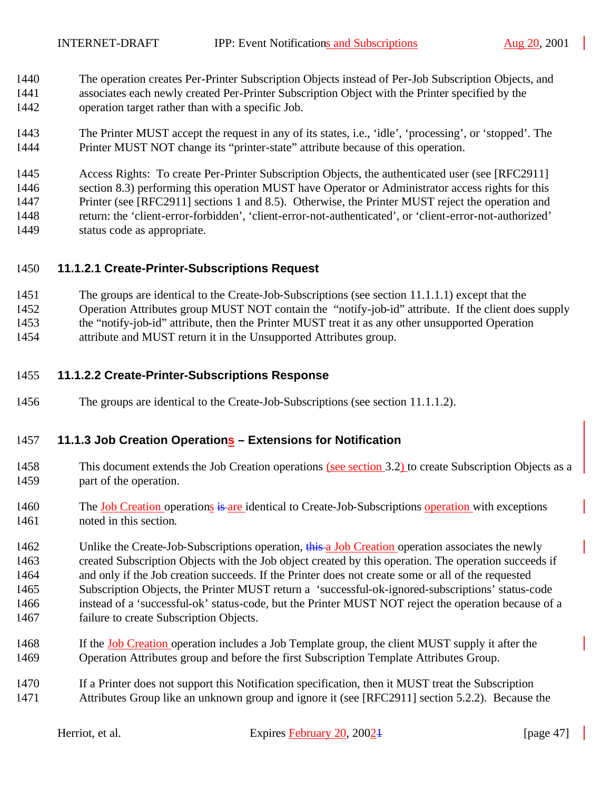- The operation creates Per-Printer Subscription Objects instead of Per-Job Subscription Objects, and associates each newly created Per-Printer Subscription Object with the Printer specified by the operation target rather than with a specific Job.
- The Printer MUST accept the request in any of its states, i.e., 'idle', 'processing', or 'stopped'. The Printer MUST NOT change its "printer-state" attribute because of this operation.

 Access Rights: To create Per-Printer Subscription Objects, the authenticated user (see [RFC2911] section 8.3) performing this operation MUST have Operator or Administrator access rights for this Printer (see [RFC2911] sections 1 and 8.5). Otherwise, the Printer MUST reject the operation and return: the 'client-error-forbidden', 'client-error-not-authenticated', or 'client-error-not-authorized' status code as appropriate.

## **11.1.2.1 Create-Printer-Subscriptions Request**

- The groups are identical to the Create-Job-Subscriptions (see section 11.1.1.1) except that the
- Operation Attributes group MUST NOT contain the "notify-job-id" attribute. If the client does supply
- the "notify-job-id" attribute, then the Printer MUST treat it as any other unsupported Operation
- attribute and MUST return it in the Unsupported Attributes group.

#### **11.1.2.2 Create-Printer-Subscriptions Response**

The groups are identical to the Create-Job-Subscriptions (see section 11.1.1.2).

#### **11.1.3 Job Creation Operations – Extensions for Notification**

- This document extends the Job Creation operations (see section 3.2) to create Subscription Objects as a part of the operation.
- 1460 The Job Creation operations is are identical to Create-Job-Subscriptions operation with exceptions noted in this section.

1462 Unlike the Create-Job-Subscriptions operation, this a Job Creation operation associates the newly created Subscription Objects with the Job object created by this operation. The operation succeeds if and only if the Job creation succeeds. If the Printer does not create some or all of the requested Subscription Objects, the Printer MUST return a 'successful-ok-ignored-subscriptions' status-code instead of a 'successful-ok' status-code, but the Printer MUST NOT reject the operation because of a failure to create Subscription Objects.

- If the Job Creation operation includes a Job Template group, the client MUST supply it after the Operation Attributes group and before the first Subscription Template Attributes Group.
- If a Printer does not support this Notification specification, then it MUST treat the Subscription Attributes Group like an unknown group and ignore it (see [RFC2911] section 5.2.2). Because the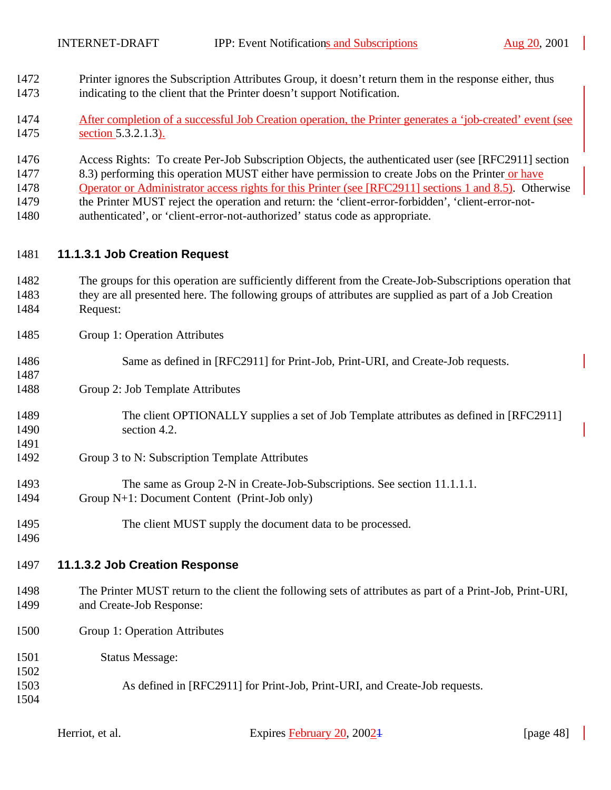- Printer ignores the Subscription Attributes Group, it doesn't return them in the response either, thus indicating to the client that the Printer doesn't support Notification.
- After completion of a successful Job Creation operation, the Printer generates a 'job-created' event (see section 5.3.2.1.3).
- Access Rights: To create Per-Job Subscription Objects, the authenticated user (see [RFC2911] section
- 8.3) performing this operation MUST either have permission to create Jobs on the Printer or have
- Operator or Administrator access rights for this Printer (see [RFC2911] sections 1 and 8.5). Otherwise
- the Printer MUST reject the operation and return: the 'client-error-forbidden', 'client-error-not-
- authenticated', or 'client-error-not-authorized' status code as appropriate.

## **11.1.3.1 Job Creation Request**

- The groups for this operation are sufficiently different from the Create-Job-Subscriptions operation that they are all presented here. The following groups of attributes are supplied as part of a Job Creation Request:
- Group 1: Operation Attributes
- Same as defined in [RFC2911] for Print-Job, Print-URI, and Create-Job requests.
- Group 2: Job Template Attributes
- The client OPTIONALLY supplies a set of Job Template attributes as defined in [RFC2911] section 4.2.
- Group 3 to N: Subscription Template Attributes
- The same as Group 2-N in Create-Job-Subscriptions. See section 11.1.1.1. Group N+1: Document Content (Print-Job only)
- The client MUST supply the document data to be processed.
- 

## **11.1.3.2 Job Creation Response**

- The Printer MUST return to the client the following sets of attributes as part of a Print-Job, Print-URI, and Create-Job Response:
- Group 1: Operation Attributes
- Status Message:
- As defined in [RFC2911] for Print-Job, Print-URI, and Create-Job requests.
- 

Herriot, et al. Expires February 20, 2002<sup>1</sup> [page 48]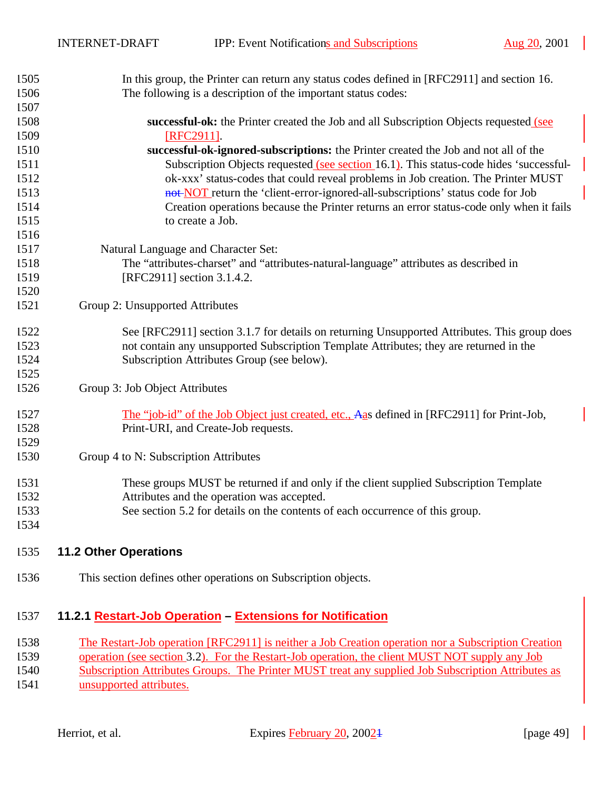| 1505 | In this group, the Printer can return any status codes defined in [RFC2911] and section 16.  |
|------|----------------------------------------------------------------------------------------------|
| 1506 | The following is a description of the important status codes:                                |
| 1507 |                                                                                              |
| 1508 | successful-ok: the Printer created the Job and all Subscription Objects requested (see       |
| 1509 | [RFC2911].                                                                                   |
| 1510 | successful-ok-ignored-subscriptions: the Printer created the Job and not all of the          |
| 1511 | Subscription Objects requested (see section 16.1). This status-code hides 'successful-       |
| 1512 | ok-xxx' status-codes that could reveal problems in Job creation. The Printer MUST            |
| 1513 | not-NOT return the 'client-error-ignored-all-subscriptions' status code for Job              |
| 1514 | Creation operations because the Printer returns an error status-code only when it fails      |
| 1515 | to create a Job.                                                                             |
| 1516 |                                                                                              |
| 1517 | Natural Language and Character Set:                                                          |
| 1518 | The "attributes-charset" and "attributes-natural-language" attributes as described in        |
| 1519 | [RFC2911] section 3.1.4.2.                                                                   |
| 1520 |                                                                                              |
| 1521 | Group 2: Unsupported Attributes                                                              |
| 1522 | See [RFC2911] section 3.1.7 for details on returning Unsupported Attributes. This group does |
| 1523 | not contain any unsupported Subscription Template Attributes; they are returned in the       |
| 1524 | Subscription Attributes Group (see below).                                                   |
| 1525 |                                                                                              |
| 1526 | Group 3: Job Object Attributes                                                               |
| 1527 | The "job-id" of the Job Object just created, etc., Aas defined in [RFC2911] for Print-Job,   |
| 1528 | Print-URI, and Create-Job requests.                                                          |
| 1529 |                                                                                              |
| 1530 | Group 4 to N: Subscription Attributes                                                        |
| 1531 | These groups MUST be returned if and only if the client supplied Subscription Template       |
| 1532 | Attributes and the operation was accepted.                                                   |
| 1533 | See section 5.2 for details on the contents of each occurrence of this group.                |
| 1534 |                                                                                              |
| 1535 | <b>11.2 Other Operations</b>                                                                 |

This section defines other operations on Subscription objects.

## **11.2.1 Restart-Job Operation – Extensions for Notification**

The Restart-Job operation [RFC2911] is neither a Job Creation operation nor a Subscription Creation

operation (see section 3.2). For the Restart-Job operation, the client MUST NOT supply any Job

 Subscription Attributes Groups. The Printer MUST treat any supplied Job Subscription Attributes as **unsupported attributes.**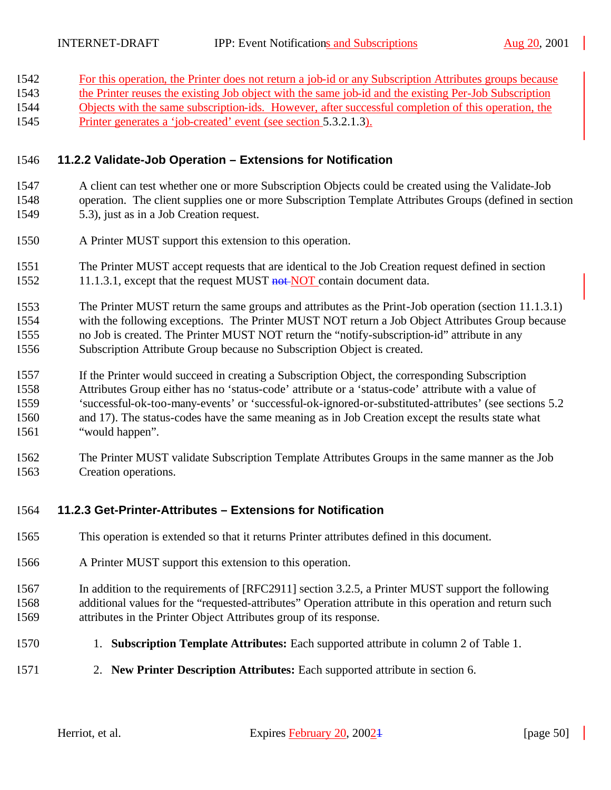| 1542 | For this operation, the Printer does not return a job-id or any Subscription Attributes groups because |
|------|--------------------------------------------------------------------------------------------------------|
| 1543 | the Printer reuses the existing Job object with the same job-id and the existing Per-Job Subscription  |
| 1544 | Objects with the same subscription-ids. However, after successful completion of this operation, the    |
| 1545 | Printer generates a 'job-created' event (see section 5.3.2.1.3).                                       |

#### **11.2.2 Validate-Job Operation – Extensions for Notification**

- A client can test whether one or more Subscription Objects could be created using the Validate-Job operation. The client supplies one or more Subscription Template Attributes Groups (defined in section 5.3), just as in a Job Creation request.
- A Printer MUST support this extension to this operation.
- The Printer MUST accept requests that are identical to the Job Creation request defined in section 1552 11.1.3.1, except that the request MUST not NOT contain document data.
- The Printer MUST return the same groups and attributes as the Print-Job operation (section 11.1.3.1) with the following exceptions. The Printer MUST NOT return a Job Object Attributes Group because no Job is created. The Printer MUST NOT return the "notify-subscription-id" attribute in any Subscription Attribute Group because no Subscription Object is created.
- If the Printer would succeed in creating a Subscription Object, the corresponding Subscription Attributes Group either has no 'status-code' attribute or a 'status-code' attribute with a value of 'successful-ok-too-many-events' or 'successful-ok-ignored-or-substituted-attributes' (see sections 5.2 and 17). The status-codes have the same meaning as in Job Creation except the results state what "would happen".
- The Printer MUST validate Subscription Template Attributes Groups in the same manner as the Job Creation operations.

#### **11.2.3 Get-Printer-Attributes – Extensions for Notification**

- This operation is extended so that it returns Printer attributes defined in this document.
- A Printer MUST support this extension to this operation.
- In addition to the requirements of [RFC2911] section 3.2.5, a Printer MUST support the following additional values for the "requested-attributes" Operation attribute in this operation and return such attributes in the Printer Object Attributes group of its response.
- 1. **Subscription Template Attributes:** Each supported attribute in column 2 of Table 1.
- 2. **New Printer Description Attributes:** Each supported attribute in section 6.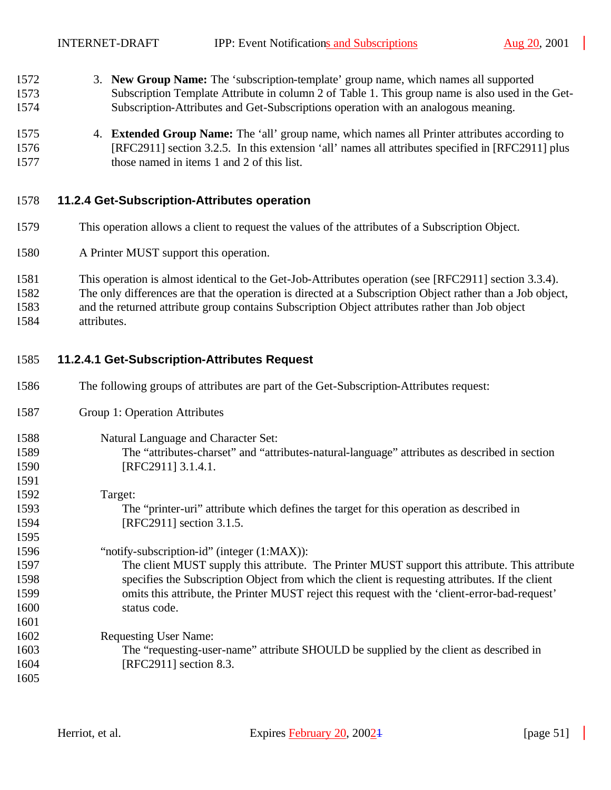INTERNET-DRAFT IPP: Event Notifications and Subscriptions Aug 20, 2001

- 3. **New Group Name:** The 'subscription-template' group name, which names all supported Subscription Template Attribute in column 2 of Table 1. This group name is also used in the Get-Subscription-Attributes and Get-Subscriptions operation with an analogous meaning.
- 4. **Extended Group Name:** The 'all' group name, which names all Printer attributes according to [RFC2911] section 3.2.5. In this extension 'all' names all attributes specified in [RFC2911] plus those named in items 1 and 2 of this list.

#### **11.2.4 Get-Subscription-Attributes operation**

- This operation allows a client to request the values of the attributes of a Subscription Object.
- A Printer MUST support this operation.
- This operation is almost identical to the Get-Job-Attributes operation (see [RFC2911] section 3.3.4).
- The only differences are that the operation is directed at a Subscription Object rather than a Job object,
- and the returned attribute group contains Subscription Object attributes rather than Job object attributes.

#### **11.2.4.1 Get-Subscription-Attributes Request**

- The following groups of attributes are part of the Get-Subscription-Attributes request:
- Group 1: Operation Attributes

#### Natural Language and Character Set:

- The "attributes-charset" and "attributes-natural-language" attributes as described in section [RFC2911] 3.1.4.1.
- Target: The "printer-uri" attribute which defines the target for this operation as described in [RFC2911] section 3.1.5.
- "notify-subscription-id" (integer (1:MAX)): The client MUST supply this attribute. The Printer MUST support this attribute. This attribute specifies the Subscription Object from which the client is requesting attributes. If the client omits this attribute, the Printer MUST reject this request with the 'client-error-bad-request' status code.
- Requesting User Name: The "requesting-user-name" attribute SHOULD be supplied by the client as described in [RFC2911] section 8.3.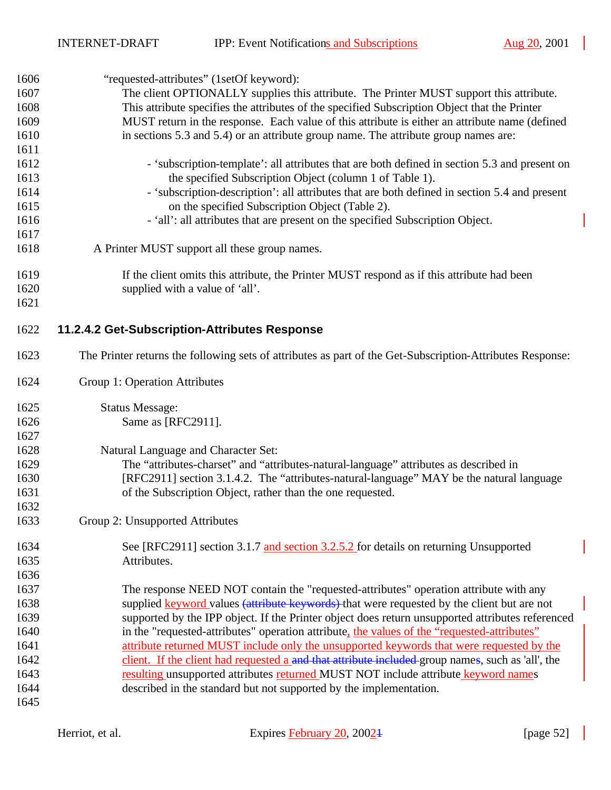$\overline{\phantom{a}}$ 

| 1606 | "requested-attributes" (1setOf keyword):                                                                  |
|------|-----------------------------------------------------------------------------------------------------------|
| 1607 | The client OPTIONALLY supplies this attribute. The Printer MUST support this attribute.                   |
| 1608 | This attribute specifies the attributes of the specified Subscription Object that the Printer             |
| 1609 | MUST return in the response. Each value of this attribute is either an attribute name (defined            |
| 1610 | in sections 5.3 and 5.4) or an attribute group name. The attribute group names are:                       |
| 1611 |                                                                                                           |
| 1612 | - 'subscription-template': all attributes that are both defined in section 5.3 and present on             |
| 1613 | the specified Subscription Object (column 1 of Table 1).                                                  |
| 1614 | - 'subscription-description': all attributes that are both defined in section 5.4 and present             |
| 1615 | on the specified Subscription Object (Table 2).                                                           |
| 1616 | - 'all': all attributes that are present on the specified Subscription Object.                            |
| 1617 |                                                                                                           |
| 1618 | A Printer MUST support all these group names.                                                             |
| 1619 | If the client omits this attribute, the Printer MUST respond as if this attribute had been                |
| 1620 | supplied with a value of 'all'.                                                                           |
| 1621 |                                                                                                           |
| 1622 | 11.2.4.2 Get-Subscription-Attributes Response                                                             |
| 1623 | The Printer returns the following sets of attributes as part of the Get-Subscription-Attributes Response: |
| 1624 | Group 1: Operation Attributes                                                                             |
| 1625 | <b>Status Message:</b>                                                                                    |
| 1626 | Same as [RFC2911].                                                                                        |
| 1627 |                                                                                                           |
| 1628 | Natural Language and Character Set:                                                                       |
| 1629 | The "attributes-charset" and "attributes-natural-language" attributes as described in                     |
| 1630 | [RFC2911] section 3.1.4.2. The "attributes-natural-language" MAY be the natural language                  |
| 1631 | of the Subscription Object, rather than the one requested.                                                |
| 1632 |                                                                                                           |
| 1633 | Group 2: Unsupported Attributes                                                                           |
| 1634 | See [RFC2911] section 3.1.7 and section 3.2.5.2 for details on returning Unsupported                      |
| 1635 | Attributes.                                                                                               |
| 1636 |                                                                                                           |
| 1637 | The response NEED NOT contain the "requested-attributes" operation attribute with any                     |
| 1638 | supplied keyword values (attribute keywords) that were requested by the client but are not                |
| 1639 | supported by the IPP object. If the Printer object does return unsupported attributes referenced          |
| 1640 | in the "requested-attributes" operation attribute, the values of the "requested-attributes"               |
| 1641 | attribute returned MUST include only the unsupported keywords that were requested by the                  |
| 1642 | client. If the client had requested a and that attribute included group names, such as 'all', the         |
| 1643 | resulting unsupported attributes returned MUST NOT include attribute keyword names                        |
| 1644 | described in the standard but not supported by the implementation.                                        |
| 1645 |                                                                                                           |

 $\mathbf{1}$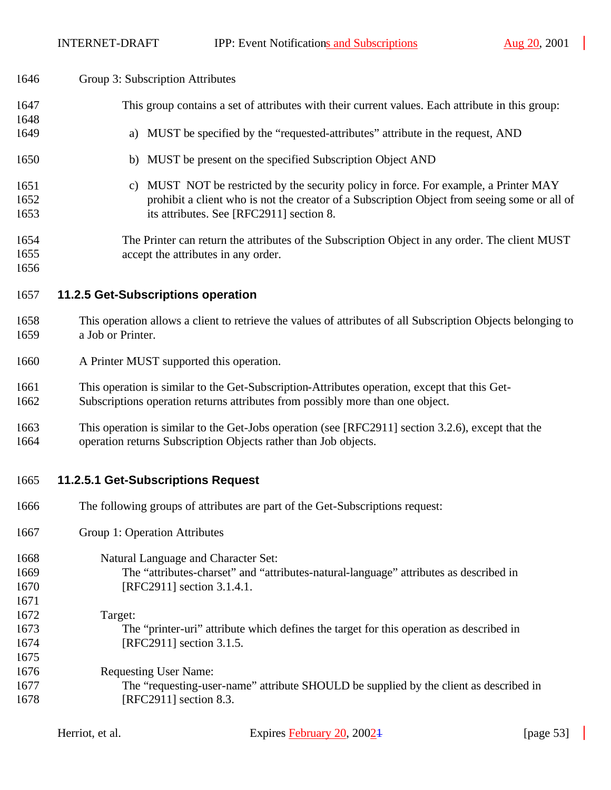$\overline{\phantom{a}}$ 

| 1646         | Group 3: Subscription Attributes                                                              |                                                                                                                                                                       |              |
|--------------|-----------------------------------------------------------------------------------------------|-----------------------------------------------------------------------------------------------------------------------------------------------------------------------|--------------|
| 1647         |                                                                                               | This group contains a set of attributes with their current values. Each attribute in this group:                                                                      |              |
| 1648         |                                                                                               |                                                                                                                                                                       |              |
| 1649         | a) MUST be specified by the "requested-attributes" attribute in the request, AND              |                                                                                                                                                                       |              |
| 1650         | b) MUST be present on the specified Subscription Object AND                                   |                                                                                                                                                                       |              |
| 1651         | C)                                                                                            | MUST NOT be restricted by the security policy in force. For example, a Printer MAY                                                                                    |              |
| 1652         |                                                                                               | prohibit a client who is not the creator of a Subscription Object from seeing some or all of                                                                          |              |
| 1653         |                                                                                               | its attributes. See [RFC2911] section 8.                                                                                                                              |              |
| 1654         |                                                                                               | The Printer can return the attributes of the Subscription Object in any order. The client MUST                                                                        |              |
|              |                                                                                               |                                                                                                                                                                       |              |
| 1655         |                                                                                               | accept the attributes in any order.                                                                                                                                   |              |
| 1656         |                                                                                               |                                                                                                                                                                       |              |
| 1657         | 11.2.5 Get-Subscriptions operation                                                            |                                                                                                                                                                       |              |
| 1658         |                                                                                               | This operation allows a client to retrieve the values of attributes of all Subscription Objects belonging to                                                          |              |
| 1659         | a Job or Printer.                                                                             |                                                                                                                                                                       |              |
| 1660         | A Printer MUST supported this operation.                                                      |                                                                                                                                                                       |              |
| 1661         | This operation is similar to the Get-Subscription-Attributes operation, except that this Get- |                                                                                                                                                                       |              |
| 1662         |                                                                                               | Subscriptions operation returns attributes from possibly more than one object.                                                                                        |              |
|              |                                                                                               |                                                                                                                                                                       |              |
| 1663<br>1664 |                                                                                               | This operation is similar to the Get-Jobs operation (see [RFC2911] section 3.2.6), except that the<br>operation returns Subscription Objects rather than Job objects. |              |
|              |                                                                                               |                                                                                                                                                                       |              |
| 1665         | 11.2.5.1 Get-Subscriptions Request                                                            |                                                                                                                                                                       |              |
| 1666         |                                                                                               | The following groups of attributes are part of the Get-Subscriptions request:                                                                                         |              |
| 1667         | Group 1: Operation Attributes                                                                 |                                                                                                                                                                       |              |
| 1668         |                                                                                               | Natural Language and Character Set:                                                                                                                                   |              |
| 1669         |                                                                                               | The "attributes-charset" and "attributes-natural-language" attributes as described in                                                                                 |              |
| 1670         |                                                                                               | [RFC2911] section 3.1.4.1.                                                                                                                                            |              |
| 1671         |                                                                                               |                                                                                                                                                                       |              |
|              |                                                                                               |                                                                                                                                                                       |              |
| 1672         | Target:                                                                                       |                                                                                                                                                                       |              |
| 1673         |                                                                                               | The "printer-uri" attribute which defines the target for this operation as described in                                                                               |              |
| 1674         |                                                                                               | [RFC2911] section 3.1.5.                                                                                                                                              |              |
| 1675         |                                                                                               |                                                                                                                                                                       |              |
| 1676         | <b>Requesting User Name:</b>                                                                  |                                                                                                                                                                       |              |
| 1677         |                                                                                               | The "requesting-user-name" attribute SHOULD be supplied by the client as described in                                                                                 |              |
| 1678         |                                                                                               | [RFC2911] section 8.3.                                                                                                                                                |              |
|              |                                                                                               |                                                                                                                                                                       |              |
|              | Herriot, et al.                                                                               | Expires February 20, 2002 <sup>1</sup>                                                                                                                                | [page $53$ ] |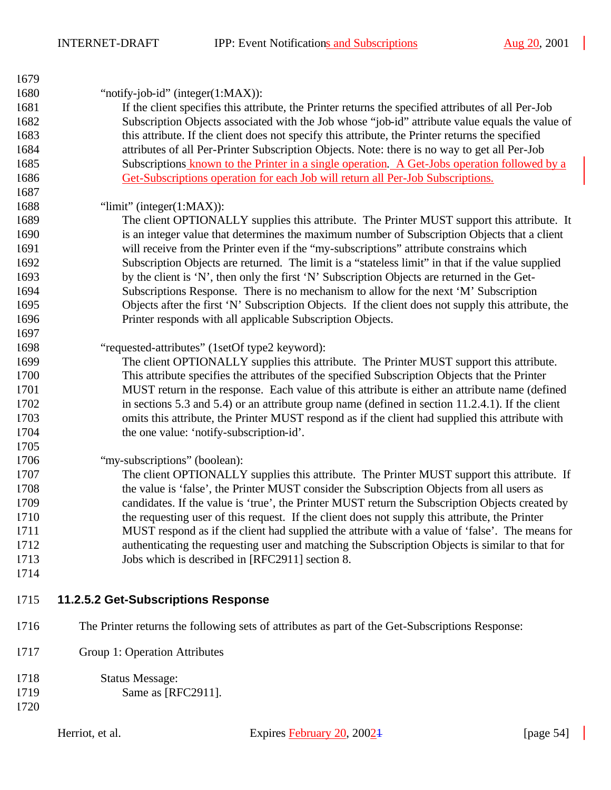$\overline{\phantom{a}}$ 

| 1679 |                                                                                                     |
|------|-----------------------------------------------------------------------------------------------------|
| 1680 | "notify-job-id" (integer $(1:MAX)$ ):                                                               |
| 1681 | If the client specifies this attribute, the Printer returns the specified attributes of all Per-Job |
| 1682 | Subscription Objects associated with the Job whose "job-id" attribute value equals the value of     |
| 1683 | this attribute. If the client does not specify this attribute, the Printer returns the specified    |
| 1684 | attributes of all Per-Printer Subscription Objects. Note: there is no way to get all Per-Job        |
| 1685 | Subscriptions known to the Printer in a single operation. A Get-Jobs operation followed by a        |
| 1686 | Get-Subscriptions operation for each Job will return all Per-Job Subscriptions.                     |
| 1687 |                                                                                                     |
| 1688 | " $\lim$ it" (integer(1:MAX)):                                                                      |
| 1689 | The client OPTIONALLY supplies this attribute. The Printer MUST support this attribute. It          |
| 1690 | is an integer value that determines the maximum number of Subscription Objects that a client        |
| 1691 | will receive from the Printer even if the "my-subscriptions" attribute constrains which             |
| 1692 | Subscription Objects are returned. The limit is a "stateless limit" in that if the value supplied   |
| 1693 | by the client is 'N', then only the first 'N' Subscription Objects are returned in the Get-         |
| 1694 | Subscriptions Response. There is no mechanism to allow for the next 'M' Subscription                |
| 1695 | Objects after the first 'N' Subscription Objects. If the client does not supply this attribute, the |
| 1696 | Printer responds with all applicable Subscription Objects.                                          |
| 1697 |                                                                                                     |
| 1698 | "requested-attributes" (1setOf type2 keyword):                                                      |
| 1699 | The client OPTIONALLY supplies this attribute. The Printer MUST support this attribute.             |
| 1700 | This attribute specifies the attributes of the specified Subscription Objects that the Printer      |
| 1701 | MUST return in the response. Each value of this attribute is either an attribute name (defined      |
| 1702 | in sections 5.3 and 5.4) or an attribute group name (defined in section $11.2.4.1$ ). If the client |
| 1703 | omits this attribute, the Printer MUST respond as if the client had supplied this attribute with    |
| 1704 | the one value: 'notify-subscription-id'.                                                            |
| 1705 |                                                                                                     |
| 1706 | "my-subscriptions" (boolean):                                                                       |
| 1707 | The client OPTIONALLY supplies this attribute. The Printer MUST support this attribute. If          |
| 1708 | the value is 'false', the Printer MUST consider the Subscription Objects from all users as          |
| 1709 | candidates. If the value is 'true', the Printer MUST return the Subscription Objects created by     |
| 1710 | the requesting user of this request. If the client does not supply this attribute, the Printer      |
| 1711 | MUST respond as if the client had supplied the attribute with a value of 'false'. The means for     |
| 1712 | authenticating the requesting user and matching the Subscription Objects is similar to that for     |
| 1713 | Jobs which is described in [RFC2911] section 8.                                                     |
| 1714 |                                                                                                     |
| 1715 | 11.2.5.2 Get-Subscriptions Response                                                                 |
| 1716 | The Printer returns the following sets of attributes as part of the Get-Subscriptions Response:     |
| 1717 | Group 1: Operation Attributes                                                                       |
| 1718 | <b>Status Message:</b>                                                                              |
| 1719 | Same as [RFC2911].                                                                                  |
| 1720 |                                                                                                     |

 $\overline{\phantom{a}}$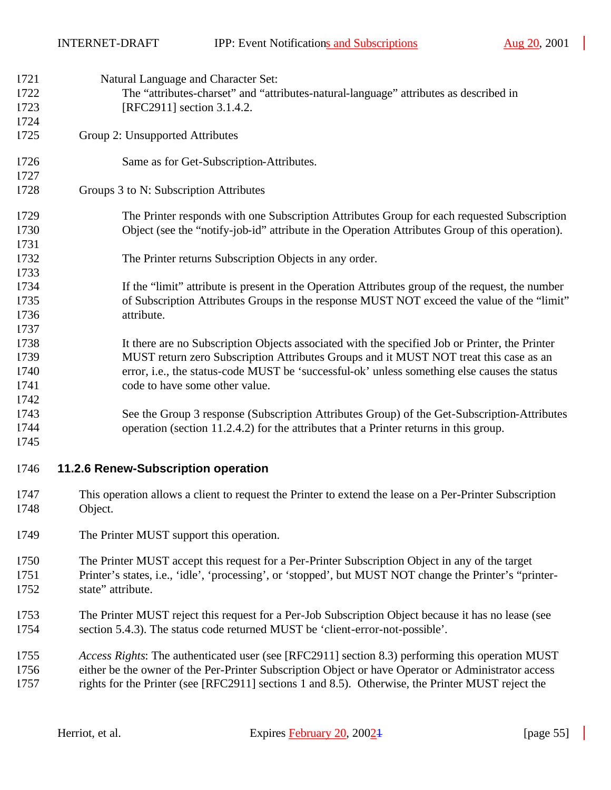| 1721<br>1722<br>1723<br>1724 | Natural Language and Character Set:<br>The "attributes-charset" and "attributes-natural-language" attributes as described in<br>[RFC2911] section 3.1.4.2.                                                                                                                                                                |
|------------------------------|---------------------------------------------------------------------------------------------------------------------------------------------------------------------------------------------------------------------------------------------------------------------------------------------------------------------------|
| 1725                         | Group 2: Unsupported Attributes                                                                                                                                                                                                                                                                                           |
| 1726<br>1727                 | Same as for Get-Subscription-Attributes.                                                                                                                                                                                                                                                                                  |
| 1728                         | Groups 3 to N: Subscription Attributes                                                                                                                                                                                                                                                                                    |
| 1729<br>1730<br>1731         | The Printer responds with one Subscription Attributes Group for each requested Subscription<br>Object (see the "notify-job-id" attribute in the Operation Attributes Group of this operation).                                                                                                                            |
| 1732<br>1733                 | The Printer returns Subscription Objects in any order.                                                                                                                                                                                                                                                                    |
| 1734<br>1735<br>1736<br>1737 | If the "limit" attribute is present in the Operation Attributes group of the request, the number<br>of Subscription Attributes Groups in the response MUST NOT exceed the value of the "limit"<br>attribute.                                                                                                              |
| 1738<br>1739<br>1740<br>1741 | It there are no Subscription Objects associated with the specified Job or Printer, the Printer<br>MUST return zero Subscription Attributes Groups and it MUST NOT treat this case as an<br>error, i.e., the status-code MUST be 'successful-ok' unless something else causes the status<br>code to have some other value. |
| 1742<br>1743<br>1744<br>1745 | See the Group 3 response (Subscription Attributes Group) of the Get-Subscription-Attributes<br>operation (section 11.2.4.2) for the attributes that a Printer returns in this group.                                                                                                                                      |
| 1746                         | 11.2.6 Renew-Subscription operation                                                                                                                                                                                                                                                                                       |
| 1747<br>1748                 | This operation allows a client to request the Printer to extend the lease on a Per-Printer Subscription<br>Object.                                                                                                                                                                                                        |
| 1749                         | The Printer MUST support this operation.                                                                                                                                                                                                                                                                                  |
| 1750<br>1751<br>1752         | The Printer MUST accept this request for a Per-Printer Subscription Object in any of the target<br>Printer's states, i.e., 'idle', 'processing', or 'stopped', but MUST NOT change the Printer's "printer-<br>state" attribute.                                                                                           |
| 1753<br>1754                 | The Printer MUST reject this request for a Per-Job Subscription Object because it has no lease (see<br>section 5.4.3). The status code returned MUST be 'client-error-not-possible'.                                                                                                                                      |
| 1755<br>1756<br>1757         | Access Rights: The authenticated user (see [RFC2911] section 8.3) performing this operation MUST<br>either be the owner of the Per-Printer Subscription Object or have Operator or Administrator access<br>rights for the Printer (see [RFC2911] sections 1 and 8.5). Otherwise, the Printer MUST reject the              |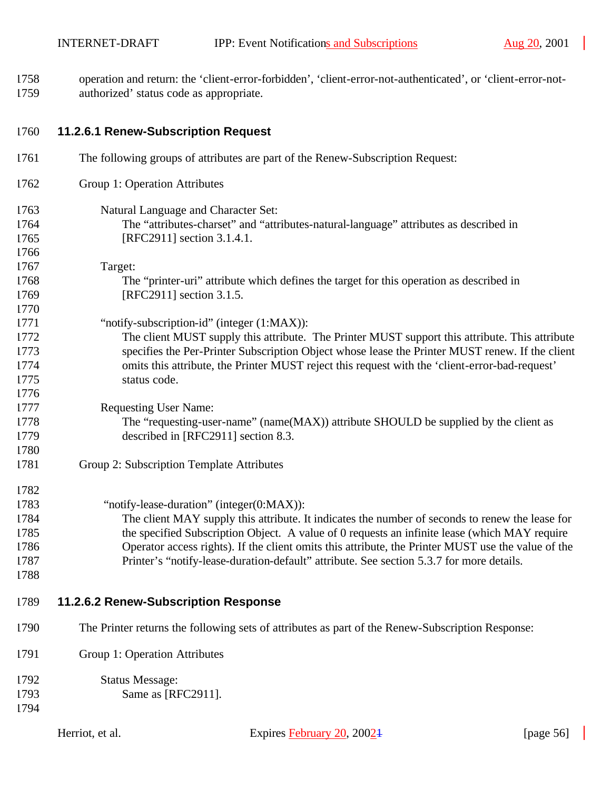$\overline{\phantom{a}}$ 

 operation and return: the 'client-error-forbidden', 'client-error-not-authenticated', or 'client-error-not-authorized' status code as appropriate.

| 1760 | 11.2.6.1 Renew-Subscription Request |  |
|------|-------------------------------------|--|
|      |                                     |  |

| 1761         | The following groups of attributes are part of the Renew-Subscription Request:                     |
|--------------|----------------------------------------------------------------------------------------------------|
| 1762         | Group 1: Operation Attributes                                                                      |
| 1763         | Natural Language and Character Set:                                                                |
| 1764         | The "attributes-charset" and "attributes-natural-language" attributes as described in              |
| 1765         | [RFC2911] section 3.1.4.1.                                                                         |
| 1766         |                                                                                                    |
| 1767         | Target:                                                                                            |
| 1768         | The "printer-uri" attribute which defines the target for this operation as described in            |
| 1769         | [RFC2911] section 3.1.5.                                                                           |
| 1770         |                                                                                                    |
| 1771         | "notify-subscription-id" (integer (1:MAX)):                                                        |
| 1772         | The client MUST supply this attribute. The Printer MUST support this attribute. This attribute     |
| 1773         | specifies the Per-Printer Subscription Object whose lease the Printer MUST renew. If the client    |
| 1774         | omits this attribute, the Printer MUST reject this request with the 'client-error-bad-request'     |
| 1775         | status code.                                                                                       |
| 1776         |                                                                                                    |
| 1777         | <b>Requesting User Name:</b>                                                                       |
| 1778         | The "requesting-user-name" (name(MAX)) attribute SHOULD be supplied by the client as               |
| 1779<br>1780 | described in [RFC2911] section 8.3.                                                                |
| 1781         | Group 2: Subscription Template Attributes                                                          |
|              |                                                                                                    |
| 1782         |                                                                                                    |
| 1783         | "notify-lease-duration" (integer(0:MAX)):                                                          |
| 1784         | The client MAY supply this attribute. It indicates the number of seconds to renew the lease for    |
| 1785         | the specified Subscription Object. A value of 0 requests an infinite lease (which MAY require      |
| 1786         | Operator access rights). If the client omits this attribute, the Printer MUST use the value of the |
| 1787         | Printer's "notify-lease-duration-default" attribute. See section 5.3.7 for more details.           |
| 1788         |                                                                                                    |
| 1789         | 11.2.6.2 Renew-Subscription Response                                                               |
|              |                                                                                                    |
| 1790         | The Printer returns the following sets of attributes as part of the Renew-Subscription Response:   |
| 1791         | Group 1: Operation Attributes                                                                      |
| 1792         | <b>Status Message:</b>                                                                             |
| 1793         | Same as [RFC2911].                                                                                 |
| 1794         |                                                                                                    |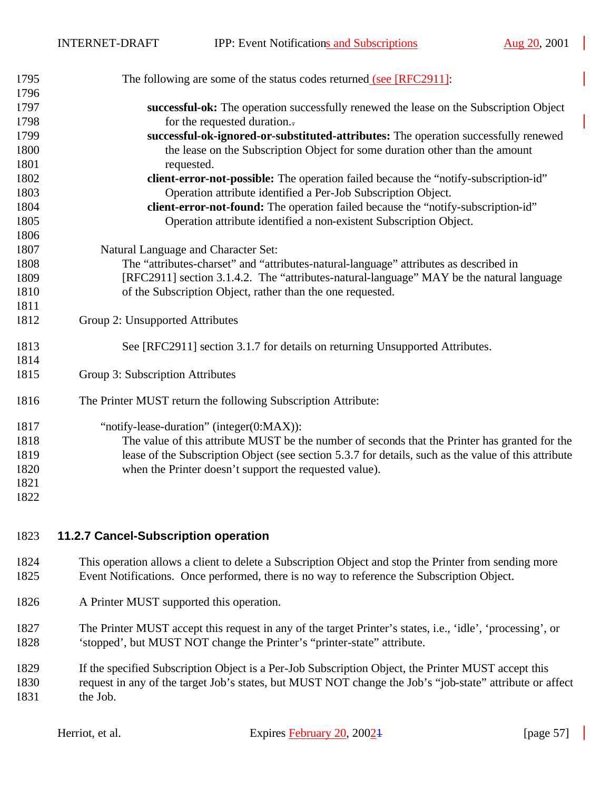| 1795 | The following are some of the status codes returned (see [RFC2911]:                                  |
|------|------------------------------------------------------------------------------------------------------|
| 1796 |                                                                                                      |
| 1797 | successful-ok: The operation successfully renewed the lease on the Subscription Object               |
| 1798 | for the requested duration.                                                                          |
| 1799 | successful-ok-ignored-or-substituted-attributes: The operation successfully renewed                  |
| 1800 | the lease on the Subscription Object for some duration other than the amount                         |
| 1801 | requested.                                                                                           |
| 1802 | client-error-not-possible: The operation failed because the "notify-subscription-id"                 |
| 1803 | Operation attribute identified a Per-Job Subscription Object.                                        |
| 1804 | client-error-not-found: The operation failed because the "notify-subscription-id"                    |
| 1805 | Operation attribute identified a non-existent Subscription Object.                                   |
| 1806 |                                                                                                      |
| 1807 | Natural Language and Character Set:                                                                  |
| 1808 | The "attributes-charset" and "attributes-natural-language" attributes as described in                |
| 1809 | [RFC2911] section 3.1.4.2. The "attributes-natural-language" MAY be the natural language             |
| 1810 | of the Subscription Object, rather than the one requested.                                           |
| 1811 |                                                                                                      |
| 1812 | Group 2: Unsupported Attributes                                                                      |
| 1813 | See [RFC2911] section 3.1.7 for details on returning Unsupported Attributes.                         |
| 1814 |                                                                                                      |
| 1815 | Group 3: Subscription Attributes                                                                     |
| 1816 | The Printer MUST return the following Subscription Attribute:                                        |
| 1817 | "notify-lease-duration" (integer(0:MAX)):                                                            |
| 1818 | The value of this attribute MUST be the number of seconds that the Printer has granted for the       |
| 1819 | lease of the Subscription Object (see section 5.3.7 for details, such as the value of this attribute |
| 1820 | when the Printer doesn't support the requested value).                                               |
| 1821 |                                                                                                      |
| 1822 |                                                                                                      |
|      |                                                                                                      |

#### **11.2.7 Cancel-Subscription operation**

- This operation allows a client to delete a Subscription Object and stop the Printer from sending more Event Notifications. Once performed, there is no way to reference the Subscription Object.
- A Printer MUST supported this operation.
- The Printer MUST accept this request in any of the target Printer's states, i.e., 'idle', 'processing', or 'stopped', but MUST NOT change the Printer's "printer-state" attribute.
- If the specified Subscription Object is a Per-Job Subscription Object, the Printer MUST accept this request in any of the target Job's states, but MUST NOT change the Job's "job-state" attribute or affect the Job.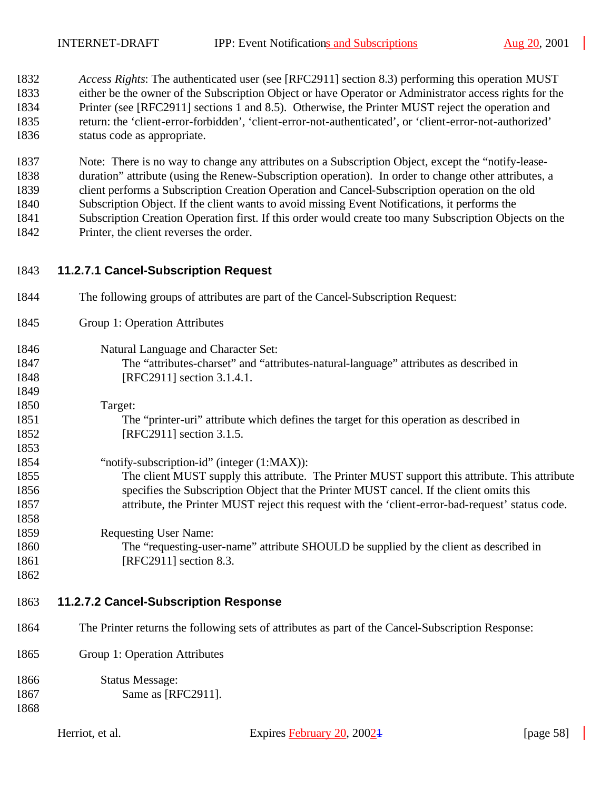*Access Rights*: The authenticated user (see [RFC2911] section 8.3) performing this operation MUST either be the owner of the Subscription Object or have Operator or Administrator access rights for the Printer (see [RFC2911] sections 1 and 8.5). Otherwise, the Printer MUST reject the operation and return: the 'client-error-forbidden', 'client-error-not-authenticated', or 'client-error-not-authorized' status code as appropriate.

 Note: There is no way to change any attributes on a Subscription Object, except the "notify-lease- duration" attribute (using the Renew-Subscription operation). In order to change other attributes, a client performs a Subscription Creation Operation and Cancel-Subscription operation on the old Subscription Object. If the client wants to avoid missing Event Notifications, it performs the Subscription Creation Operation first. If this order would create too many Subscription Objects on the Printer, the client reverses the order.

- **11.2.7.1 Cancel-Subscription Request**
- The following groups of attributes are part of the Cancel-Subscription Request: Group 1: Operation Attributes Natural Language and Character Set: The "attributes-charset" and "attributes-natural-language" attributes as described in [RFC2911] section 3.1.4.1. Target: The "printer-uri" attribute which defines the target for this operation as described in 1852 [RFC2911] section 3.1.5. "notify-subscription-id" (integer (1:MAX)): The client MUST supply this attribute. The Printer MUST support this attribute. This attribute specifies the Subscription Object that the Printer MUST cancel. If the client omits this attribute, the Printer MUST reject this request with the 'client-error-bad-request' status code.
- Requesting User Name: The "requesting-user-name" attribute SHOULD be supplied by the client as described in 1861 [RFC2911] section 8.3.
- 

## **11.2.7.2 Cancel-Subscription Response**

- The Printer returns the following sets of attributes as part of the Cancel-Subscription Response:
- Group 1: Operation Attributes

| 1866 | <b>Status Message:</b> |
|------|------------------------|
| 1867 | Same as [RFC2911].     |
| 1868 |                        |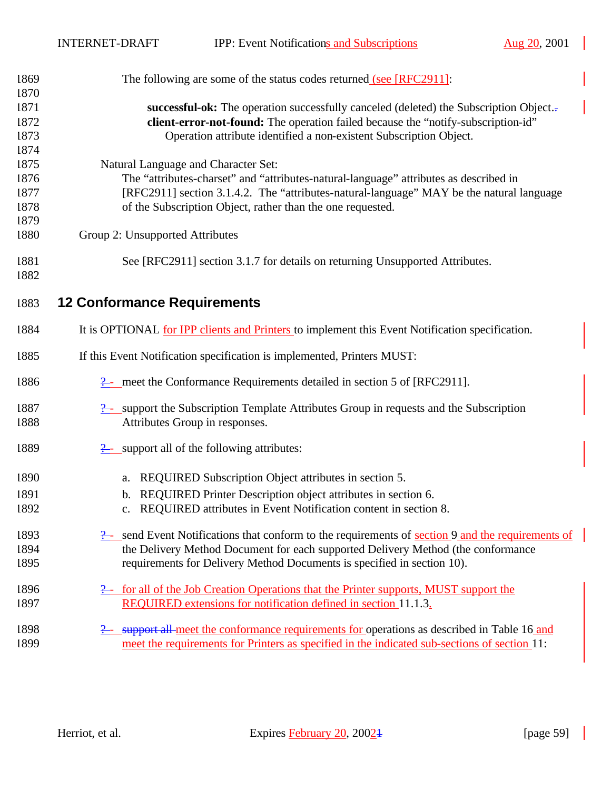| 1869 | The following are some of the status codes returned (see [RFC2911]:                                          |
|------|--------------------------------------------------------------------------------------------------------------|
| 1870 |                                                                                                              |
| 1871 | successful-ok: The operation successfully canceled (deleted) the Subscription Object.-                       |
| 1872 | client-error-not-found: The operation failed because the "notify-subscription-id"                            |
| 1873 | Operation attribute identified a non-existent Subscription Object.                                           |
| 1874 |                                                                                                              |
| 1875 | Natural Language and Character Set:                                                                          |
| 1876 | The "attributes-charset" and "attributes-natural-language" attributes as described in                        |
| 1877 | [RFC2911] section 3.1.4.2. The "attributes-natural-language" MAY be the natural language                     |
| 1878 | of the Subscription Object, rather than the one requested.                                                   |
| 1879 |                                                                                                              |
| 1880 | Group 2: Unsupported Attributes                                                                              |
| 1881 | See [RFC2911] section 3.1.7 for details on returning Unsupported Attributes.                                 |
| 1882 |                                                                                                              |
| 1883 | <b>12 Conformance Requirements</b>                                                                           |
| 1884 | It is OPTIONAL for IPP clients and Printers to implement this Event Notification specification.              |
| 1885 | If this Event Notification specification is implemented, Printers MUST:                                      |
| 1886 | $\frac{9}{2}$ meet the Conformance Requirements detailed in section 5 of [RFC2911].                          |
| 1887 | $\frac{2}{2}$ support the Subscription Template Attributes Group in requests and the Subscription            |
| 1888 | Attributes Group in responses.                                                                               |
| 1889 | $\frac{1}{2}$ support all of the following attributes:                                                       |
| 1890 | REQUIRED Subscription Object attributes in section 5.<br>a.                                                  |
| 1891 | REQUIRED Printer Description object attributes in section 6.<br>b.                                           |
| 1892 | c. REQUIRED attributes in Event Notification content in section 8.                                           |
|      |                                                                                                              |
| 1893 | $\frac{9}{2}$ send Event Notifications that conform to the requirements of section 9 and the requirements of |
| 1894 | the Delivery Method Document for each supported Delivery Method (the conformance                             |
| 1895 | requirements for Delivery Method Documents is specified in section 10).                                      |
| 1896 | 2- for all of the Job Creation Operations that the Printer supports, MUST support the                        |
| 1897 | REQUIRED extensions for notification defined in section 11.1.3.                                              |
| 1898 | <b>2.</b> support all meet the conformance requirements for operations as described in Table 16 and          |
| 1899 | meet the requirements for Printers as specified in the indicated sub-sections of section 11:                 |
|      |                                                                                                              |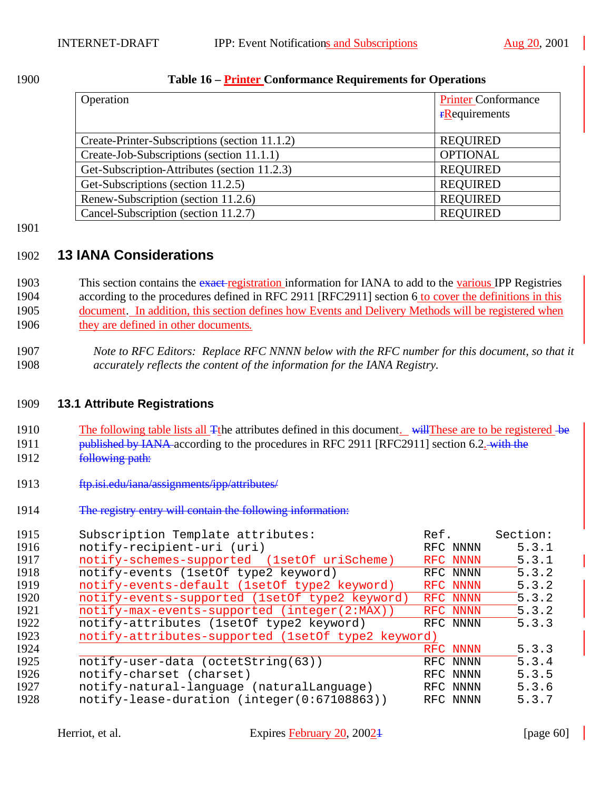#### **Table 16 – Printer Conformance Requirements for Operations**

| Operation                                     | <b>Printer Conformance</b><br>$r$ <b>R</b> equirements |
|-----------------------------------------------|--------------------------------------------------------|
| Create-Printer-Subscriptions (section 11.1.2) | <b>REQUIRED</b>                                        |
| Create-Job-Subscriptions (section 11.1.1)     | <b>OPTIONAL</b>                                        |
| Get-Subscription-Attributes (section 11.2.3)  | <b>REQUIRED</b>                                        |
| Get-Subscriptions (section 11.2.5)            | <b>REQUIRED</b>                                        |
| Renew-Subscription (section 11.2.6)           | <b>REQUIRED</b>                                        |
| Cancel-Subscription (section 11.2.7)          | <b>REQUIRED</b>                                        |

## **13 IANA Considerations**

- 1903 This section contains the exact registration information for IANA to add to the various IPP Registries according to the procedures defined in RFC 2911 [RFC2911] section 6 to cover the definitions in this document. In addition, this section defines how Events and Delivery Methods will be registered when they are defined in other documents.
- *Note to RFC Editors: Replace RFC NNNN below with the RFC number for this document, so that it accurately reflects the content of the information for the IANA Registry.*

## **13.1 Attribute Registrations**

1910 The following table lists all T<sub>t</sub>the attributes defined in this document. will These are to be registered be

- 1911 published by IANA-according to the procedures in RFC 2911 [RFC2911] section 6.2. with the **following path:**
- ftp.isi.edu/iana/assignments/ipp/attributes/
- The registry entry will contain the following information:

| Ref.     | Section: |
|----------|----------|
| RFC NNNN | 5.3.1    |
| RFC NNNN | 5.3.1    |
| RFC NNNN | 5.3.2    |
| RFC NNNN | 5.3.2    |
| RFC NNNN | 5.3.2    |
| RFC NNNN | 5.3.2    |
| RFC NNNN | 5.3.3    |
|          |          |
| RFC NNNN | 5.3.3    |
| RFC NNNN | 5.3.4    |
| RFC NNNN | 5.3.5    |
| RFC NNNN | 5.3.6    |
| RFC NNNN | 5.3.7    |
|          |          |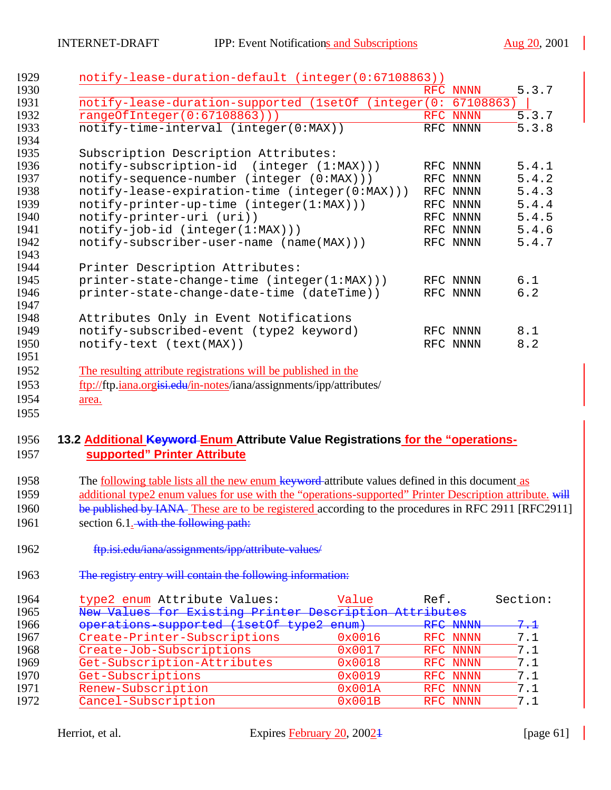| 1929 | notify-lease-duration-default (integer(0:67108863))                 |            |           |     |       |
|------|---------------------------------------------------------------------|------------|-----------|-----|-------|
| 1930 |                                                                     | <b>RFC</b> | NNNN      |     | 5.3.7 |
| 1931 | notify-lease-duration-supported (1setOf (integer(0:                 |            | 67108863) |     |       |
| 1932 | rangeOfInteger(0:67108863)))                                        |            | RFC NNNN  |     | 5.3.7 |
| 1933 | notify-time-interval (integer(0:MAX))                               |            | RFC NNNN  |     | 5.3.8 |
| 1934 |                                                                     |            |           |     |       |
| 1935 | Subscription Description Attributes:                                |            |           |     |       |
| 1936 | notify-subscription-id (integer (1:MAX)))                           |            | RFC NNNN  |     | 5.4.1 |
| 1937 | notify-sequence-number (integer (0:MAX)))                           |            | RFC NNNN  |     | 5.4.2 |
| 1938 | notify-lease-expiration-time (integer(0:MAX)))                      |            | RFC NNNN  |     | 5.4.3 |
| 1939 | $notify-printer-up-time (integer(1:MAX)))$                          |            | RFC NNNN  |     | 5.4.4 |
| 1940 | notify-printer-uri (uri))                                           |            | RFC NNNN  |     | 5.4.5 |
| 1941 | $notify-job-id (integer(1:MAX)))$                                   |            | RFC NNNN  |     | 5.4.6 |
| 1942 | notify-subscriber-user-name (name(MAX)))                            |            | RFC NNNN  |     | 5.4.7 |
| 1943 |                                                                     |            |           |     |       |
| 1944 | Printer Description Attributes:                                     |            |           |     |       |
| 1945 | printer-state-change-time (integer(1:MAX)))                         |            | RFC NNNN  | 6.1 |       |
| 1946 | printer-state-change-date-time (dateTime))                          |            | RFC NNNN  | 6.2 |       |
| 1947 |                                                                     |            |           |     |       |
| 1948 | Attributes Only in Event Notifications                              |            |           |     |       |
| 1949 | notify-subscribed-event (type2 keyword)                             |            | RFC NNNN  | 8.1 |       |
| 1950 | notify-text (text(MAX))                                             |            | RFC NNNN  | 8.2 |       |
| 1951 |                                                                     |            |           |     |       |
| 1952 | The resulting attribute registrations will be published in the      |            |           |     |       |
| 1953 | ftp://ftp.iana.orgisi.edu/in-notes/iana/assignments/ipp/attributes/ |            |           |     |       |
| 1954 | area.                                                               |            |           |     |       |

## **13.2 Additional Keyword Enum Attribute Value Registrations for the "operations-supported" Printer Attribute**

- 1958 The <u>following table lists all the new enum keyword</u>-attribute values defined in this document as 1959 additional type2 enum values for use with the "operations-supported" Printer Description attribute. will be published by IANA These are to be registered according to the procedures in RFC 2911 [RFC2911] 1961 section 6.1. with the following path:
- ftp.isi.edu/iana/assignments/ipp/attribute-values/
- The registry entry will contain the following information:

| 1964 | type2 enum Attribute Values:                           | Value           | Ref.     | Section:       |
|------|--------------------------------------------------------|-----------------|----------|----------------|
| 1965 | New Values for Existing Printer Description Attributes |                 |          |                |
| 1966 | operations supported (1setOf type2 enum)               |                 | RFC NNNN | <del>7.1</del> |
| 1967 | Create-Printer-Subscriptions                           | 0x0016          | RFC NNNN | 7.1            |
| 1968 | Create-Job-Subscriptions                               | 0x0017          | RFC NNNN | 7.1            |
| 1969 | Get-Subscription-Attributes                            | 0x0018          | RFC NNNN | 7.1            |
| 1970 | Get-Subscriptions                                      | 0x0019          | RFC NNNN | 7.1            |
| 1971 | Renew-Subscription                                     | 0x001A          | RFC NNNN | 7.1            |
| 1972 | Cancel-Subscription                                    | $0 \times 001B$ | RFC NNNN | 7.1            |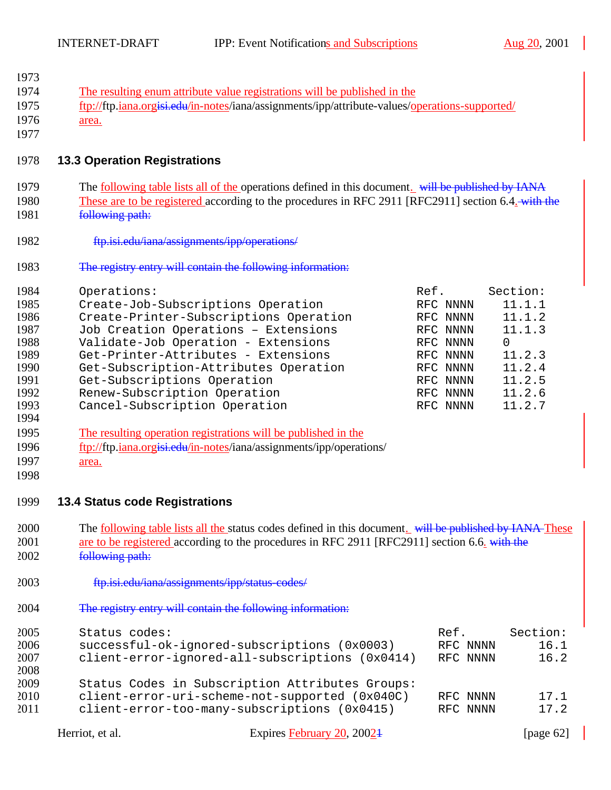$\mathcal{L}$ 

| 1973 |                                       |                                                                                                            |      |          |              |
|------|---------------------------------------|------------------------------------------------------------------------------------------------------------|------|----------|--------------|
| 1974 |                                       | The resulting enum attribute value registrations will be published in the                                  |      |          |              |
| 1975 |                                       | ftp://ftp.iana.orgisi.edu/in-notes/iana/assignments/ipp/attribute-values/operations-supported/             |      |          |              |
|      |                                       |                                                                                                            |      |          |              |
| 1976 | area.                                 |                                                                                                            |      |          |              |
| 1977 |                                       |                                                                                                            |      |          |              |
| 1978 | <b>13.3 Operation Registrations</b>   |                                                                                                            |      |          |              |
|      |                                       |                                                                                                            |      |          |              |
| 1979 |                                       | The <u>following table lists all of the operations</u> defined in this document. will be published by IANA |      |          |              |
| 1980 |                                       | These are to be registered according to the procedures in RFC 2911 [RFC2911] section 6.4. with the         |      |          |              |
| 1981 | following path:                       |                                                                                                            |      |          |              |
|      |                                       |                                                                                                            |      |          |              |
| 1982 |                                       | ftp.isi.edu/iana/assignments/ipp/operations/                                                               |      |          |              |
| 1983 |                                       | The registry entry will contain the following information:                                                 |      |          |              |
| 1984 | Operations:                           |                                                                                                            | Ref. |          | Section:     |
| 1985 |                                       | Create-Job-Subscriptions Operation                                                                         |      | RFC NNNN | 11.1.1       |
| 1986 |                                       | Create-Printer-Subscriptions Operation                                                                     |      | RFC NNNN | 11.1.2       |
| 1987 |                                       | Job Creation Operations - Extensions                                                                       |      | RFC NNNN | 11.1.3       |
| 1988 |                                       | Validate-Job Operation - Extensions                                                                        |      | RFC NNNN | 0            |
| 1989 |                                       | Get-Printer-Attributes - Extensions                                                                        |      | RFC NNNN | 11.2.3       |
|      |                                       |                                                                                                            |      |          |              |
| 1990 |                                       | Get-Subscription-Attributes Operation                                                                      |      | RFC NNNN | 11.2.4       |
| 1991 |                                       | Get-Subscriptions Operation                                                                                |      | RFC NNNN | 11.2.5       |
| 1992 |                                       | Renew-Subscription Operation                                                                               |      | RFC NNNN | 11.2.6       |
| 1993 |                                       | Cancel-Subscription Operation                                                                              |      | RFC NNNN | 11.2.7       |
| 1994 |                                       |                                                                                                            |      |          |              |
| 1995 |                                       | The resulting operation registrations will be published in the                                             |      |          |              |
| 1996 |                                       | ftp://ftp.jana.orgisi.edu/in-notes/iana/assignments/ipp/operations/                                        |      |          |              |
| 1997 |                                       |                                                                                                            |      |          |              |
|      | area.                                 |                                                                                                            |      |          |              |
| 1998 |                                       |                                                                                                            |      |          |              |
| 1999 | <b>13.4 Status code Registrations</b> |                                                                                                            |      |          |              |
| 2000 |                                       | The following table lists all the status codes defined in this document. will be published by IANA These   |      |          |              |
| 2001 |                                       |                                                                                                            |      |          |              |
|      |                                       | are to be registered according to the procedures in RFC 2911 [RFC2911] section 6.6. with the               |      |          |              |
| 2002 | following path:                       |                                                                                                            |      |          |              |
| 2003 |                                       | ftp.isi.edu/iana/assignments/ipp/status-codes/                                                             |      |          |              |
| 2004 |                                       | The registry entry will contain the following information:                                                 |      |          |              |
| 2005 | Status codes:                         |                                                                                                            |      | Ref.     | Section:     |
| 2006 |                                       | successful-ok-ignored-subscriptions (0x0003)                                                               |      | RFC NNNN | 16.1         |
| 2007 |                                       |                                                                                                            |      |          | 16.2         |
|      |                                       | client-error-ignored-all-subscriptions (0x0414)                                                            |      | RFC NNNN |              |
| 2008 |                                       |                                                                                                            |      |          |              |
| 2009 |                                       | Status Codes in Subscription Attributes Groups:                                                            |      |          |              |
| 2010 |                                       | client-error-uri-scheme-not-supported (0x040C)                                                             |      | RFC NNNN | 17.1         |
| 2011 |                                       | client-error-too-many-subscriptions (0x0415)                                                               |      | RFC NNNN | 17.2         |
|      | Herriot, et al.                       | Expires February 20, 2002 <sup>1</sup>                                                                     |      |          | [page $62$ ] |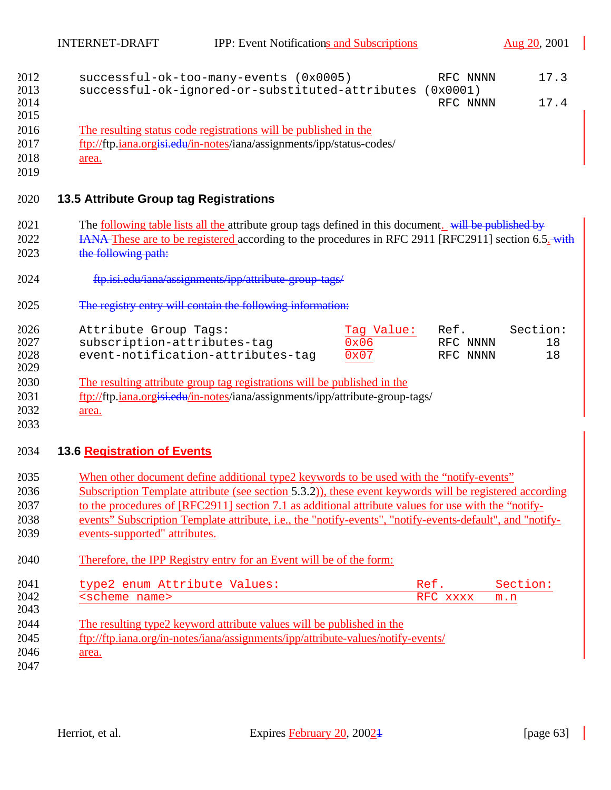| 2012         | successful-ok-too-many-events (0x0005)                                                                       | RFC NNNN             | 17.3     |
|--------------|--------------------------------------------------------------------------------------------------------------|----------------------|----------|
| 2013<br>2014 | successful-ok-ignored-or-substituted-attributes                                                              | (0x0001)<br>RFC NNNN | 17.4     |
| 2015         |                                                                                                              |                      |          |
| 2016         | The resulting status code registrations will be published in the                                             |                      |          |
| 2017         | ftp://ftp.jana.orgisi.edu/in-notes/iana/assignments/ipp/status-codes/                                        |                      |          |
| 2018         | area.                                                                                                        |                      |          |
| 2019         |                                                                                                              |                      |          |
| 2020         | <b>13.5 Attribute Group tag Registrations</b>                                                                |                      |          |
| 2021         | The <u>following table lists all the</u> attribute group tags defined in this document. will be published by |                      |          |
| 2022         | <b>HANA-These are to be registered according to the procedures in RFC 2911 [RFC2911] section 6.5.</b> with   |                      |          |
| 2023         | the following path:                                                                                          |                      |          |
| 2024         | ftp.isi.edu/iana/assignments/ipp/attribute-group-tags/                                                       |                      |          |
| 2025         | The registry entry will contain the following information:                                                   |                      |          |
| 2026         | Attribute Group Tags:<br>Tag Value:                                                                          | Ref.                 | Section: |
| 2027         | subscription-attributes-tag<br>0x06                                                                          | RFC NNNN             | 18       |
| 2028<br>2029 | event-notification-attributes-tag<br>0x07                                                                    | RFC NNNN             | 18       |
| 2030         | The resulting attribute group tag registrations will be published in the                                     |                      |          |
| 2031         | ftp://ftp.iana.orgisi.edu/in-notes/iana/assignments/ipp/attribute-group-tags/                                |                      |          |
| 2032         | area.                                                                                                        |                      |          |
| 2033         |                                                                                                              |                      |          |
| 2034         | 13.6 Registration of Events                                                                                  |                      |          |
| 2035         | When other document define additional type2 keywords to be used with the "notify-events"                     |                      |          |
| 2036         | Subscription Template attribute (see section 5.3.2)), these event keywords will be registered according      |                      |          |
| 2037         | to the procedures of [RFC2911] section 7.1 as additional attribute values for use with the "notify-          |                      |          |
| 2038         | events" Subscription Template attribute, i.e., the "notify-events", "notify-events-default", and "notify-    |                      |          |
| 2039         | events-supported" attributes.                                                                                |                      |          |
| 2040         | Therefore, the IPP Registry entry for an Event will be of the form:                                          |                      |          |
| 2041         | type2 enum Attribute Values:                                                                                 | Ref.                 | Section: |
| 2042         | <scheme name=""></scheme>                                                                                    | RFC xxxx             | m.n      |
| 2043         |                                                                                                              |                      |          |
| 2044         | The resulting type2 keyword attribute values will be published in the                                        |                      |          |

- 2045 ftp://ftp.iana.org/in-notes/iana/assignments/ipp/attribute-values/notify-events/
- 2046 <u>area.</u>
- 2047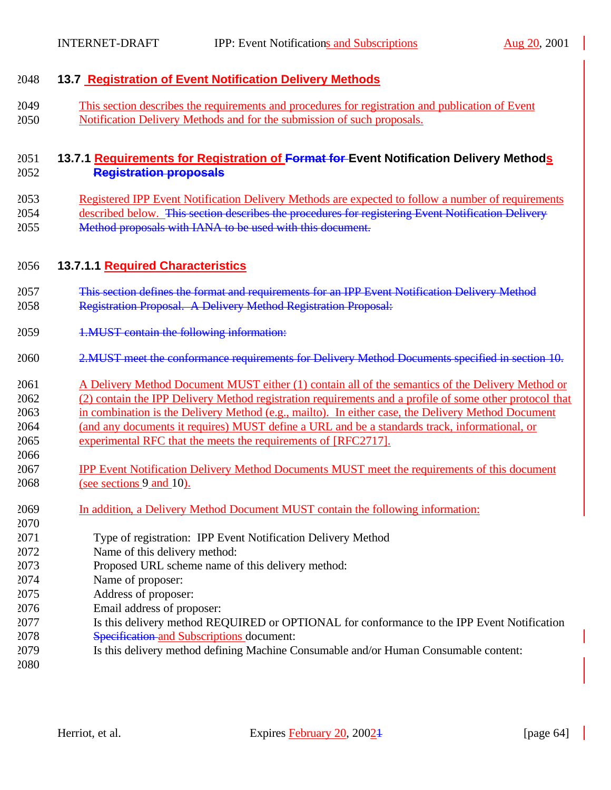### **13.7 Registration of Event Notification Delivery Methods**

 This section describes the requirements and procedures for registration and publication of Event Notification Delivery Methods and for the submission of such proposals.

#### **13.7.1 Requirements for Registration of Format for Event Notification Delivery Methods Registration proposals**

 Registered IPP Event Notification Delivery Methods are expected to follow a number of requirements described below. This section describes the procedures for registering Event Notification Delivery 2055 Method proposals with IANA to be used with this document.

#### **13.7.1.1 Required Characteristics**

- This section defines the format and requirements for an IPP Event Notification Delivery Method Registration Proposal. A Delivery Method Registration Proposal:
- 1.MUST contain the following information:
- 2.MUST meet the conformance requirements for Delivery Method Documents specified in section 10.
- A Delivery Method Document MUST either (1) contain all of the semantics of the Delivery Method or (2) contain the IPP Delivery Method registration requirements and a profile of some other protocol that in combination is the Delivery Method (e.g., mailto). In either case, the Delivery Method Document (and any documents it requires) MUST define a URL and be a standards track, informational, or experimental RFC that the meets the requirements of [RFC2717].
- IPP Event Notification Delivery Method Documents MUST meet the requirements of this document (see sections 9 and 10).
- In addition, a Delivery Method Document MUST contain the following information:
- Type of registration: IPP Event Notification Delivery Method
- Name of this delivery method:
- Proposed URL scheme name of this delivery method:
- Name of proposer:
- Address of proposer:
- Email address of proposer:
- Is this delivery method REQUIRED or OPTIONAL for conformance to the IPP Event Notification Specification and Subscriptions document:
- Is this delivery method defining Machine Consumable and/or Human Consumable content:
-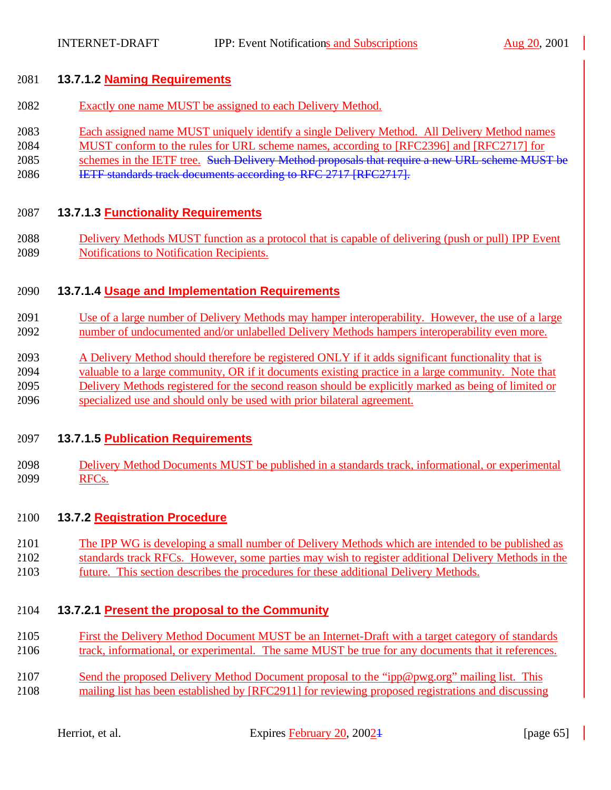#### **13.7.1.2 Naming Requirements**

- Exactly one name MUST be assigned to each Delivery Method.
- Each assigned name MUST uniquely identify a single Delivery Method. All Delivery Method names
- MUST conform to the rules for URL scheme names, according to [RFC2396] and [RFC2717] for
- 2085 schemes in the IETF tree. Such Delivery Method proposals that require a new URL scheme MUST be
- IETF standards track documents according to RFC 2717 [RFC2717].

#### **13.7.1.3 Functionality Requirements**

 Delivery Methods MUST function as a protocol that is capable of delivering (push or pull) IPP Event Notifications to Notification Recipients.

#### **13.7.1.4 Usage and Implementation Requirements**

- Use of a large number of Delivery Methods may hamper interoperability. However, the use of a large number of undocumented and/or unlabelled Delivery Methods hampers interoperability even more.
- A Delivery Method should therefore be registered ONLY if it adds significant functionality that is
- valuable to a large community, OR if it documents existing practice in a large community. Note that Delivery Methods registered for the second reason should be explicitly marked as being of limited or specialized use and should only be used with prior bilateral agreement.

#### **13.7.1.5 Publication Requirements**

 Delivery Method Documents MUST be published in a standards track, informational, or experimental RFCs.

#### **13.7.2 Registration Procedure**

- The IPP WG is developing a small number of Delivery Methods which are intended to be published as
- standards track RFCs. However, some parties may wish to register additional Delivery Methods in the
- future. This section describes the procedures for these additional Delivery Methods.

#### **13.7.2.1 Present the proposal to the Community**

- First the Delivery Method Document MUST be an Internet-Draft with a target category of standards track, informational, or experimental. The same MUST be true for any documents that it references.
- Send the proposed Delivery Method Document proposal to the "ipp@pwg.org" mailing list. This mailing list has been established by [RFC2911] for reviewing proposed registrations and discussing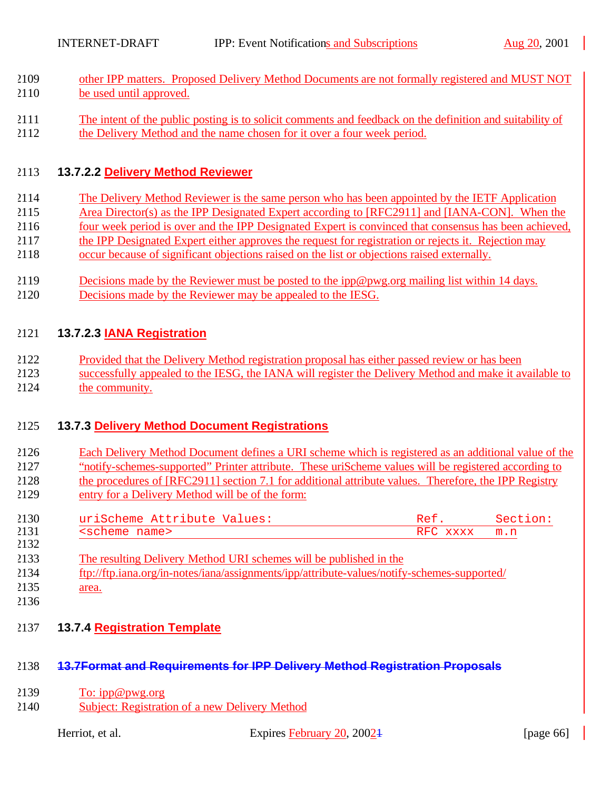- other IPP matters. Proposed Delivery Method Documents are not formally registered and MUST NOT be used until approved.
- The intent of the public posting is to solicit comments and feedback on the definition and suitability of
- the Delivery Method and the name chosen for it over a four week period.

## **13.7.2.2 Delivery Method Reviewer**

- The Delivery Method Reviewer is the same person who has been appointed by the IETF Application
- Area Director(s) as the IPP Designated Expert according to [RFC2911] and [IANA-CON]. When the
- four week period is over and the IPP Designated Expert is convinced that consensus has been achieved,
- 2117 the IPP Designated Expert either approves the request for registration or rejects it. Rejection may
- occur because of significant objections raised on the list or objections raised externally.
- Decisions made by the Reviewer must be posted to the ipp@pwg.org mailing list within 14 days.
- Decisions made by the Reviewer may be appealed to the IESG.

## **13.7.2.3 IANA Registration**

- Provided that the Delivery Method registration proposal has either passed review or has been
- successfully appealed to the IESG, the IANA will register the Delivery Method and make it available to the community.

## **13.7.3 Delivery Method Document Registrations**

- Each Delivery Method Document defines a URI scheme which is registered as an additional value of the
- "notify-schemes-supported" Printer attribute. These uriScheme values will be registered according to
- the procedures of [RFC2911] section 7.1 for additional attribute values. Therefore, the IPP Registry
- entry for a Delivery Method will be of the form:
- 2130 uriScheme Attribute Values: Ref. Section:<br>2131 Secheme name> RFC xxxx m.n <scheme name> RFC xxxx m.n
- The resulting Delivery Method URI schemes will be published in the
- ftp://ftp.iana.org/in-notes/iana/assignments/ipp/attribute-values/notify-schemes-supported/
- 2135 <u>area.</u>
- 
- **13.7.4 Registration Template**

# **13.7Format and Requirements for IPP Delivery Method Registration Proposals**

- 2139  $\overline{\text{To: }ipp@pwg.org}$
- Subject: Registration of a new Delivery Method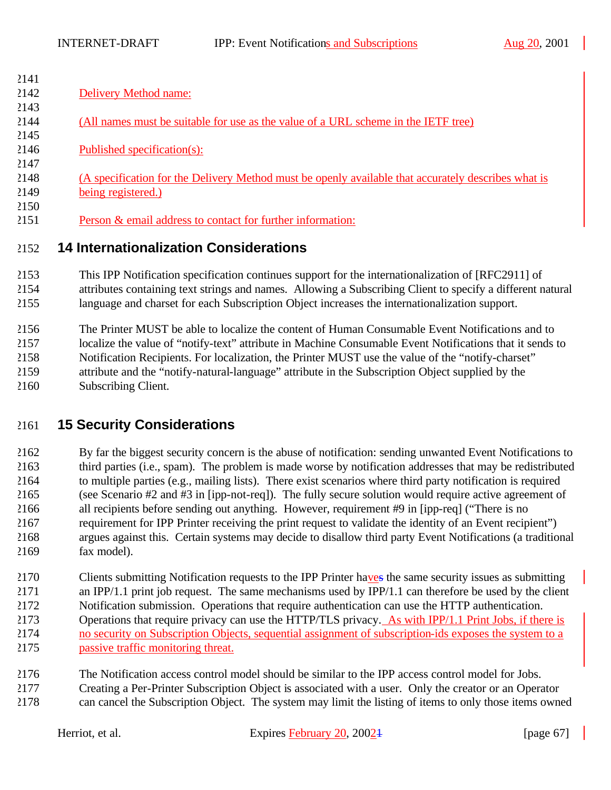| 2141 |                                                                                                     |
|------|-----------------------------------------------------------------------------------------------------|
| 2142 | Delivery Method name:                                                                               |
| 2143 |                                                                                                     |
| 2144 | (All names must be suitable for use as the value of a URL scheme in the IETF tree)                  |
| 2145 |                                                                                                     |
| 2146 | Published specification(s):                                                                         |
| 2147 |                                                                                                     |
| 2148 | (A specification for the Delivery Method must be openly available that accurately describes what is |
| 2149 | being registered.)                                                                                  |
| 2150 |                                                                                                     |
| 2151 | Person & email address to contact for further information:                                          |
| 2152 | <b>14 Internationalization Considerations</b>                                                       |
| 2153 | This IPP Notification specification continues support for the internationalization of IREC 2911 of  |

 This IPP Notification specification continues support for the internationalization of [RFC2911] of attributes containing text strings and names. Allowing a Subscribing Client to specify a different natural language and charset for each Subscription Object increases the internationalization support.

 The Printer MUST be able to localize the content of Human Consumable Event Notifications and to localize the value of "notify-text" attribute in Machine Consumable Event Notifications that it sends to Notification Recipients. For localization, the Printer MUST use the value of the "notify-charset" attribute and the "notify-natural-language" attribute in the Subscription Object supplied by the Subscribing Client.

# **15 Security Considerations**

 By far the biggest security concern is the abuse of notification: sending unwanted Event Notifications to third parties (i.e., spam). The problem is made worse by notification addresses that may be redistributed to multiple parties (e.g., mailing lists). There exist scenarios where third party notification is required (see Scenario #2 and #3 in [ipp-not-req]). The fully secure solution would require active agreement of all recipients before sending out anything. However, requirement #9 in [ipp-req] ("There is no requirement for IPP Printer receiving the print request to validate the identity of an Event recipient") argues against this. Certain systems may decide to disallow third party Event Notifications (a traditional fax model).

2170 Clients submitting Notification requests to the IPP Printer have the same security issues as submitting an IPP/1.1 print job request. The same mechanisms used by IPP/1.1 can therefore be used by the client Notification submission. Operations that require authentication can use the HTTP authentication. Operations that require privacy can use the HTTP/TLS privacy. As with IPP/1.1 Print Jobs, if there is no security on Subscription Objects, sequential assignment of subscription-ids exposes the system to a passive traffic monitoring threat.

- The Notification access control model should be similar to the IPP access control model for Jobs.
- Creating a Per-Printer Subscription Object is associated with a user. Only the creator or an Operator can cancel the Subscription Object. The system may limit the listing of items to only those items owned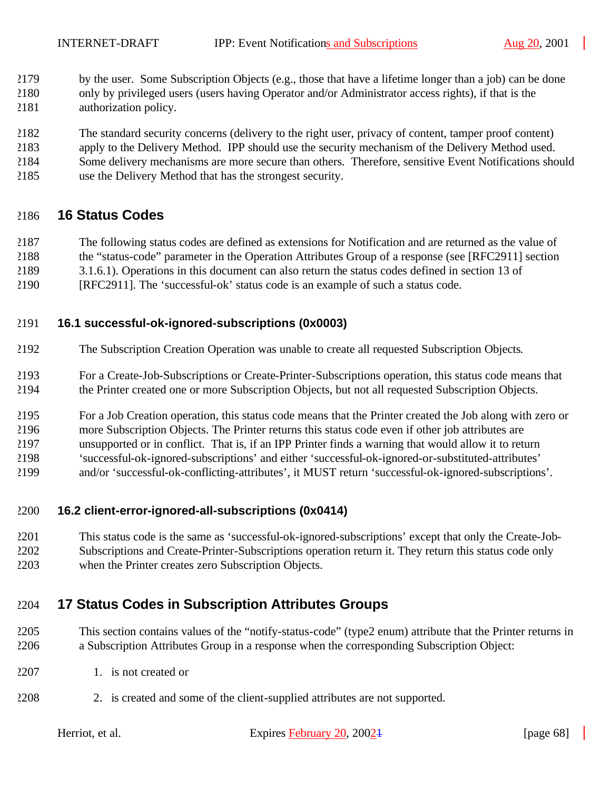- by the user. Some Subscription Objects (e.g., those that have a lifetime longer than a job) can be done
- only by privileged users (users having Operator and/or Administrator access rights), if that is the authorization policy.
- The standard security concerns (delivery to the right user, privacy of content, tamper proof content)
- apply to the Delivery Method. IPP should use the security mechanism of the Delivery Method used.
- Some delivery mechanisms are more secure than others. Therefore, sensitive Event Notifications should
- use the Delivery Method that has the strongest security.

## **16 Status Codes**

- The following status codes are defined as extensions for Notification and are returned as the value of
- the "status-code" parameter in the Operation Attributes Group of a response (see [RFC2911] section
- 3.1.6.1). Operations in this document can also return the status codes defined in section 13 of
- [RFC2911]. The 'successful-ok' status code is an example of such a status code.

## **16.1 successful-ok-ignored-subscriptions (0x0003)**

- The Subscription Creation Operation was unable to create all requested Subscription Objects.
- For a Create-Job-Subscriptions or Create-Printer-Subscriptions operation, this status code means that the Printer created one or more Subscription Objects, but not all requested Subscription Objects.
- For a Job Creation operation, this status code means that the Printer created the Job along with zero or more Subscription Objects. The Printer returns this status code even if other job attributes are
- unsupported or in conflict. That is, if an IPP Printer finds a warning that would allow it to return
- 'successful-ok-ignored-subscriptions' and either 'successful-ok-ignored-or-substituted-attributes'
- and/or 'successful-ok-conflicting-attributes', it MUST return 'successful-ok-ignored-subscriptions'.

# **16.2 client-error-ignored-all-subscriptions (0x0414)**

 This status code is the same as 'successful-ok-ignored-subscriptions' except that only the Create-Job- Subscriptions and Create-Printer-Subscriptions operation return it. They return this status code only when the Printer creates zero Subscription Objects.

# **17 Status Codes in Subscription Attributes Groups**

- This section contains values of the "notify-status-code" (type2 enum) attribute that the Printer returns in a Subscription Attributes Group in a response when the corresponding Subscription Object:
- 2207 1. is not created or
- 2. is created and some of the client-supplied attributes are not supported.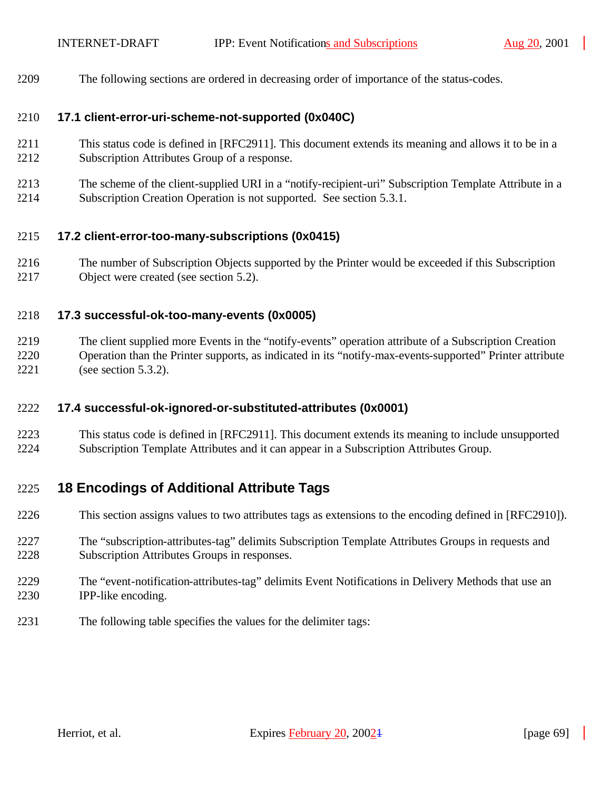The following sections are ordered in decreasing order of importance of the status-codes.

#### **17.1 client-error-uri-scheme-not-supported (0x040C)**

- This status code is defined in [RFC2911]. This document extends its meaning and allows it to be in a Subscription Attributes Group of a response.
- The scheme of the client-supplied URI in a "notify-recipient-uri" Subscription Template Attribute in a Subscription Creation Operation is not supported. See section 5.3.1.

#### **17.2 client-error-too-many-subscriptions (0x0415)**

 The number of Subscription Objects supported by the Printer would be exceeded if this Subscription Object were created (see section 5.2).

#### **17.3 successful-ok-too-many-events (0x0005)**

 The client supplied more Events in the "notify-events" operation attribute of a Subscription Creation Operation than the Printer supports, as indicated in its "notify-max-events-supported" Printer attribute (see section 5.3.2).

#### **17.4 successful-ok-ignored-or-substituted-attributes (0x0001)**

 This status code is defined in [RFC2911]. This document extends its meaning to include unsupported Subscription Template Attributes and it can appear in a Subscription Attributes Group.

## **18 Encodings of Additional Attribute Tags**

- This section assigns values to two attributes tags as extensions to the encoding defined in [RFC2910]).
- The "subscription-attributes-tag" delimits Subscription Template Attributes Groups in requests and Subscription Attributes Groups in responses.
- The "event-notification-attributes-tag" delimits Event Notifications in Delivery Methods that use an IPP-like encoding.
- The following table specifies the values for the delimiter tags: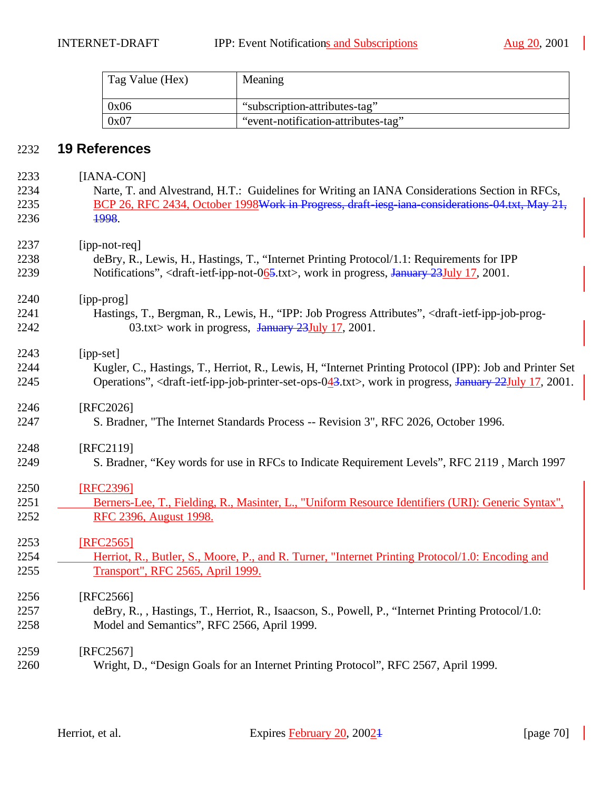| Tag Value (Hex) | Meaning                             |
|-----------------|-------------------------------------|
| 0x06            | "subscription-attributes-tag"       |
| 0x07            | "event-notification-attributes-tag" |

# **19 References**

| 2233 | [IANA-CON]                                                                                                                                         |
|------|----------------------------------------------------------------------------------------------------------------------------------------------------|
| 2234 | Narte, T. and Alvestrand, H.T.: Guidelines for Writing an IANA Considerations Section in RFCs,                                                     |
| 2235 | BCP 26, RFC 2434, October 1998Work in Progress, draft iesg iana considerations 04.txt, May 21,                                                     |
| 2236 | 1998.                                                                                                                                              |
| 2237 | [ipp-not-req]                                                                                                                                      |
| 2238 | deBry, R., Lewis, H., Hastings, T., "Internet Printing Protocol/1.1: Requirements for IPP                                                          |
| 2239 | Notifications", <draft-ietf-ipp-not-065.txt>, work in progress, January 23July 17, 2001.</draft-ietf-ipp-not-065.txt>                              |
| 2240 | [ipp-prog]                                                                                                                                         |
| 2241 | Hastings, T., Bergman, R., Lewis, H., "IPP: Job Progress Attributes", <draft-ietf-ipp-job-prog-< td=""></draft-ietf-ipp-job-prog-<>                |
| 2242 | 03.txt> work in progress, January 23July 17, 2001.                                                                                                 |
| 2243 | [ipp-set]                                                                                                                                          |
| 2244 | Kugler, C., Hastings, T., Herriot, R., Lewis, H. "Internet Printing Protocol (IPP): Job and Printer Set                                            |
| 2245 | Operations", <draft-ietf-ipp-job-printer-set-ops-043.txt>, work in progress, January 22July 17, 2001.</draft-ietf-ipp-job-printer-set-ops-043.txt> |
| 2246 | [RFC2026]                                                                                                                                          |
| 2247 | S. Bradner, "The Internet Standards Process -- Revision 3", RFC 2026, October 1996.                                                                |
| 2248 | [RFC2119]                                                                                                                                          |
| 2249 | S. Bradner, "Key words for use in RFCs to Indicate Requirement Levels", RFC 2119, March 1997                                                       |
| 2250 | [RFC2396]                                                                                                                                          |
| 2251 | Berners-Lee, T., Fielding, R., Masinter, L., "Uniform Resource Identifiers (URI): Generic Syntax",                                                 |
| 2252 | RFC 2396, August 1998.                                                                                                                             |
| 2253 | [RFC2565]                                                                                                                                          |
| 2254 | Herriot, R., Butler, S., Moore, P., and R. Turner, "Internet Printing Protocol/1.0: Encoding and                                                   |
| 2255 | <b>Transport", RFC 2565, April 1999.</b>                                                                                                           |
| 2256 | $[RFC2566]$                                                                                                                                        |
| 2257 | deBry, R., , Hastings, T., Herriot, R., Isaacson, S., Powell, P., "Internet Printing Protocol/1.0:                                                 |
| 2258 | Model and Semantics", RFC 2566, April 1999.                                                                                                        |
| 2259 | [RFC2567]                                                                                                                                          |
| 2260 | Wright, D., "Design Goals for an Internet Printing Protocol", RFC 2567, April 1999.                                                                |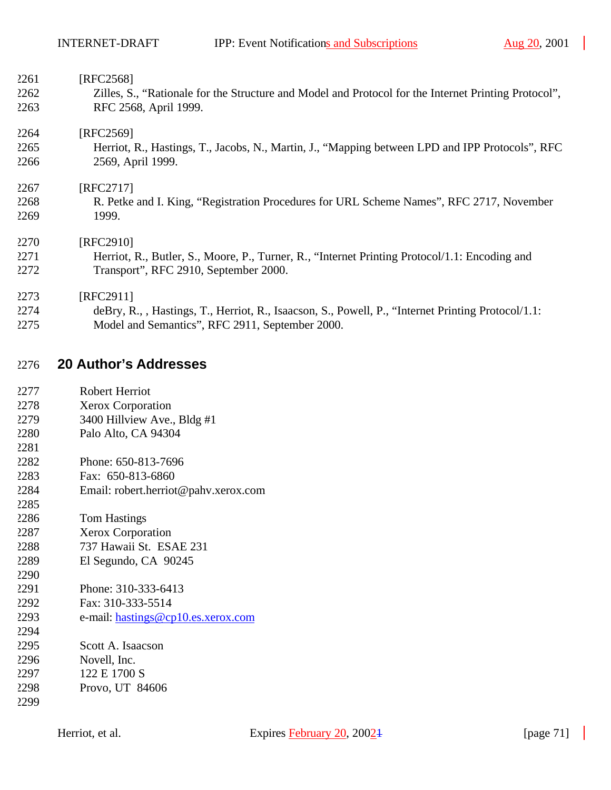| 2261 | [RFC2568]                                                                                            |
|------|------------------------------------------------------------------------------------------------------|
| 2262 | Zilles, S., "Rationale for the Structure and Model and Protocol for the Internet Printing Protocol", |
| 2263 | RFC 2568, April 1999.                                                                                |
| 2264 | [RFC2569]                                                                                            |
| 2265 | Herriot, R., Hastings, T., Jacobs, N., Martin, J., "Mapping between LPD and IPP Protocols", RFC      |
| 2266 | 2569, April 1999.                                                                                    |
| 2267 | [RFC2717]                                                                                            |
| 2268 | R. Petke and I. King, "Registration Procedures for URL Scheme Names", RFC 2717, November             |
| 2269 | 1999.                                                                                                |
| 2270 | [RFC2910]                                                                                            |
| 2271 | Herriot, R., Butler, S., Moore, P., Turner, R., "Internet Printing Protocol/1.1: Encoding and        |
| 2272 | Transport", RFC 2910, September 2000.                                                                |
| 2273 | [RFC2911]                                                                                            |
| 2274 | deBry, R., , Hastings, T., Herriot, R., Isaacson, S., Powell, P., "Internet Printing Protocol/1.1:   |
| 2275 | Model and Semantics", RFC 2911, September 2000.                                                      |

# **20 Author's Addresses**

| 2277 | Robert Herriot |
|------|----------------|
|      |                |

- Xerox Corporation
- 3400 Hillview Ave., Bldg #1
- Palo Alto, CA 94304
- Phone: 650-813-7696
- Fax: 650-813-6860
- Email: robert.herriot@pahv.xerox.com
- Tom Hastings
- Xerox Corporation
- 737 Hawaii St. ESAE 231
- El Segundo, CA 90245
- 
- Phone: 310-333-6413
- Fax: 310-333-5514
- e-mail: hastings@cp10.es.xerox.com
- Scott A. Isaacson
- Novell, Inc.
- 122 E 1700 S
- Provo, UT 84606
-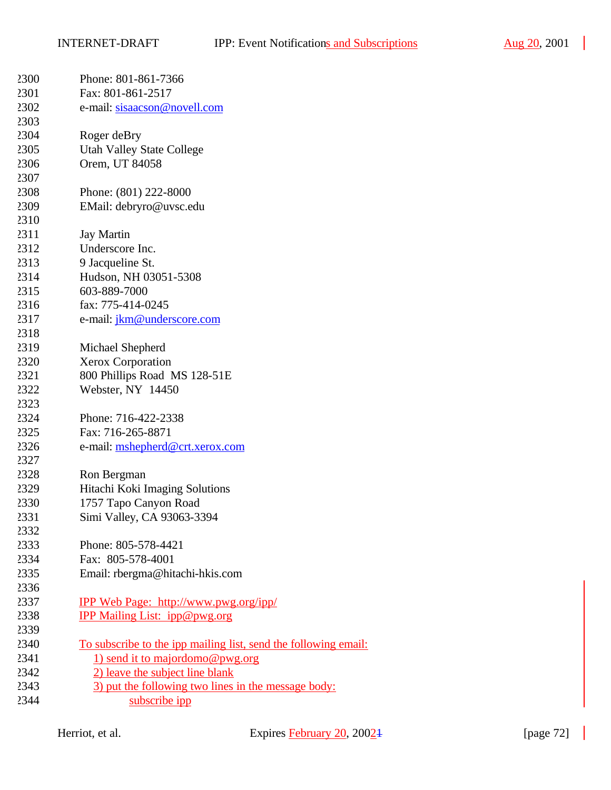$\overline{\phantom{a}}$ 

| 2300 | Phone: 801-861-7366                                             |
|------|-----------------------------------------------------------------|
| 2301 | Fax: 801-861-2517                                               |
| 2302 | e-mail: sisaacson@novell.com                                    |
| 2303 |                                                                 |
| 2304 | Roger deBry                                                     |
| 2305 | <b>Utah Valley State College</b>                                |
| 2306 | Orem, UT 84058                                                  |
| 2307 |                                                                 |
| 2308 | Phone: (801) 222-8000                                           |
| 2309 | EMail: debryro@uvsc.edu                                         |
| 2310 |                                                                 |
| 2311 | <b>Jay Martin</b>                                               |
| 2312 | Underscore Inc.                                                 |
| 2313 | 9 Jacqueline St.                                                |
| 2314 | Hudson, NH 03051-5308                                           |
| 2315 | 603-889-7000                                                    |
| 2316 | fax: 775-414-0245                                               |
| 2317 | e-mail: jkm@underscore.com                                      |
| 2318 |                                                                 |
| 2319 | Michael Shepherd                                                |
| 2320 | <b>Xerox Corporation</b>                                        |
| 2321 | 800 Phillips Road MS 128-51E                                    |
| 2322 | Webster, NY 14450                                               |
| 2323 |                                                                 |
| 2324 | Phone: 716-422-2338                                             |
| 2325 | Fax: 716-265-8871                                               |
| 2326 | e-mail: mshepherd@crt.xerox.com                                 |
| 2327 |                                                                 |
| 2328 | Ron Bergman                                                     |
| 2329 | Hitachi Koki Imaging Solutions                                  |
| 2330 | 1757 Tapo Canyon Road                                           |
| 2331 | Simi Valley, CA 93063-3394                                      |
| 2332 |                                                                 |
| 2333 | Phone: 805-578-4421                                             |
| 2334 | Fax: 805-578-4001                                               |
| 2335 | Email: rbergma@hitachi-hkis.com                                 |
| 2336 |                                                                 |
| 2337 | <u>IPP Web Page: http://www.pwg.org/ipp/</u>                    |
| 2338 | IPP Mailing List: ipp@pwg.org                                   |
| 2339 |                                                                 |
| 2340 | To subscribe to the ipp mailing list, send the following email: |
| 2341 | 1) send it to majordomo@pwg.org                                 |
| 2342 | 2) leave the subject line blank                                 |
| 2343 | 3) put the following two lines in the message body:             |
| 2344 | subscribe ipp                                                   |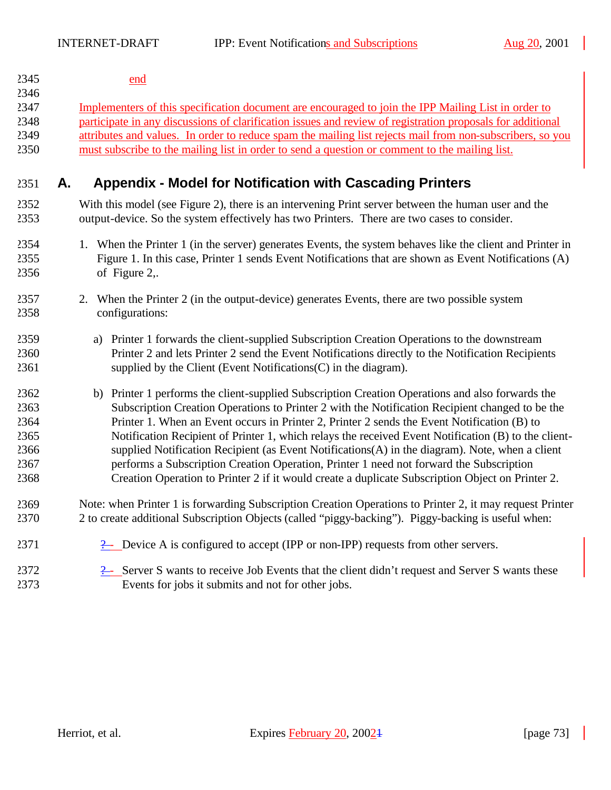$\mathbb{R}$ 

| 2345         |    | end                                                                                                                                                                     |  |  |  |  |  |
|--------------|----|-------------------------------------------------------------------------------------------------------------------------------------------------------------------------|--|--|--|--|--|
| 2346<br>2347 |    | Implementers of this specification document are encouraged to join the IPP Mailing List in order to                                                                     |  |  |  |  |  |
| 2348         |    | participate in any discussions of clarification issues and review of registration proposals for additional                                                              |  |  |  |  |  |
| 2349         |    | attributes and values. In order to reduce spam the mailing list rejects mail from non-subscribers, so you                                                               |  |  |  |  |  |
| 2350         |    | must subscribe to the mailing list in order to send a question or comment to the mailing list.                                                                          |  |  |  |  |  |
| 2351         | А. | <b>Appendix - Model for Notification with Cascading Printers</b>                                                                                                        |  |  |  |  |  |
| 2352         |    | With this model (see Figure 2), there is an intervening Print server between the human user and the                                                                     |  |  |  |  |  |
| 2353         |    | output-device. So the system effectively has two Printers. There are two cases to consider.                                                                             |  |  |  |  |  |
| 2354         |    | 1. When the Printer 1 (in the server) generates Events, the system behaves like the client and Printer in                                                               |  |  |  |  |  |
| 2355         |    | Figure 1. In this case, Printer 1 sends Event Notifications that are shown as Event Notifications (A)                                                                   |  |  |  |  |  |
| 2356         |    | of Figure 2,.                                                                                                                                                           |  |  |  |  |  |
| 2357<br>2358 |    | 2. When the Printer 2 (in the output-device) generates Events, there are two possible system<br>configurations:                                                         |  |  |  |  |  |
| 2359         |    | a) Printer 1 forwards the client-supplied Subscription Creation Operations to the downstream                                                                            |  |  |  |  |  |
| 2360<br>2361 |    | Printer 2 and lets Printer 2 send the Event Notifications directly to the Notification Recipients<br>supplied by the Client (Event Notifications $(C)$ in the diagram). |  |  |  |  |  |
| 2362         |    | b) Printer 1 performs the client-supplied Subscription Creation Operations and also forwards the                                                                        |  |  |  |  |  |
| 2363         |    | Subscription Creation Operations to Printer 2 with the Notification Recipient changed to be the                                                                         |  |  |  |  |  |
| 2364         |    | Printer 1. When an Event occurs in Printer 2, Printer 2 sends the Event Notification (B) to                                                                             |  |  |  |  |  |
| 2365         |    | Notification Recipient of Printer 1, which relays the received Event Notification (B) to the client-                                                                    |  |  |  |  |  |
| 2366         |    | supplied Notification Recipient (as Event Notifications(A) in the diagram). Note, when a client                                                                         |  |  |  |  |  |
| 2367         |    | performs a Subscription Creation Operation, Printer 1 need not forward the Subscription                                                                                 |  |  |  |  |  |
| 2368         |    | Creation Operation to Printer 2 if it would create a duplicate Subscription Object on Printer 2.                                                                        |  |  |  |  |  |
| 2369         |    | Note: when Printer 1 is forwarding Subscription Creation Operations to Printer 2, it may request Printer                                                                |  |  |  |  |  |
| 2370         |    | 2 to create additional Subscription Objects (called "piggy-backing"). Piggy-backing is useful when:                                                                     |  |  |  |  |  |
| 2371         |    | $\frac{2}{2}$ Device A is configured to accept (IPP or non-IPP) requests from other servers.                                                                            |  |  |  |  |  |
| 2372         |    | $\frac{1}{2}$ Server S wants to receive Job Events that the client didn't request and Server S wants these                                                              |  |  |  |  |  |
| 2373         |    | Events for jobs it submits and not for other jobs.                                                                                                                      |  |  |  |  |  |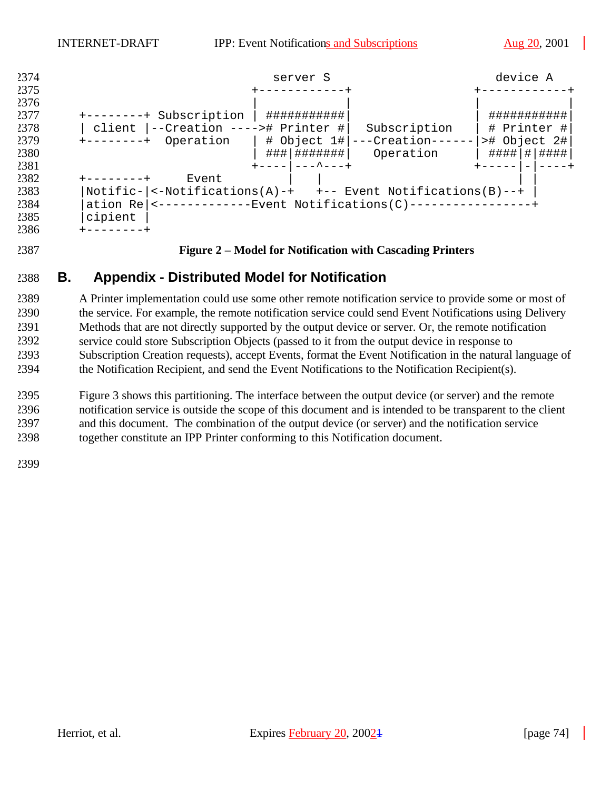| 2374                 | device A<br>server S                                                                                                      |  |
|----------------------|---------------------------------------------------------------------------------------------------------------------------|--|
| 2375<br>2376<br>2377 | ###########<br>###########                                                                                                |  |
| 2378                 | Subscription<br>$-+$<br>--Creation ----># Printer #<br># Printer #<br>Subscription<br>client                              |  |
| 2379<br>2380         | ># Object 2#<br>---Creation---<br># Object 1# <br>Operation<br>--------+<br>###   #######<br>#### # <br>####<br>Operation |  |
| 2381                 | ---^---+                                                                                                                  |  |
| 2382                 | Event                                                                                                                     |  |
| 2383                 | $Notific -  $ <-Notifications(A)-+ +-- Event Notifications(B)--+                                                          |  |
| 2384                 | <-------------Event Notifications(C)----------------<br>ation Re                                                          |  |
| 2385                 | cipient                                                                                                                   |  |
| 2386                 |                                                                                                                           |  |

#### **Figure 2 – Model for Notification with Cascading Printers**

# **B. Appendix - Distributed Model for Notification**

 A Printer implementation could use some other remote notification service to provide some or most of the service. For example, the remote notification service could send Event Notifications using Delivery Methods that are not directly supported by the output device or server. Or, the remote notification service could store Subscription Objects (passed to it from the output device in response to Subscription Creation requests), accept Events, format the Event Notification in the natural language of the Notification Recipient, and send the Event Notifications to the Notification Recipient(s).

 Figure 3 shows this partitioning. The interface between the output device (or server) and the remote notification service is outside the scope of this document and is intended to be transparent to the client and this document. The combination of the output device (or server) and the notification service together constitute an IPP Printer conforming to this Notification document.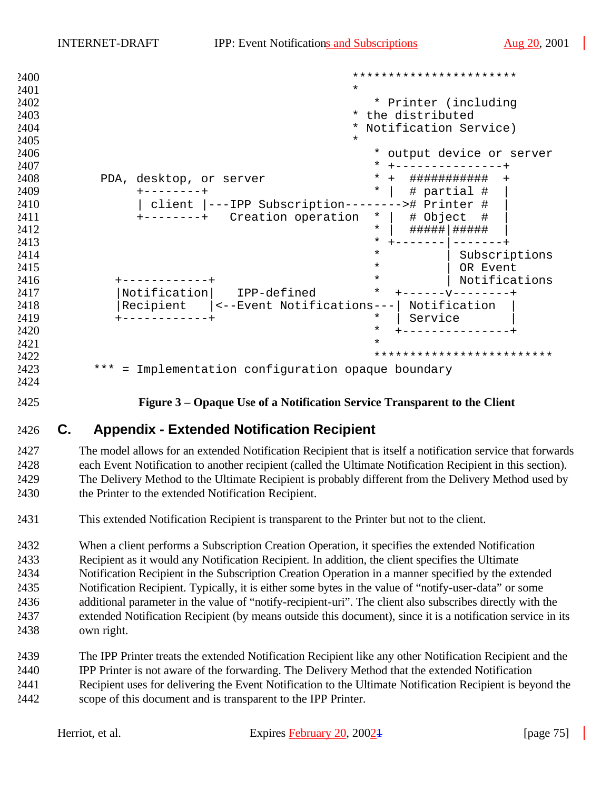| 2400 | ***********************                                      |
|------|--------------------------------------------------------------|
| 2401 | $\star$                                                      |
| 2402 | * Printer (including                                         |
| 2403 | the distributed<br>$\star$                                   |
| 2404 | Notification Service)                                        |
| 2405 | $\star$                                                      |
| 2406 | output device or server<br>$\star$                           |
| 2407 | $^\star$                                                     |
| 2408 | $^\star$<br>PDA, desktop, or server<br>###########<br>$+$    |
| 2409 | $\star$<br># partial #                                       |
| 2410 | ---IPP Subscription-----<br>># Printer #<br>client           |
| 2411 | Creation operation<br># Object<br>$\star$<br>#               |
| 2412 | $\star$                                                      |
| 2413 | $^\star$                                                     |
| 2414 | $^\star$<br>Subscriptions                                    |
| 2415 | $^\star$<br>OR Event                                         |
| 2416 | $^\star$<br>Notifications                                    |
| 2417 | Notification<br>IPP-defined<br>$^\star$                      |
| 2418 | Recipient<br><--Event Notifications---<br>Notification       |
| 2419 | $\star$<br>Service                                           |
| 2420 | $\star$                                                      |
| 2421 | $\star$                                                      |
| 2422 | *************************                                    |
| 2423 | * * *<br>Implementation configuration opaque boundary<br>$=$ |
| 2424 |                                                              |

**Figure 3 – Opaque Use of a Notification Service Transparent to the Client**

# **C. Appendix - Extended Notification Recipient**

 The model allows for an extended Notification Recipient that is itself a notification service that forwards each Event Notification to another recipient (called the Ultimate Notification Recipient in this section). The Delivery Method to the Ultimate Recipient is probably different from the Delivery Method used by the Printer to the extended Notification Recipient.

This extended Notification Recipient is transparent to the Printer but not to the client.

 When a client performs a Subscription Creation Operation, it specifies the extended Notification Recipient as it would any Notification Recipient. In addition, the client specifies the Ultimate Notification Recipient in the Subscription Creation Operation in a manner specified by the extended Notification Recipient. Typically, it is either some bytes in the value of "notify-user-data" or some additional parameter in the value of "notify-recipient-uri". The client also subscribes directly with the extended Notification Recipient (by means outside this document), since it is a notification service in its own right.

- The IPP Printer treats the extended Notification Recipient like any other Notification Recipient and the
- IPP Printer is not aware of the forwarding. The Delivery Method that the extended Notification
- Recipient uses for delivering the Event Notification to the Ultimate Notification Recipient is beyond the scope of this document and is transparent to the IPP Printer.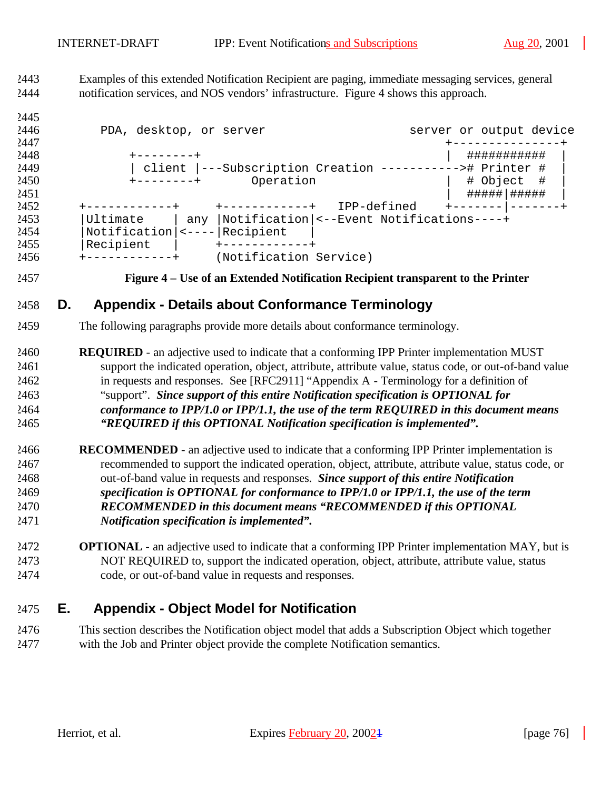Examples of this extended Notification Recipient are paging, immediate messaging services, general notification services, and NOS vendors' infrastructure. Figure 4 shows this approach.

| 2446 | PDA, desktop, or server                                      |     |                        |                                          |  |               | server or output device |  |
|------|--------------------------------------------------------------|-----|------------------------|------------------------------------------|--|---------------|-------------------------|--|
| 2447 |                                                              |     |                        |                                          |  |               |                         |  |
| 2448 |                                                              |     |                        |                                          |  | ###########   |                         |  |
| 2449 | client  ---Subscription Creation ----------<br>-># Printer # |     |                        |                                          |  |               |                         |  |
| 2450 | Operation<br>$+ - - - - - - - +$                             |     |                        |                                          |  | # Object<br># |                         |  |
| 2451 |                                                              |     |                        |                                          |  |               | #####   #####           |  |
| 2452 |                                                              |     |                        | IPP-defined                              |  |               |                         |  |
| 2453 | Ultimate                                                     | any |                        | Notification <--Event Notifications----+ |  |               |                         |  |
| 2454 | Notification                                                 |     | Recipient              |                                          |  |               |                         |  |
| 2455 | Recipient                                                    |     |                        |                                          |  |               |                         |  |
| 2456 |                                                              |     | (Notification Service) |                                          |  |               |                         |  |
|      |                                                              |     |                        |                                          |  |               |                         |  |

#### **Figure 4 – Use of an Extended Notification Recipient transparent to the Printer**

# **D. Appendix - Details about Conformance Terminology**

- The following paragraphs provide more details about conformance terminology.
- **REQUIRED**  an adjective used to indicate that a conforming IPP Printer implementation MUST support the indicated operation, object, attribute, attribute value, status code, or out-of-band value in requests and responses. See [RFC2911] "Appendix A - Terminology for a definition of "support". *Since support of this entire Notification specification is OPTIONAL for conformance to IPP/1.0 or IPP/1.1, the use of the term REQUIRED in this document means "REQUIRED if this OPTIONAL Notification specification is implemented".*
- **RECOMMENDED**  an adjective used to indicate that a conforming IPP Printer implementation is recommended to support the indicated operation, object, attribute, attribute value, status code, or out-of-band value in requests and responses. *Since support of this entire Notification specification is OPTIONAL for conformance to IPP/1.0 or IPP/1.1, the use of the term RECOMMENDED in this document means "RECOMMENDED if this OPTIONAL Notification specification is implemented".*
- **OPTIONAL**  an adjective used to indicate that a conforming IPP Printer implementation MAY, but is NOT REQUIRED to, support the indicated operation, object, attribute, attribute value, status code, or out-of-band value in requests and responses.

# **E. Appendix - Object Model for Notification**

 This section describes the Notification object model that adds a Subscription Object which together with the Job and Printer object provide the complete Notification semantics.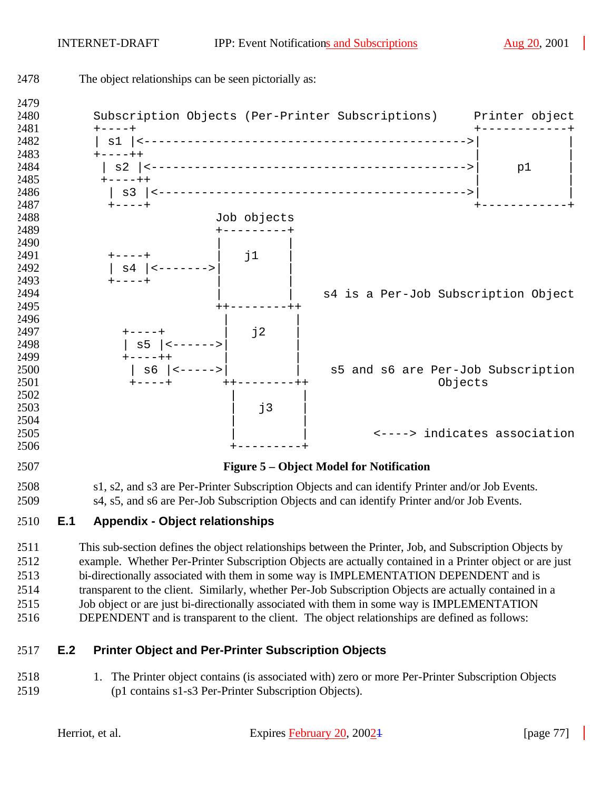

- Job object or are just bi-directionally associated with them in some way is IMPLEMENTATION
- DEPENDENT and is transparent to the client. The object relationships are defined as follows:

### **E.2 Printer Object and Per-Printer Subscription Objects**

 1. The Printer object contains (is associated with) zero or more Per-Printer Subscription Objects (p1 contains s1-s3 Per-Printer Subscription Objects).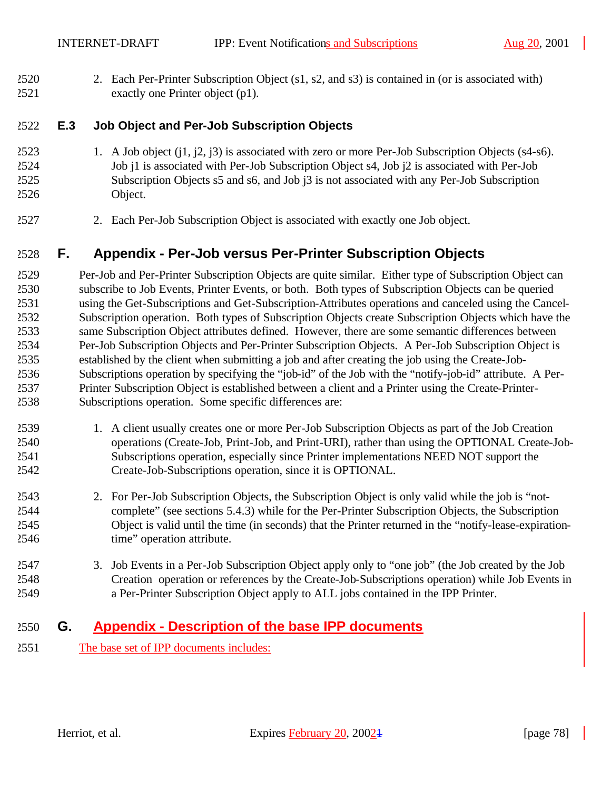2. Each Per-Printer Subscription Object (s1, s2, and s3) is contained in (or is associated with) exactly one Printer object (p1).

### **E.3 Job Object and Per-Job Subscription Objects**

- 1. A Job object (j1, j2, j3) is associated with zero or more Per-Job Subscription Objects (s4-s6). Job j1 is associated with Per-Job Subscription Object s4, Job j2 is associated with Per-Job Subscription Objects s5 and s6, and Job j3 is not associated with any Per-Job Subscription Object.
- 2. Each Per-Job Subscription Object is associated with exactly one Job object.

# **F. Appendix - Per-Job versus Per-Printer Subscription Objects**

 Per-Job and Per-Printer Subscription Objects are quite similar. Either type of Subscription Object can subscribe to Job Events, Printer Events, or both. Both types of Subscription Objects can be queried using the Get-Subscriptions and Get-Subscription-Attributes operations and canceled using the Cancel- Subscription operation. Both types of Subscription Objects create Subscription Objects which have the same Subscription Object attributes defined. However, there are some semantic differences between Per-Job Subscription Objects and Per-Printer Subscription Objects. A Per-Job Subscription Object is established by the client when submitting a job and after creating the job using the Create-Job- Subscriptions operation by specifying the "job-id" of the Job with the "notify-job-id" attribute. A Per- Printer Subscription Object is established between a client and a Printer using the Create-Printer-Subscriptions operation. Some specific differences are:

- 1. A client usually creates one or more Per-Job Subscription Objects as part of the Job Creation operations (Create-Job, Print-Job, and Print-URI), rather than using the OPTIONAL Create-Job- Subscriptions operation, especially since Printer implementations NEED NOT support the Create-Job-Subscriptions operation, since it is OPTIONAL.
- 2. For Per-Job Subscription Objects, the Subscription Object is only valid while the job is "not- complete" (see sections 5.4.3) while for the Per-Printer Subscription Objects, the Subscription Object is valid until the time (in seconds) that the Printer returned in the "notify-lease-expiration-time" operation attribute.
- 3. Job Events in a Per-Job Subscription Object apply only to "one job" (the Job created by the Job Creation operation or references by the Create-Job-Subscriptions operation) while Job Events in a Per-Printer Subscription Object apply to ALL jobs contained in the IPP Printer.

# **G. Appendix - Description of the base IPP documents**

The base set of IPP documents includes: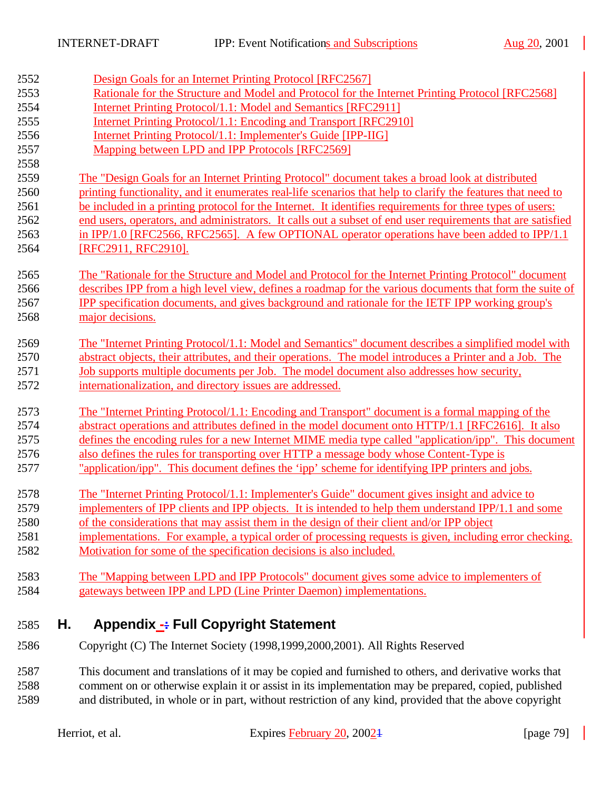| 2552 | Design Goals for an Internet Printing Protocol [RFC2567]                                                     |
|------|--------------------------------------------------------------------------------------------------------------|
| 2553 | Rationale for the Structure and Model and Protocol for the Internet Printing Protocol [RFC2568]              |
| 2554 | <b>Internet Printing Protocol/1.1: Model and Semantics [RFC2911]</b>                                         |
| 2555 | Internet Printing Protocol/1.1: Encoding and Transport [RFC2910]                                             |
| 2556 | Internet Printing Protocol/1.1: Implementer's Guide [IPP-IIG]                                                |
| 2557 | Mapping between LPD and IPP Protocols [RFC2569]                                                              |
| 2558 |                                                                                                              |
| 2559 | The "Design Goals for an Internet Printing Protocol" document takes a broad look at distributed              |
| 2560 | printing functionality, and it enumerates real-life scenarios that help to clarify the features that need to |
| 2561 | be included in a printing protocol for the Internet. It identifies requirements for three types of users:    |
| 2562 | end users, operators, and administrators. It calls out a subset of end user requirements that are satisfied  |
| 2563 | in IPP/1.0 [RFC2566, RFC2565]. A few OPTIONAL operator operations have been added to IPP/1.1                 |
| 2564 | [RFC2911, RFC2910].                                                                                          |
|      |                                                                                                              |
| 2565 | The "Rationale for the Structure and Model and Protocol for the Internet Printing Protocol" document         |
| 2566 | describes IPP from a high level view, defines a roadmap for the various documents that form the suite of     |
| 2567 | IPP specification documents, and gives background and rationale for the IETF IPP working group's             |
| 2568 | major decisions.                                                                                             |
| 2569 | The "Internet Printing Protocol/1.1: Model and Semantics" document describes a simplified model with         |
| 2570 | abstract objects, their attributes, and their operations. The model introduces a Printer and a Job. The      |
| 2571 | <u>Job supports multiple documents per Job. The model document also addresses how security,</u>              |
| 2572 | internationalization, and directory issues are addressed.                                                    |
| 2573 | The "Internet Printing Protocol/1.1: Encoding and Transport" document is a formal mapping of the             |
| 2574 | abstract operations and attributes defined in the model document onto HTTP/1.1 [RFC2616]. It also            |
| 2575 | defines the encoding rules for a new Internet MIME media type called "application/ipp". This document        |
| 2576 | also defines the rules for transporting over HTTP a message body whose Content-Type is                       |
| 2577 | "application/ipp". This document defines the 'ipp' scheme for identifying IPP printers and jobs.             |
| 2578 | The "Internet Printing Protocol/1.1: Implementer's Guide" document gives insight and advice to               |
| 2579 | implementers of IPP clients and IPP objects. It is intended to help them understand IPP/1.1 and some         |
| 2580 | of the considerations that may assist them in the design of their client and/or IPP object                   |
| 2581 | implementations. For example, a typical order of processing requests is given, including error checking.     |
| 2582 | Motivation for some of the specification decisions is also included.                                         |
| 2583 | The "Mapping between LPD and IPP Protocols" document gives some advice to implementers of                    |
| 2584 | gateways between IPP and LPD (Line Printer Daemon) implementations.                                          |
|      |                                                                                                              |
| 2585 | <b>Appendix -: Full Copyright Statement</b><br>Η.                                                            |

Copyright (C) The Internet Society (1998,1999,2000,2001). All Rights Reserved

 This document and translations of it may be copied and furnished to others, and derivative works that comment on or otherwise explain it or assist in its implementation may be prepared, copied, published and distributed, in whole or in part, without restriction of any kind, provided that the above copyright